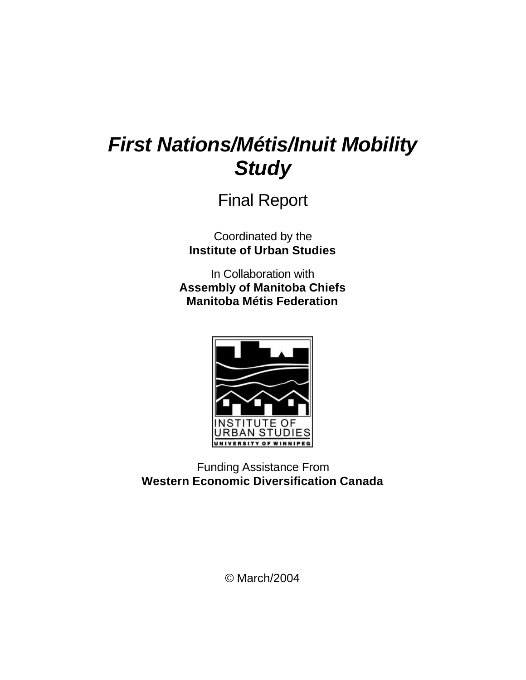# *First Nations/Métis/Inuit Mobility Study*

Final Report

Coordinated by the **Institute of Urban Studies**

In Collaboration with **Assembly of Manitoba Chiefs Manitoba Métis Federation**



Funding Assistance From **Western Economic Diversification Canada**

© March/2004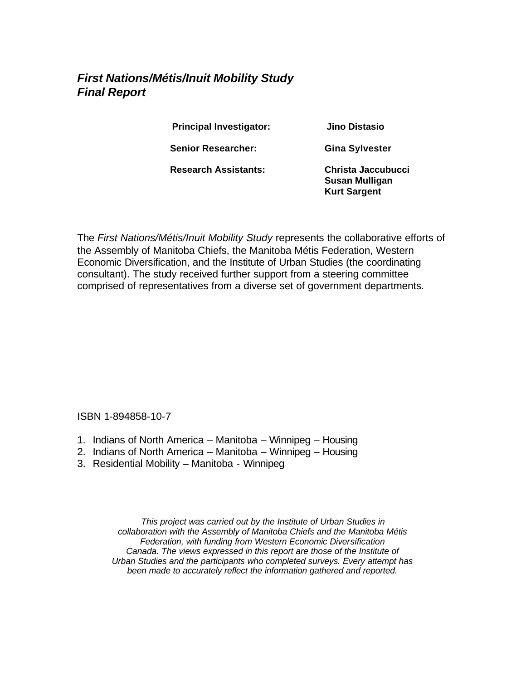### *First Nations/Métis/Inuit Mobility Study Final Report*

**Principal Investigator: Jino Distasio**

**Senior Researcher:** Gina Sylvester

 **Research Assistants: Christa Jaccubucci Susan Mulligan Kurt Sargent** 

The *First Nations/Métis/Inuit Mobility Study* represents the collaborative efforts of the Assembly of Manitoba Chiefs, the Manitoba Métis Federation, Western Economic Diversification, and the Institute of Urban Studies (the coordinating consultant). The study received further support from a steering committee comprised of representatives from a diverse set of government departments.

ISBN 1-894858-10-7

- 1. Indians of North America Manitoba Winnipeg Housing
- 2. Indians of North America Manitoba Winnipeg Housing
- 3. Residential Mobility Manitoba Winnipeg

*This project was carried out by the Institute of Urban Studies in collaboration with the Assembly of Manitoba Chiefs and the Manitoba Métis Federation, with funding from Western Economic Diversification Canada. The views expressed in this report are those of the Institute of Urban Studies and the participants who completed surveys. Every attempt has been made to accurately reflect the information gathered and reported.*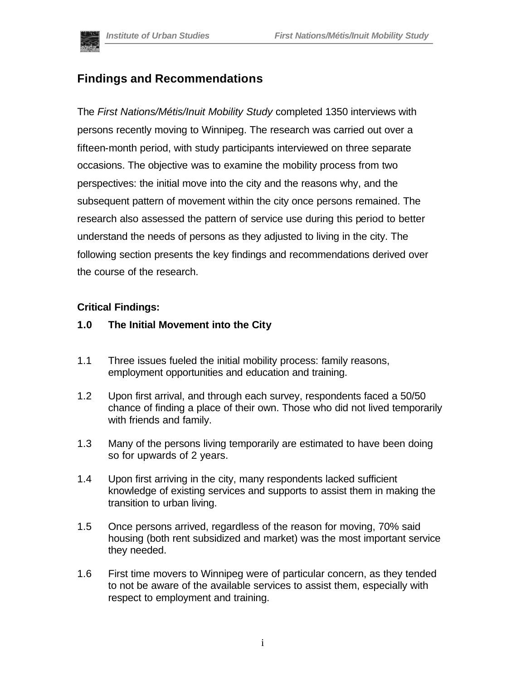# **Findings and Recommendations**

The *First Nations/Métis/Inuit Mobility Study* completed 1350 interviews with persons recently moving to Winnipeg. The research was carried out over a fifteen-month period, with study participants interviewed on three separate occasions. The objective was to examine the mobility process from two perspectives: the initial move into the city and the reasons why, and the subsequent pattern of movement within the city once persons remained. The research also assessed the pattern of service use during this period to better understand the needs of persons as they adjusted to living in the city. The following section presents the key findings and recommendations derived over the course of the research.

#### **Critical Findings:**

#### **1.0 The Initial Movement into the City**

- 1.1 Three issues fueled the initial mobility process: family reasons, employment opportunities and education and training.
- 1.2 Upon first arrival, and through each survey, respondents faced a 50/50 chance of finding a place of their own. Those who did not lived temporarily with friends and family.
- 1.3 Many of the persons living temporarily are estimated to have been doing so for upwards of 2 years.
- 1.4 Upon first arriving in the city, many respondents lacked sufficient knowledge of existing services and supports to assist them in making the transition to urban living.
- 1.5 Once persons arrived, regardless of the reason for moving, 70% said housing (both rent subsidized and market) was the most important service they needed.
- 1.6 First time movers to Winnipeg were of particular concern, as they tended to not be aware of the available services to assist them, especially with respect to employment and training.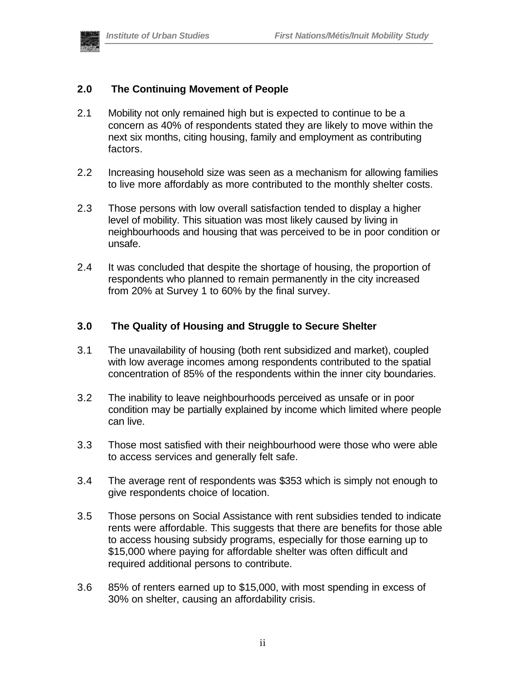

- 2.1 Mobility not only remained high but is expected to continue to be a concern as 40% of respondents stated they are likely to move within the next six months, citing housing, family and employment as contributing factors.
- 2.2 Increasing household size was seen as a mechanism for allowing families to live more affordably as more contributed to the monthly shelter costs.
- 2.3 Those persons with low overall satisfaction tended to display a higher level of mobility. This situation was most likely caused by living in neighbourhoods and housing that was perceived to be in poor condition or unsafe.
- 2.4 It was concluded that despite the shortage of housing, the proportion of respondents who planned to remain permanently in the city increased from 20% at Survey 1 to 60% by the final survey.

#### **3.0 The Quality of Housing and Struggle to Secure Shelter**

- 3.1 The unavailability of housing (both rent subsidized and market), coupled with low average incomes among respondents contributed to the spatial concentration of 85% of the respondents within the inner city boundaries.
- 3.2 The inability to leave neighbourhoods perceived as unsafe or in poor condition may be partially explained by income which limited where people can live.
- 3.3 Those most satisfied with their neighbourhood were those who were able to access services and generally felt safe.
- 3.4 The average rent of respondents was \$353 which is simply not enough to give respondents choice of location.
- 3.5 Those persons on Social Assistance with rent subsidies tended to indicate rents were affordable. This suggests that there are benefits for those able to access housing subsidy programs, especially for those earning up to \$15,000 where paying for affordable shelter was often difficult and required additional persons to contribute.
- 3.6 85% of renters earned up to \$15,000, with most spending in excess of 30% on shelter, causing an affordability crisis.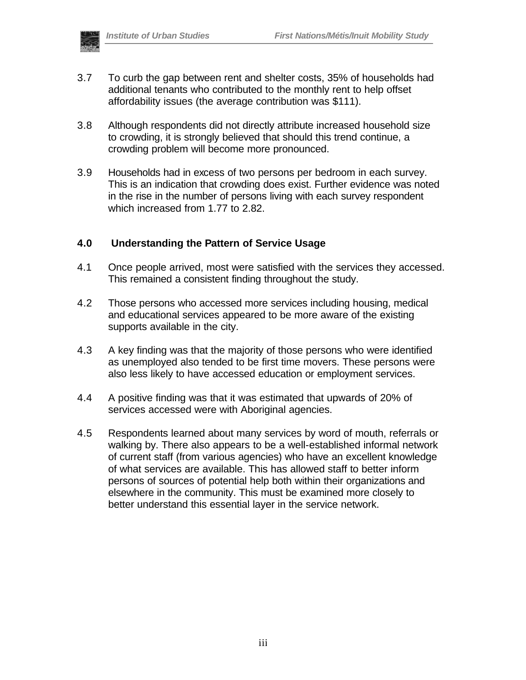

- 3.7 To curb the gap between rent and shelter costs, 35% of households had additional tenants who contributed to the monthly rent to help offset affordability issues (the average contribution was \$111).
- 3.8 Although respondents did not directly attribute increased household size to crowding, it is strongly believed that should this trend continue, a crowding problem will become more pronounced.
- 3.9 Households had in excess of two persons per bedroom in each survey. This is an indication that crowding does exist. Further evidence was noted in the rise in the number of persons living with each survey respondent which increased from 1.77 to 2.82.

#### **4.0 Understanding the Pattern of Service Usage**

- 4.1 Once people arrived, most were satisfied with the services they accessed. This remained a consistent finding throughout the study.
- 4.2 Those persons who accessed more services including housing, medical and educational services appeared to be more aware of the existing supports available in the city.
- 4.3 A key finding was that the majority of those persons who were identified as unemployed also tended to be first time movers. These persons were also less likely to have accessed education or employment services.
- 4.4 A positive finding was that it was estimated that upwards of 20% of services accessed were with Aboriginal agencies.
- 4.5 Respondents learned about many services by word of mouth, referrals or walking by. There also appears to be a well-established informal network of current staff (from various agencies) who have an excellent knowledge of what services are available. This has allowed staff to better inform persons of sources of potential help both within their organizations and elsewhere in the community. This must be examined more closely to better understand this essential layer in the service network.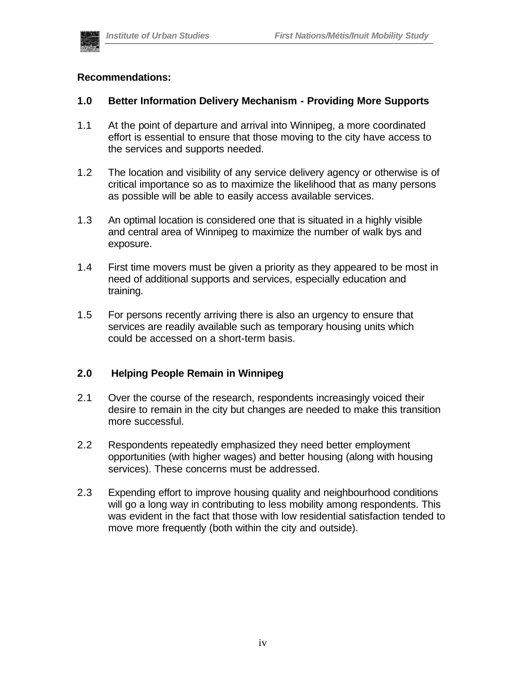

#### **Recommendations:**

#### **1.0 Better Information Delivery Mechanism - Providing More Supports**

- 1.1 At the point of departure and arrival into Winnipeg, a more coordinated effort is essential to ensure that those moving to the city have access to the services and supports needed.
- 1.2 The location and visibility of any service delivery agency or otherwise is of critical importance so as to maximize the likelihood that as many persons as possible will be able to easily access available services.
- 1.3 An optimal location is considered one that is situated in a highly visible and central area of Winnipeg to maximize the number of walk bys and exposure.
- 1.4 First time movers must be given a priority as they appeared to be most in need of additional supports and services, especially education and training.
- 1.5 For persons recently arriving there is also an urgency to ensure that services are readily available such as temporary housing units which could be accessed on a short-term basis.

#### **2.0 Helping People Remain in Winnipeg**

- 2.1 Over the course of the research, respondents increasingly voiced their desire to remain in the city but changes are needed to make this transition more successful.
- 2.2 Respondents repeatedly emphasized they need better employment opportunities (with higher wages) and better housing (along with housing services). These concerns must be addressed.
- 2.3 Expending effort to improve housing quality and neighbourhood conditions will go a long way in contributing to less mobility among respondents. This was evident in the fact that those with low residential satisfaction tended to move more frequently (both within the city and outside).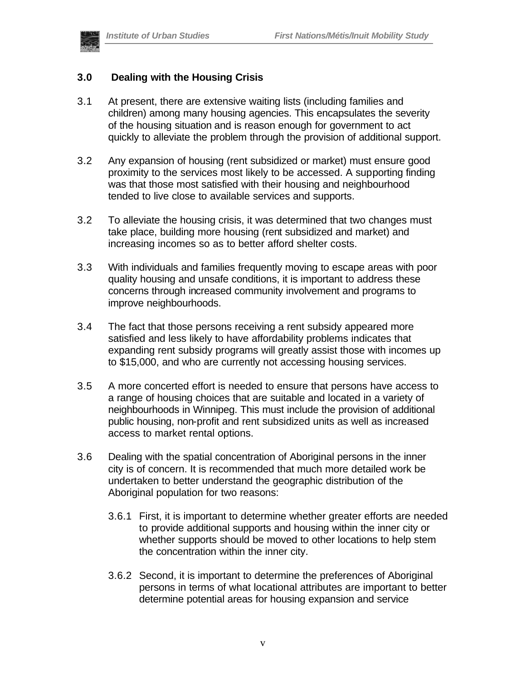

#### **3.0 Dealing with the Housing Crisis**

- 3.1 At present, there are extensive waiting lists (including families and children) among many housing agencies. This encapsulates the severity of the housing situation and is reason enough for government to act quickly to alleviate the problem through the provision of additional support.
- 3.2 Any expansion of housing (rent subsidized or market) must ensure good proximity to the services most likely to be accessed. A supporting finding was that those most satisfied with their housing and neighbourhood tended to live close to available services and supports.
- 3.2 To alleviate the housing crisis, it was determined that two changes must take place, building more housing (rent subsidized and market) and increasing incomes so as to better afford shelter costs.
- 3.3 With individuals and families frequently moving to escape areas with poor quality housing and unsafe conditions, it is important to address these concerns through increased community involvement and programs to improve neighbourhoods.
- 3.4 The fact that those persons receiving a rent subsidy appeared more satisfied and less likely to have affordability problems indicates that expanding rent subsidy programs will greatly assist those with incomes up to \$15,000, and who are currently not accessing housing services.
- 3.5 A more concerted effort is needed to ensure that persons have access to a range of housing choices that are suitable and located in a variety of neighbourhoods in Winnipeg. This must include the provision of additional public housing, non-profit and rent subsidized units as well as increased access to market rental options.
- 3.6 Dealing with the spatial concentration of Aboriginal persons in the inner city is of concern. It is recommended that much more detailed work be undertaken to better understand the geographic distribution of the Aboriginal population for two reasons:
	- 3.6.1 First, it is important to determine whether greater efforts are needed to provide additional supports and housing within the inner city or whether supports should be moved to other locations to help stem the concentration within the inner city.
	- 3.6.2 Second, it is important to determine the preferences of Aboriginal persons in terms of what locational attributes are important to better determine potential areas for housing expansion and service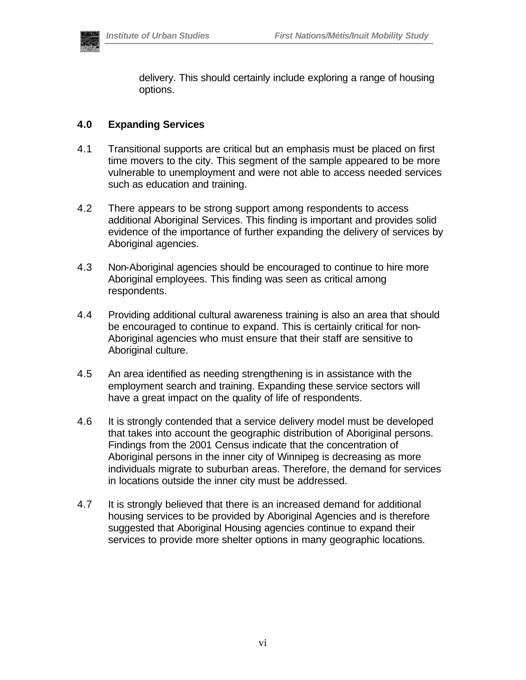

delivery. This should certainly include exploring a range of housing options.

#### **4.0 Expanding Services**

- 4.1 Transitional supports are critical but an emphasis must be placed on first time movers to the city. This segment of the sample appeared to be more vulnerable to unemployment and were not able to access needed services such as education and training.
- 4.2 There appears to be strong support among respondents to access additional Aboriginal Services. This finding is important and provides solid evidence of the importance of further expanding the delivery of services by Aboriginal agencies.
- 4.3 Non-Aboriginal agencies should be encouraged to continue to hire more Aboriginal employees. This finding was seen as critical among respondents.
- 4.4 Providing additional cultural awareness training is also an area that should be encouraged to continue to expand. This is certainly critical for non-Aboriginal agencies who must ensure that their staff are sensitive to Aboriginal culture.
- 4.5 An area identified as needing strengthening is in assistance with the employment search and training. Expanding these service sectors will have a great impact on the quality of life of respondents.
- 4.6 It is strongly contended that a service delivery model must be developed that takes into account the geographic distribution of Aboriginal persons. Findings from the 2001 Census indicate that the concentration of Aboriginal persons in the inner city of Winnipeg is decreasing as more individuals migrate to suburban areas. Therefore, the demand for services in locations outside the inner city must be addressed.
- 4.7 It is strongly believed that there is an increased demand for additional housing services to be provided by Aboriginal Agencies and is therefore suggested that Aboriginal Housing agencies continue to expand their services to provide more shelter options in many geographic locations.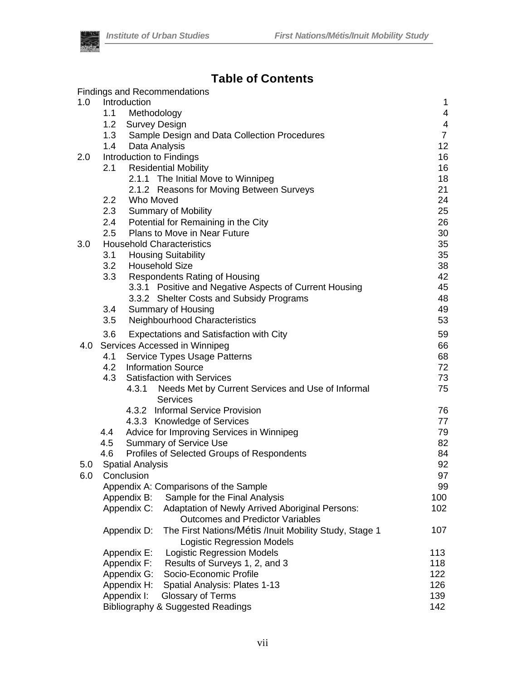

# **Table of Contents**

|     |                                              | <b>Findings and Recommendations</b>                                                   |                |
|-----|----------------------------------------------|---------------------------------------------------------------------------------------|----------------|
| 1.0 |                                              | Introduction                                                                          | $\mathbf{1}$   |
|     | 1.1                                          | Methodology                                                                           | $\overline{4}$ |
|     | 1.2                                          | <b>Survey Design</b>                                                                  | $\overline{4}$ |
|     |                                              | 1.3 Sample Design and Data Collection Procedures                                      | $\overline{7}$ |
|     | 1.4                                          | Data Analysis                                                                         | 12             |
| 2.0 |                                              | Introduction to Findings                                                              | 16             |
|     | 2.1                                          | <b>Residential Mobility</b>                                                           | 16             |
|     |                                              | 2.1.1 The Initial Move to Winnipeg                                                    | 18             |
|     |                                              | 2.1.2 Reasons for Moving Between Surveys                                              | 21             |
|     | 2.2                                          | Who Moved                                                                             | 24             |
|     | 2.3                                          | <b>Summary of Mobility</b>                                                            | 25             |
|     |                                              | 2.4 Potential for Remaining in the City                                               | 26             |
|     |                                              | 2.5 Plans to Move in Near Future                                                      | 30             |
| 3.0 |                                              | <b>Household Characteristics</b>                                                      | 35             |
|     |                                              | 3.1 Housing Suitability                                                               | 35             |
|     |                                              | 3.2 Household Size                                                                    | 38             |
|     | 3.3                                          | <b>Respondents Rating of Housing</b>                                                  | 42             |
|     |                                              | 3.3.1 Positive and Negative Aspects of Current Housing                                | 45             |
|     |                                              | 3.3.2 Shelter Costs and Subsidy Programs                                              | 48             |
|     | 3.4                                          | <b>Summary of Housing</b>                                                             | 49             |
|     | 3.5                                          | Neighbourhood Characteristics                                                         | 53             |
|     | 3.6                                          | <b>Expectations and Satisfaction with City</b>                                        | 59             |
| 4.0 |                                              | Services Accessed in Winnipeg                                                         | 66             |
|     | 4.1                                          | Service Types Usage Patterns                                                          | 68             |
|     | 4.2                                          | <b>Information Source</b>                                                             | 72             |
|     | 4.3                                          | <b>Satisfaction with Services</b>                                                     | 73             |
|     |                                              | Needs Met by Current Services and Use of Informal<br>4.3.1                            | 75             |
|     |                                              | <b>Services</b>                                                                       |                |
|     |                                              | 4.3.2 Informal Service Provision                                                      | 76             |
|     |                                              | 4.3.3 Knowledge of Services                                                           | 77             |
|     | 4.4                                          | Advice for Improving Services in Winnipeg                                             | 79             |
|     | 4.5                                          | <b>Summary of Service Use</b>                                                         | 82             |
|     | 4.6                                          | Profiles of Selected Groups of Respondents                                            | 84             |
| 5.0 |                                              | <b>Spatial Analysis</b>                                                               | 92             |
| 6.0 |                                              | Conclusion                                                                            | 97<br>99       |
|     |                                              | Appendix A: Comparisons of the Sample<br>Sample for the Final Analysis<br>Appendix B: | 100            |
|     |                                              | Appendix C:<br>Adaptation of Newly Arrived Aboriginal Persons:                        | 102            |
|     |                                              | <b>Outcomes and Predictor Variables</b>                                               |                |
|     |                                              | The First Nations/Métis /Inuit Mobility Study, Stage 1<br>Appendix D:                 | 107            |
|     |                                              | <b>Logistic Regression Models</b>                                                     |                |
|     |                                              | Appendix E:<br><b>Logistic Regression Models</b>                                      | 113            |
|     |                                              | Results of Surveys 1, 2, and 3<br>Appendix F:                                         | 118            |
|     |                                              | Appendix G:<br>Socio-Economic Profile                                                 | 122            |
|     |                                              | Appendix H:<br>Spatial Analysis: Plates 1-13                                          | 126            |
|     |                                              | Appendix I:<br>Glossary of Terms                                                      | 139            |
|     | <b>Bibliography &amp; Suggested Readings</b> |                                                                                       | 142            |
|     |                                              |                                                                                       |                |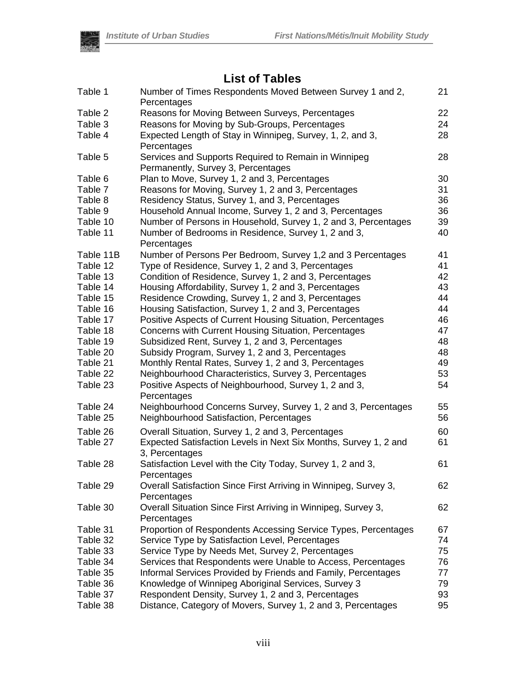

# **List of Tables**

| Table 1   | Number of Times Respondents Moved Between Survey 1 and 2,<br>Percentages                   | 21 |
|-----------|--------------------------------------------------------------------------------------------|----|
| Table 2   | Reasons for Moving Between Surveys, Percentages                                            | 22 |
| Table 3   | Reasons for Moving by Sub-Groups, Percentages                                              | 24 |
| Table 4   | Expected Length of Stay in Winnipeg, Survey, 1, 2, and 3,<br>Percentages                   | 28 |
| Table 5   | Services and Supports Required to Remain in Winnipeg<br>Permanently, Survey 3, Percentages | 28 |
| Table 6   | Plan to Move, Survey 1, 2 and 3, Percentages                                               | 30 |
| Table 7   | Reasons for Moving, Survey 1, 2 and 3, Percentages                                         | 31 |
| Table 8   | Residency Status, Survey 1, and 3, Percentages                                             | 36 |
| Table 9   | Household Annual Income, Survey 1, 2 and 3, Percentages                                    | 36 |
| Table 10  | Number of Persons in Household, Survey 1, 2 and 3, Percentages                             | 39 |
| Table 11  | Number of Bedrooms in Residence, Survey 1, 2 and 3,<br>Percentages                         | 40 |
| Table 11B | Number of Persons Per Bedroom, Survey 1,2 and 3 Percentages                                | 41 |
| Table 12  | Type of Residence, Survey 1, 2 and 3, Percentages                                          | 41 |
| Table 13  | Condition of Residence, Survey 1, 2 and 3, Percentages                                     | 42 |
| Table 14  | Housing Affordability, Survey 1, 2 and 3, Percentages                                      | 43 |
| Table 15  | Residence Crowding, Survey 1, 2 and 3, Percentages                                         | 44 |
| Table 16  | Housing Satisfaction, Survey 1, 2 and 3, Percentages                                       | 44 |
| Table 17  | Positive Aspects of Current Housing Situation, Percentages                                 | 46 |
| Table 18  | Concerns with Current Housing Situation, Percentages                                       | 47 |
| Table 19  | Subsidized Rent, Survey 1, 2 and 3, Percentages                                            | 48 |
| Table 20  | Subsidy Program, Survey 1, 2 and 3, Percentages                                            | 48 |
| Table 21  | Monthly Rental Rates, Survey 1, 2 and 3, Percentages                                       | 49 |
| Table 22  | Neighbourhood Characteristics, Survey 3, Percentages                                       | 53 |
| Table 23  | Positive Aspects of Neighbourhood, Survey 1, 2 and 3,<br>Percentages                       | 54 |
| Table 24  | Neighbourhood Concerns Survey, Survey 1, 2 and 3, Percentages                              | 55 |
| Table 25  | Neighbourhood Satisfaction, Percentages                                                    | 56 |
| Table 26  | Overall Situation, Survey 1, 2 and 3, Percentages                                          | 60 |
| Table 27  | Expected Satisfaction Levels in Next Six Months, Survey 1, 2 and<br>3, Percentages         | 61 |
| Table 28  | Satisfaction Level with the City Today, Survey 1, 2 and 3,<br>Percentages                  | 61 |
| Table 29  | Overall Satisfaction Since First Arriving in Winnipeg, Survey 3,<br>Percentages            | 62 |
| Table 30  | Overall Situation Since First Arriving in Winnipeg, Survey 3,<br>Percentages               | 62 |
| Table 31  | Proportion of Respondents Accessing Service Types, Percentages                             | 67 |
| Table 32  | Service Type by Satisfaction Level, Percentages                                            | 74 |
| Table 33  | Service Type by Needs Met, Survey 2, Percentages                                           | 75 |
| Table 34  | Services that Respondents were Unable to Access, Percentages                               | 76 |
| Table 35  | Informal Services Provided by Friends and Family, Percentages                              | 77 |
| Table 36  | Knowledge of Winnipeg Aboriginal Services, Survey 3                                        | 79 |
| Table 37  | Respondent Density, Survey 1, 2 and 3, Percentages                                         | 93 |
| Table 38  | Distance, Category of Movers, Survey 1, 2 and 3, Percentages                               | 95 |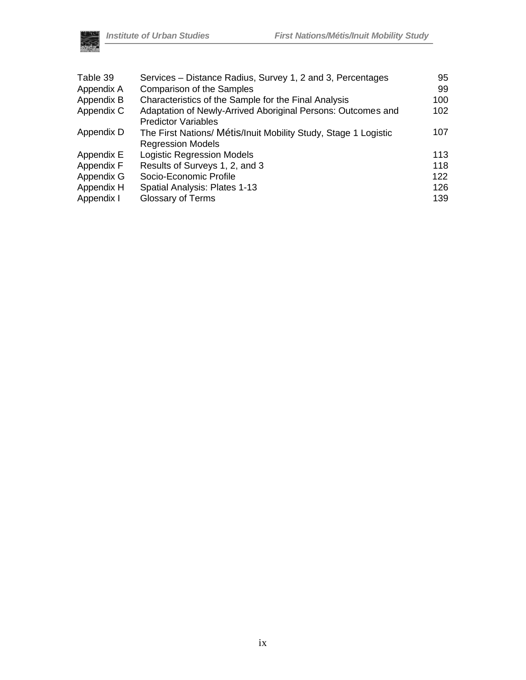

| Table 39   | Services – Distance Radius, Survey 1, 2 and 3, Percentages      | 95  |
|------------|-----------------------------------------------------------------|-----|
| Appendix A | <b>Comparison of the Samples</b>                                | 99  |
| Appendix B | Characteristics of the Sample for the Final Analysis            | 100 |
| Appendix C | Adaptation of Newly-Arrived Aboriginal Persons: Outcomes and    | 102 |
|            | <b>Predictor Variables</b>                                      |     |
| Appendix D | The First Nations/ Métis/Inuit Mobility Study, Stage 1 Logistic | 107 |
|            | <b>Regression Models</b>                                        |     |
| Appendix E | <b>Logistic Regression Models</b>                               | 113 |
| Appendix F | Results of Surveys 1, 2, and 3                                  | 118 |
| Appendix G | Socio-Economic Profile                                          | 122 |
| Appendix H | Spatial Analysis: Plates 1-13                                   | 126 |
| Appendix I | Glossary of Terms                                               | 139 |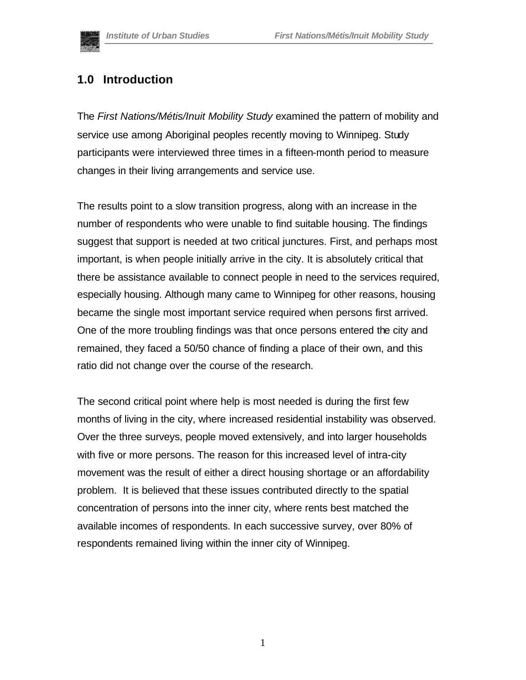# **1.0 Introduction**

The *First Nations/Métis/Inuit Mobility Study* examined the pattern of mobility and service use among Aboriginal peoples recently moving to Winnipeg. Study participants were interviewed three times in a fifteen-month period to measure changes in their living arrangements and service use.

The results point to a slow transition progress, along with an increase in the number of respondents who were unable to find suitable housing. The findings suggest that support is needed at two critical junctures. First, and perhaps most important, is when people initially arrive in the city. It is absolutely critical that there be assistance available to connect people in need to the services required, especially housing. Although many came to Winnipeg for other reasons, housing became the single most important service required when persons first arrived. One of the more troubling findings was that once persons entered the city and remained, they faced a 50/50 chance of finding a place of their own, and this ratio did not change over the course of the research.

The second critical point where help is most needed is during the first few months of living in the city, where increased residential instability was observed. Over the three surveys, people moved extensively, and into larger households with five or more persons. The reason for this increased level of intra-city movement was the result of either a direct housing shortage or an affordability problem. It is believed that these issues contributed directly to the spatial concentration of persons into the inner city, where rents best matched the available incomes of respondents. In each successive survey, over 80% of respondents remained living within the inner city of Winnipeg.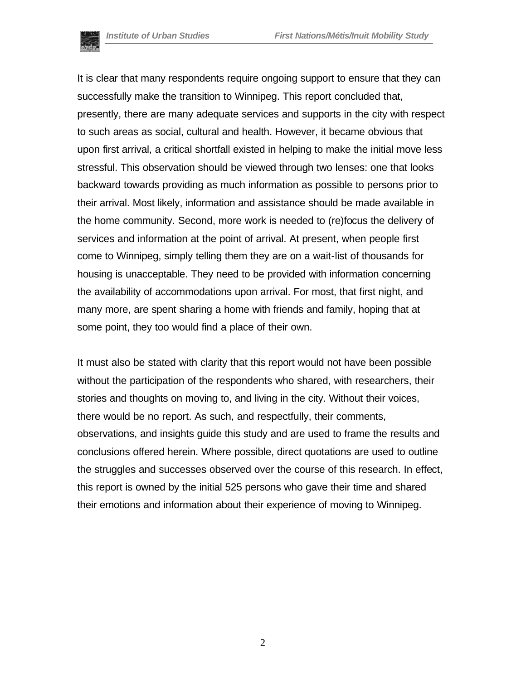

It is clear that many respondents require ongoing support to ensure that they can successfully make the transition to Winnipeg. This report concluded that, presently, there are many adequate services and supports in the city with respect to such areas as social, cultural and health. However, it became obvious that upon first arrival, a critical shortfall existed in helping to make the initial move less stressful. This observation should be viewed through two lenses: one that looks backward towards providing as much information as possible to persons prior to their arrival. Most likely, information and assistance should be made available in the home community. Second, more work is needed to (re)focus the delivery of services and information at the point of arrival. At present, when people first come to Winnipeg, simply telling them they are on a wait-list of thousands for housing is unacceptable. They need to be provided with information concerning the availability of accommodations upon arrival. For most, that first night, and many more, are spent sharing a home with friends and family, hoping that at some point, they too would find a place of their own.

It must also be stated with clarity that this report would not have been possible without the participation of the respondents who shared, with researchers, their stories and thoughts on moving to, and living in the city. Without their voices, there would be no report. As such, and respectfully, their comments, observations, and insights guide this study and are used to frame the results and conclusions offered herein. Where possible, direct quotations are used to outline the struggles and successes observed over the course of this research. In effect, this report is owned by the initial 525 persons who gave their time and shared their emotions and information about their experience of moving to Winnipeg.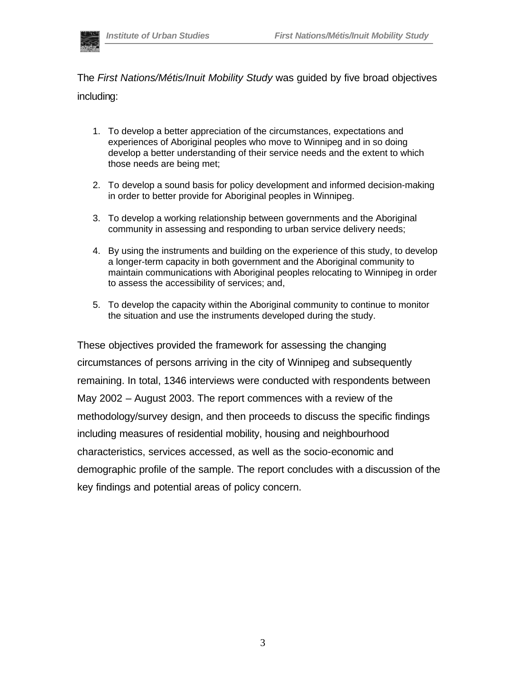

The *First Nations/Métis/Inuit Mobility Study* was guided by five broad objectives including:

- 1. To develop a better appreciation of the circumstances, expectations and experiences of Aboriginal peoples who move to Winnipeg and in so doing develop a better understanding of their service needs and the extent to which those needs are being met;
- 2. To develop a sound basis for policy development and informed decision-making in order to better provide for Aboriginal peoples in Winnipeg.
- 3. To develop a working relationship between governments and the Aboriginal community in assessing and responding to urban service delivery needs;
- 4. By using the instruments and building on the experience of this study, to develop a longer-term capacity in both government and the Aboriginal community to maintain communications with Aboriginal peoples relocating to Winnipeg in order to assess the accessibility of services; and,
- 5. To develop the capacity within the Aboriginal community to continue to monitor the situation and use the instruments developed during the study.

These objectives provided the framework for assessing the changing circumstances of persons arriving in the city of Winnipeg and subsequently remaining. In total, 1346 interviews were conducted with respondents between May 2002 – August 2003. The report commences with a review of the methodology/survey design, and then proceeds to discuss the specific findings including measures of residential mobility, housing and neighbourhood characteristics, services accessed, as well as the socio-economic and demographic profile of the sample. The report concludes with a discussion of the key findings and potential areas of policy concern.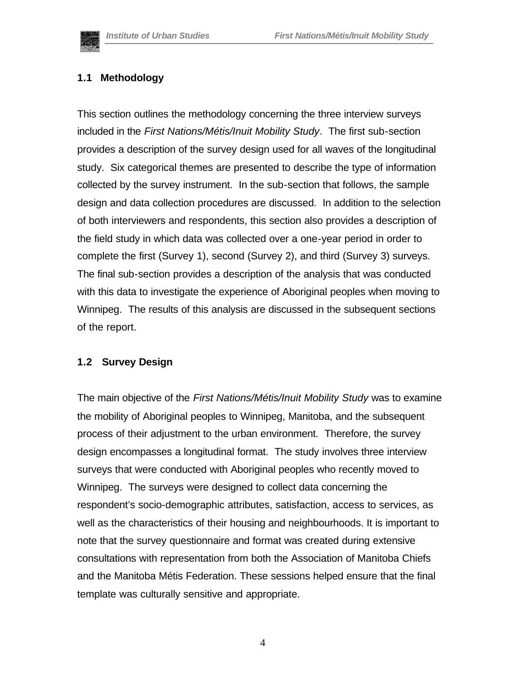#### **1.1 Methodology**

This section outlines the methodology concerning the three interview surveys included in the *First Nations/Métis/Inuit Mobility Study*. The first sub-section provides a description of the survey design used for all waves of the longitudinal study. Six categorical themes are presented to describe the type of information collected by the survey instrument. In the sub-section that follows, the sample design and data collection procedures are discussed. In addition to the selection of both interviewers and respondents, this section also provides a description of the field study in which data was collected over a one-year period in order to complete the first (Survey 1), second (Survey 2), and third (Survey 3) surveys. The final sub-section provides a description of the analysis that was conducted with this data to investigate the experience of Aboriginal peoples when moving to Winnipeg. The results of this analysis are discussed in the subsequent sections of the report.

#### **1.2 Survey Design**

The main objective of the *First Nations/Métis/Inuit Mobility Study* was to examine the mobility of Aboriginal peoples to Winnipeg, Manitoba, and the subsequent process of their adjustment to the urban environment. Therefore, the survey design encompasses a longitudinal format. The study involves three interview surveys that were conducted with Aboriginal peoples who recently moved to Winnipeg. The surveys were designed to collect data concerning the respondent's socio-demographic attributes, satisfaction, access to services, as well as the characteristics of their housing and neighbourhoods. It is important to note that the survey questionnaire and format was created during extensive consultations with representation from both the Association of Manitoba Chiefs and the Manitoba Métis Federation. These sessions helped ensure that the final template was culturally sensitive and appropriate.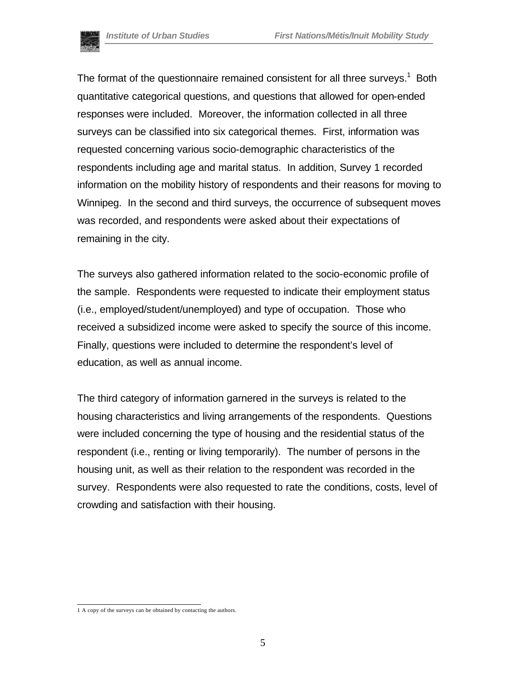

The format of the questionnaire remained consistent for all three surveys.<sup>1</sup> Both quantitative categorical questions, and questions that allowed for open-ended responses were included. Moreover, the information collected in all three surveys can be classified into six categorical themes. First, information was requested concerning various socio-demographic characteristics of the respondents including age and marital status. In addition, Survey 1 recorded information on the mobility history of respondents and their reasons for moving to Winnipeg. In the second and third surveys, the occurrence of subsequent moves was recorded, and respondents were asked about their expectations of remaining in the city.

The surveys also gathered information related to the socio-economic profile of the sample. Respondents were requested to indicate their employment status (i.e., employed/student/unemployed) and type of occupation. Those who received a subsidized income were asked to specify the source of this income. Finally, questions were included to determine the respondent's level of education, as well as annual income.

The third category of information garnered in the surveys is related to the housing characteristics and living arrangements of the respondents. Questions were included concerning the type of housing and the residential status of the respondent (i.e., renting or living temporarily). The number of persons in the housing unit, as well as their relation to the respondent was recorded in the survey. Respondents were also requested to rate the conditions, costs, level of crowding and satisfaction with their housing.

 1 A copy of the surveys can be obtained by contacting the authors.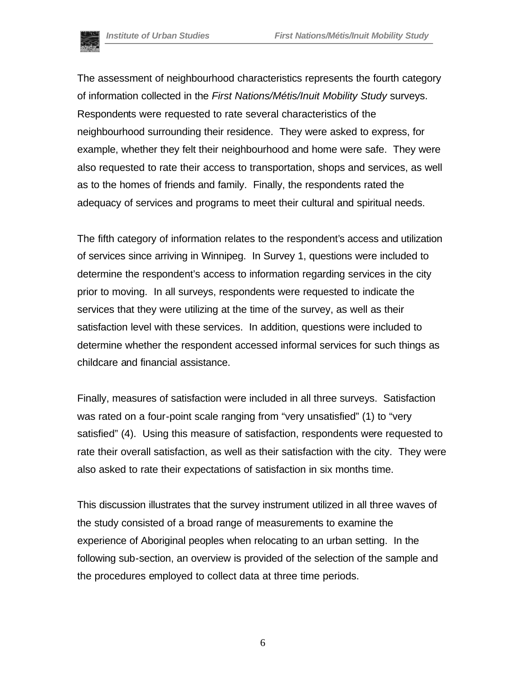

The assessment of neighbourhood characteristics represents the fourth category of information collected in the *First Nations/Métis/Inuit Mobility Study* surveys. Respondents were requested to rate several characteristics of the neighbourhood surrounding their residence. They were asked to express, for example, whether they felt their neighbourhood and home were safe. They were also requested to rate their access to transportation, shops and services, as well as to the homes of friends and family. Finally, the respondents rated the adequacy of services and programs to meet their cultural and spiritual needs.

The fifth category of information relates to the respondent's access and utilization of services since arriving in Winnipeg. In Survey 1, questions were included to determine the respondent's access to information regarding services in the city prior to moving. In all surveys, respondents were requested to indicate the services that they were utilizing at the time of the survey, as well as their satisfaction level with these services. In addition, questions were included to determine whether the respondent accessed informal services for such things as childcare and financial assistance.

Finally, measures of satisfaction were included in all three surveys. Satisfaction was rated on a four-point scale ranging from "very unsatisfied" (1) to "very satisfied" (4). Using this measure of satisfaction, respondents were requested to rate their overall satisfaction, as well as their satisfaction with the city. They were also asked to rate their expectations of satisfaction in six months time.

This discussion illustrates that the survey instrument utilized in all three waves of the study consisted of a broad range of measurements to examine the experience of Aboriginal peoples when relocating to an urban setting. In the following sub-section, an overview is provided of the selection of the sample and the procedures employed to collect data at three time periods.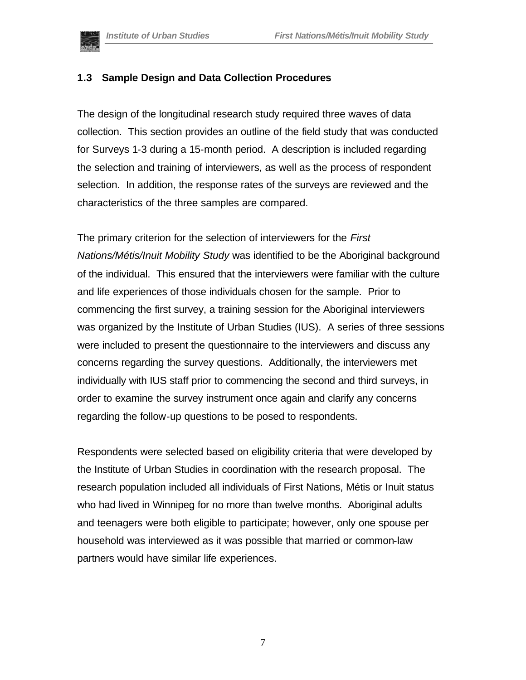

#### **1.3 Sample Design and Data Collection Procedures**

The design of the longitudinal research study required three waves of data collection. This section provides an outline of the field study that was conducted for Surveys 1-3 during a 15-month period. A description is included regarding the selection and training of interviewers, as well as the process of respondent selection. In addition, the response rates of the surveys are reviewed and the characteristics of the three samples are compared.

The primary criterion for the selection of interviewers for the *First Nations/Métis/Inuit Mobility Study* was identified to be the Aboriginal background of the individual. This ensured that the interviewers were familiar with the culture and life experiences of those individuals chosen for the sample. Prior to commencing the first survey, a training session for the Aboriginal interviewers was organized by the Institute of Urban Studies (IUS). A series of three sessions were included to present the questionnaire to the interviewers and discuss any concerns regarding the survey questions. Additionally, the interviewers met individually with IUS staff prior to commencing the second and third surveys, in order to examine the survey instrument once again and clarify any concerns regarding the follow-up questions to be posed to respondents.

Respondents were selected based on eligibility criteria that were developed by the Institute of Urban Studies in coordination with the research proposal. The research population included all individuals of First Nations, Métis or Inuit status who had lived in Winnipeg for no more than twelve months. Aboriginal adults and teenagers were both eligible to participate; however, only one spouse per household was interviewed as it was possible that married or common-law partners would have similar life experiences.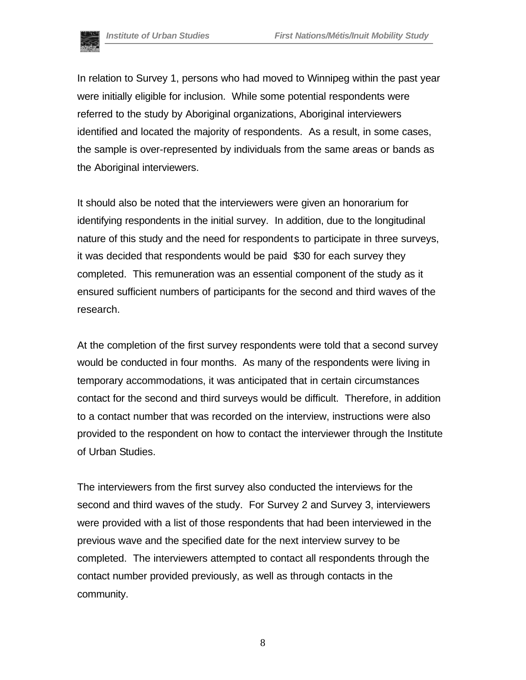

In relation to Survey 1, persons who had moved to Winnipeg within the past year were initially eligible for inclusion. While some potential respondents were referred to the study by Aboriginal organizations, Aboriginal interviewers identified and located the majority of respondents. As a result, in some cases, the sample is over-represented by individuals from the same areas or bands as the Aboriginal interviewers.

It should also be noted that the interviewers were given an honorarium for identifying respondents in the initial survey. In addition, due to the longitudinal nature of this study and the need for respondents to participate in three surveys, it was decided that respondents would be paid \$30 for each survey they completed. This remuneration was an essential component of the study as it ensured sufficient numbers of participants for the second and third waves of the research.

At the completion of the first survey respondents were told that a second survey would be conducted in four months. As many of the respondents were living in temporary accommodations, it was anticipated that in certain circumstances contact for the second and third surveys would be difficult. Therefore, in addition to a contact number that was recorded on the interview, instructions were also provided to the respondent on how to contact the interviewer through the Institute of Urban Studies.

The interviewers from the first survey also conducted the interviews for the second and third waves of the study. For Survey 2 and Survey 3, interviewers were provided with a list of those respondents that had been interviewed in the previous wave and the specified date for the next interview survey to be completed. The interviewers attempted to contact all respondents through the contact number provided previously, as well as through contacts in the community.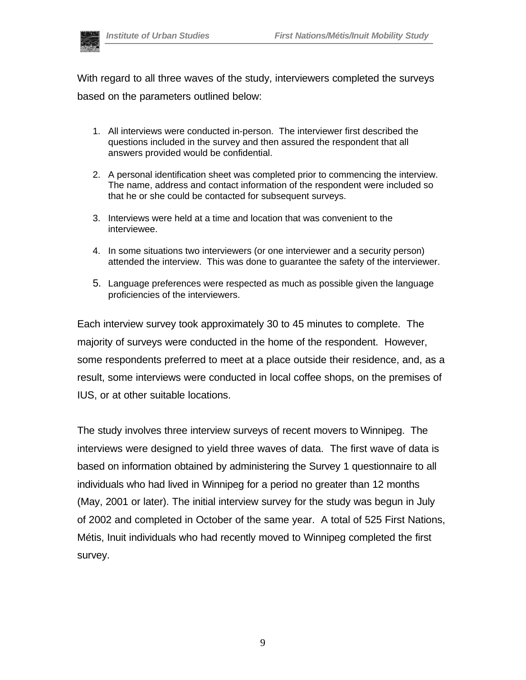

With regard to all three waves of the study, interviewers completed the surveys based on the parameters outlined below:

- 1. All interviews were conducted in-person. The interviewer first described the questions included in the survey and then assured the respondent that all answers provided would be confidential.
- 2. A personal identification sheet was completed prior to commencing the interview. The name, address and contact information of the respondent were included so that he or she could be contacted for subsequent surveys.
- 3. Interviews were held at a time and location that was convenient to the interviewee.
- 4. In some situations two interviewers (or one interviewer and a security person) attended the interview. This was done to guarantee the safety of the interviewer.
- 5. Language preferences were respected as much as possible given the language proficiencies of the interviewers.

Each interview survey took approximately 30 to 45 minutes to complete. The majority of surveys were conducted in the home of the respondent. However, some respondents preferred to meet at a place outside their residence, and, as a result, some interviews were conducted in local coffee shops, on the premises of IUS, or at other suitable locations.

The study involves three interview surveys of recent movers to Winnipeg. The interviews were designed to yield three waves of data. The first wave of data is based on information obtained by administering the Survey 1 questionnaire to all individuals who had lived in Winnipeg for a period no greater than 12 months (May, 2001 or later). The initial interview survey for the study was begun in July of 2002 and completed in October of the same year. A total of 525 First Nations, Métis, Inuit individuals who had recently moved to Winnipeg completed the first survey.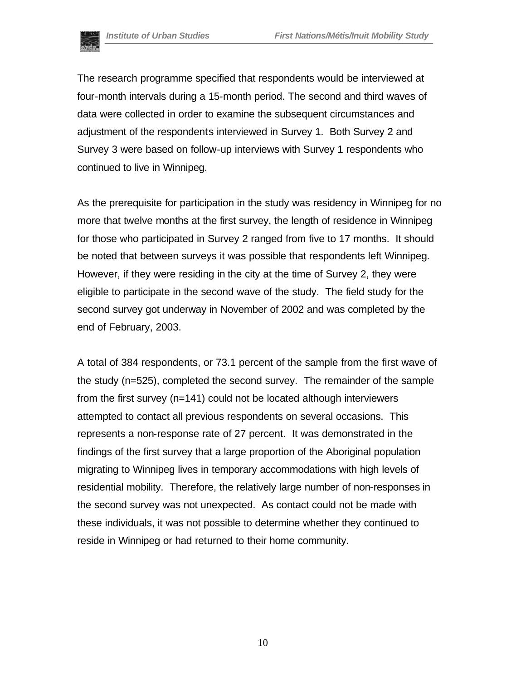

The research programme specified that respondents would be interviewed at four-month intervals during a 15-month period. The second and third waves of data were collected in order to examine the subsequent circumstances and adjustment of the respondents interviewed in Survey 1. Both Survey 2 and Survey 3 were based on follow-up interviews with Survey 1 respondents who continued to live in Winnipeg.

As the prerequisite for participation in the study was residency in Winnipeg for no more that twelve months at the first survey, the length of residence in Winnipeg for those who participated in Survey 2 ranged from five to 17 months. It should be noted that between surveys it was possible that respondents left Winnipeg. However, if they were residing in the city at the time of Survey 2, they were eligible to participate in the second wave of the study. The field study for the second survey got underway in November of 2002 and was completed by the end of February, 2003.

A total of 384 respondents, or 73.1 percent of the sample from the first wave of the study (n=525), completed the second survey. The remainder of the sample from the first survey (n=141) could not be located although interviewers attempted to contact all previous respondents on several occasions. This represents a non-response rate of 27 percent. It was demonstrated in the findings of the first survey that a large proportion of the Aboriginal population migrating to Winnipeg lives in temporary accommodations with high levels of residential mobility. Therefore, the relatively large number of non-responses in the second survey was not unexpected. As contact could not be made with these individuals, it was not possible to determine whether they continued to reside in Winnipeg or had returned to their home community.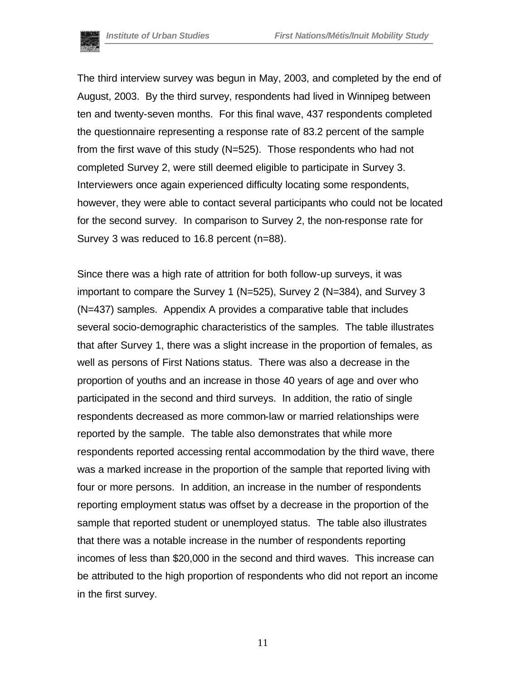

The third interview survey was begun in May, 2003, and completed by the end of August, 2003. By the third survey, respondents had lived in Winnipeg between ten and twenty-seven months. For this final wave, 437 respondents completed the questionnaire representing a response rate of 83.2 percent of the sample from the first wave of this study (N=525). Those respondents who had not completed Survey 2, were still deemed eligible to participate in Survey 3. Interviewers once again experienced difficulty locating some respondents, however, they were able to contact several participants who could not be located for the second survey. In comparison to Survey 2, the non-response rate for Survey 3 was reduced to 16.8 percent (n=88).

Since there was a high rate of attrition for both follow-up surveys, it was important to compare the Survey 1 (N=525), Survey 2 (N=384), and Survey 3 (N=437) samples. Appendix A provides a comparative table that includes several socio-demographic characteristics of the samples. The table illustrates that after Survey 1, there was a slight increase in the proportion of females, as well as persons of First Nations status. There was also a decrease in the proportion of youths and an increase in those 40 years of age and over who participated in the second and third surveys. In addition, the ratio of single respondents decreased as more common-law or married relationships were reported by the sample. The table also demonstrates that while more respondents reported accessing rental accommodation by the third wave, there was a marked increase in the proportion of the sample that reported living with four or more persons. In addition, an increase in the number of respondents reporting employment status was offset by a decrease in the proportion of the sample that reported student or unemployed status. The table also illustrates that there was a notable increase in the number of respondents reporting incomes of less than \$20,000 in the second and third waves. This increase can be attributed to the high proportion of respondents who did not report an income in the first survey.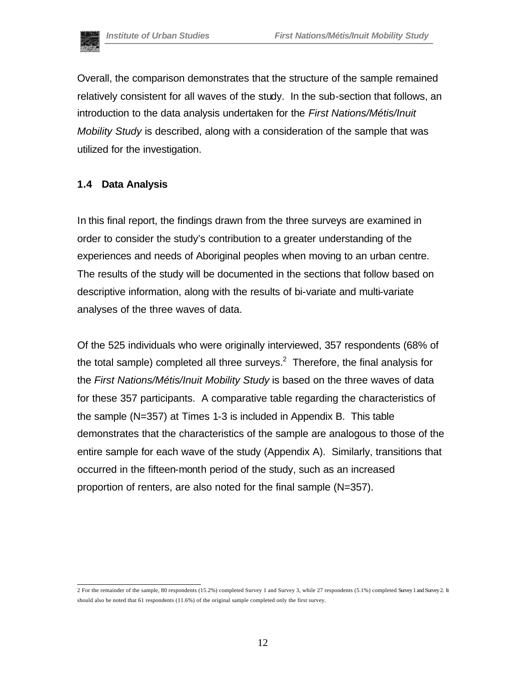

Overall, the comparison demonstrates that the structure of the sample remained relatively consistent for all waves of the study. In the sub-section that follows, an introduction to the data analysis undertaken for the *First Nations/Métis/Inuit Mobility Study* is described, along with a consideration of the sample that was utilized for the investigation.

#### **1.4 Data Analysis**

In this final report, the findings drawn from the three surveys are examined in order to consider the study's contribution to a greater understanding of the experiences and needs of Aboriginal peoples when moving to an urban centre. The results of the study will be documented in the sections that follow based on descriptive information, along with the results of bi-variate and multi-variate analyses of the three waves of data.

Of the 525 individuals who were originally interviewed, 357 respondents (68% of the total sample) completed all three surveys.<sup>2</sup> Therefore, the final analysis for the *First Nations/Métis/Inuit Mobility Study* is based on the three waves of data for these 357 participants. A comparative table regarding the characteristics of the sample (N=357) at Times 1-3 is included in Appendix B. This table demonstrates that the characteristics of the sample are analogous to those of the entire sample for each wave of the study (Appendix A). Similarly, transitions that occurred in the fifteen-month period of the study, such as an increased proportion of renters, are also noted for the final sample (N=357).

 2 For the remainder of the sample, 80 respondents (15.2%) completed Survey 1 and Survey 3, while 27 respondents (5.1%) completed Survey 1 and Survey 2. It should also be noted that 61 respondents (11.6%) of the original sample completed only the first survey.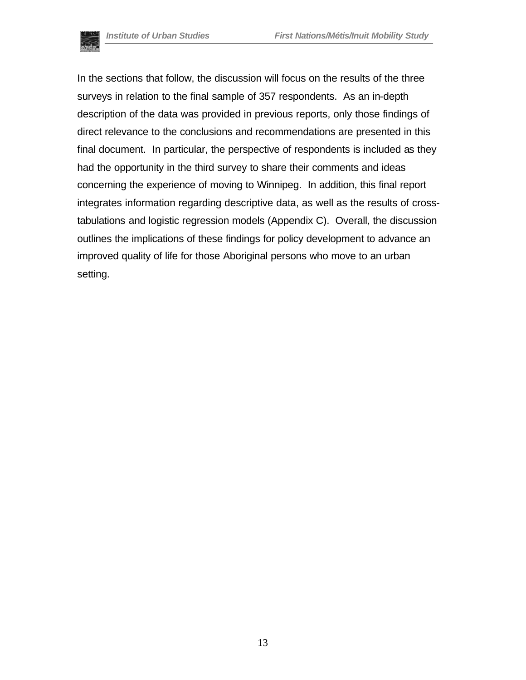

In the sections that follow, the discussion will focus on the results of the three surveys in relation to the final sample of 357 respondents. As an in-depth description of the data was provided in previous reports, only those findings of direct relevance to the conclusions and recommendations are presented in this final document. In particular, the perspective of respondents is included as they had the opportunity in the third survey to share their comments and ideas concerning the experience of moving to Winnipeg. In addition, this final report integrates information regarding descriptive data, as well as the results of crosstabulations and logistic regression models (Appendix C). Overall, the discussion outlines the implications of these findings for policy development to advance an improved quality of life for those Aboriginal persons who move to an urban setting.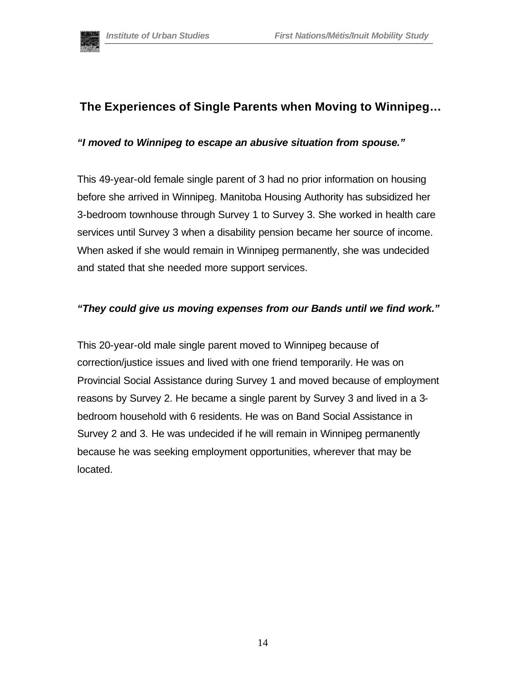## **The Experiences of Single Parents when Moving to Winnipeg…**

#### *"I moved to Winnipeg to escape an abusive situation from spouse."*

This 49-year-old female single parent of 3 had no prior information on housing before she arrived in Winnipeg. Manitoba Housing Authority has subsidized her 3-bedroom townhouse through Survey 1 to Survey 3. She worked in health care services until Survey 3 when a disability pension became her source of income. When asked if she would remain in Winnipeg permanently, she was undecided and stated that she needed more support services.

#### *"They could give us moving expenses from our Bands until we find work."*

This 20-year-old male single parent moved to Winnipeg because of correction/justice issues and lived with one friend temporarily. He was on Provincial Social Assistance during Survey 1 and moved because of employment reasons by Survey 2. He became a single parent by Survey 3 and lived in a 3 bedroom household with 6 residents. He was on Band Social Assistance in Survey 2 and 3. He was undecided if he will remain in Winnipeg permanently because he was seeking employment opportunities, wherever that may be located.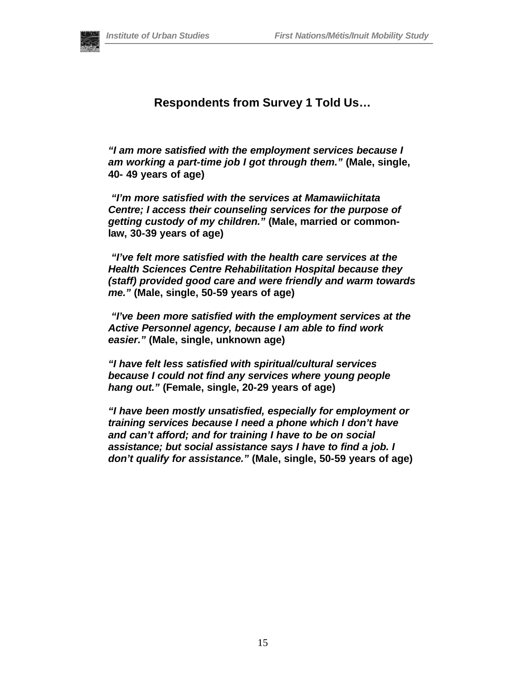

**Respondents from Survey 1 Told Us…**

*"I am more satisfied with the employment services because I am working a part-time job I got through them."* **(Male, single, 40- 49 years of age)**

*"I'm more satisfied with the services at Mamawiichitata Centre; I access their counseling services for the purpose of getting custody of my children."* **(Male, married or commonlaw, 30-39 years of age)**

 *"I've felt more satisfied with the health care services at the Health Sciences Centre Rehabilitation Hospital because they (staff) provided good care and were friendly and warm towards me."* **(Male, single, 50-59 years of age)**

*"I've been more satisfied with the employment services at the Active Personnel agency, because I am able to find work easier."* **(Male, single, unknown age)**

*"I have felt less satisfied with spiritual/cultural services because I could not find any services where young people hang out."* **(Female, single, 20-29 years of age)**

*"I have been mostly unsatisfied, especially for employment or training services because I need a phone which I don't have and can't afford; and for training I have to be on social assistance; but social assistance says I have to find a job. I don't qualify for assistance."* **(Male, single, 50-59 years of age)**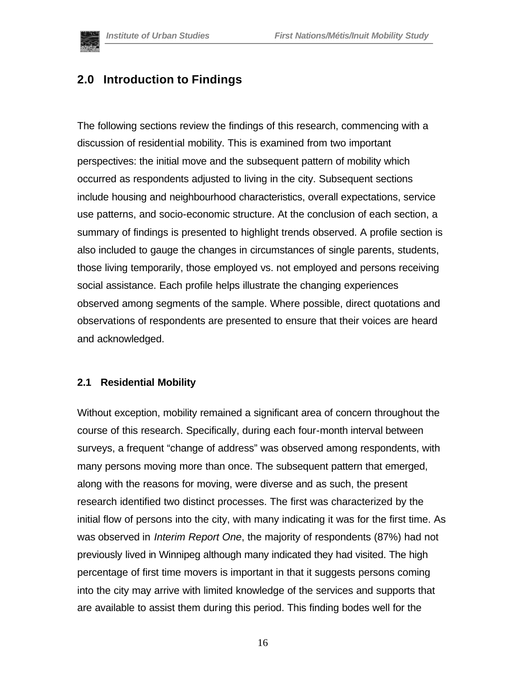



# **2.0 Introduction to Findings**

The following sections review the findings of this research, commencing with a discussion of residential mobility. This is examined from two important perspectives: the initial move and the subsequent pattern of mobility which occurred as respondents adjusted to living in the city. Subsequent sections include housing and neighbourhood characteristics, overall expectations, service use patterns, and socio-economic structure. At the conclusion of each section, a summary of findings is presented to highlight trends observed. A profile section is also included to gauge the changes in circumstances of single parents, students, those living temporarily, those employed vs. not employed and persons receiving social assistance. Each profile helps illustrate the changing experiences observed among segments of the sample. Where possible, direct quotations and observations of respondents are presented to ensure that their voices are heard and acknowledged.

#### **2.1 Residential Mobility**

Without exception, mobility remained a significant area of concern throughout the course of this research. Specifically, during each four-month interval between surveys, a frequent "change of address" was observed among respondents, with many persons moving more than once. The subsequent pattern that emerged, along with the reasons for moving, were diverse and as such, the present research identified two distinct processes. The first was characterized by the initial flow of persons into the city, with many indicating it was for the first time. As was observed in *Interim Report One*, the majority of respondents (87%) had not previously lived in Winnipeg although many indicated they had visited. The high percentage of first time movers is important in that it suggests persons coming into the city may arrive with limited knowledge of the services and supports that are available to assist them during this period. This finding bodes well for the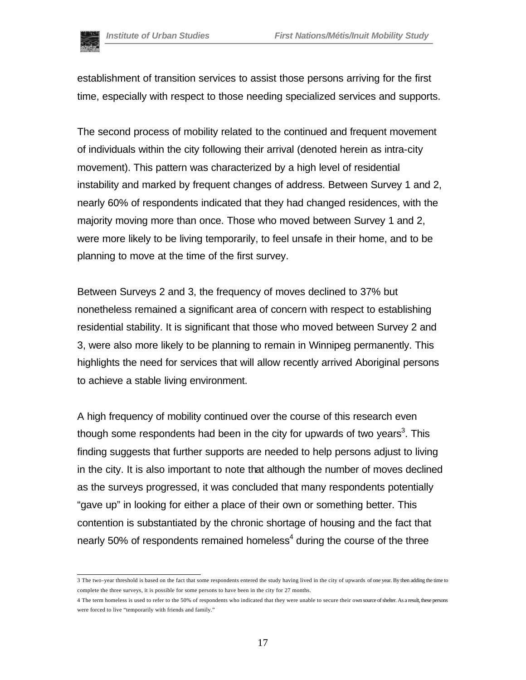

establishment of transition services to assist those persons arriving for the first time, especially with respect to those needing specialized services and supports.

The second process of mobility related to the continued and frequent movement of individuals within the city following their arrival (denoted herein as intra-city movement). This pattern was characterized by a high level of residential instability and marked by frequent changes of address. Between Survey 1 and 2, nearly 60% of respondents indicated that they had changed residences, with the majority moving more than once. Those who moved between Survey 1 and 2, were more likely to be living temporarily, to feel unsafe in their home, and to be planning to move at the time of the first survey.

Between Surveys 2 and 3, the frequency of moves declined to 37% but nonetheless remained a significant area of concern with respect to establishing residential stability. It is significant that those who moved between Survey 2 and 3, were also more likely to be planning to remain in Winnipeg permanently. This highlights the need for services that will allow recently arrived Aboriginal persons to achieve a stable living environment.

A high frequency of mobility continued over the course of this research even though some respondents had been in the city for upwards of two years<sup>3</sup>. This finding suggests that further supports are needed to help persons adjust to living in the city. It is also important to note that although the number of moves declined as the surveys progressed, it was concluded that many respondents potentially "gave up" in looking for either a place of their own or something better. This contention is substantiated by the chronic shortage of housing and the fact that nearly 50% of respondents remained homeless<sup>4</sup> during the course of the three

 3 The two-year threshold is based on the fact that some respondents entered the study having lived in the city of upwards of one year. By then adding the time to complete the three surveys, it is possible for some persons to have been in the city for 27 months.

<sup>4</sup> The term homeless is used to refer to the 50% of respondents who indicated that they were unable to secure their own source of shelter. As a result, these persons were forced to live "temporarily with friends and family."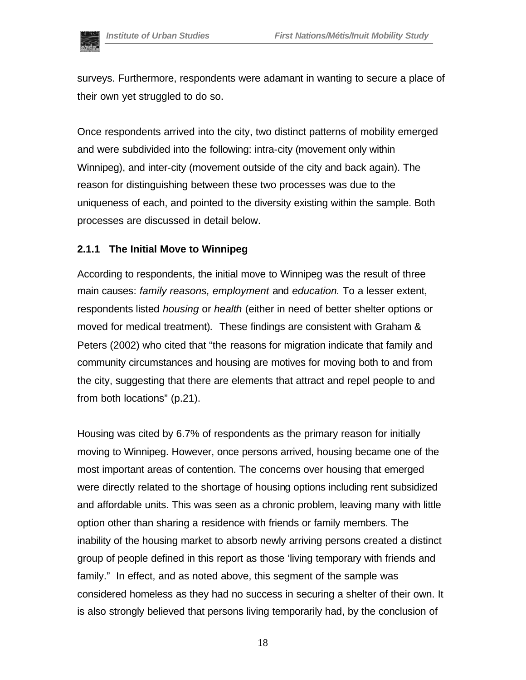

surveys. Furthermore, respondents were adamant in wanting to secure a place of their own yet struggled to do so.

Once respondents arrived into the city, two distinct patterns of mobility emerged and were subdivided into the following: intra-city (movement only within Winnipeg), and inter-city (movement outside of the city and back again). The reason for distinguishing between these two processes was due to the uniqueness of each, and pointed to the diversity existing within the sample. Both processes are discussed in detail below.

#### **2.1.1 The Initial Move to Winnipeg**

According to respondents, the initial move to Winnipeg was the result of three main causes: *family reasons, employment* and *education.* To a lesser extent, respondents listed *housing* or *health* (either in need of better shelter options or moved for medical treatment)*.* These findings are consistent with Graham & Peters (2002) who cited that "the reasons for migration indicate that family and community circumstances and housing are motives for moving both to and from the city, suggesting that there are elements that attract and repel people to and from both locations" (p.21).

Housing was cited by 6.7% of respondents as the primary reason for initially moving to Winnipeg. However, once persons arrived, housing became one of the most important areas of contention. The concerns over housing that emerged were directly related to the shortage of housing options including rent subsidized and affordable units. This was seen as a chronic problem, leaving many with little option other than sharing a residence with friends or family members. The inability of the housing market to absorb newly arriving persons created a distinct group of people defined in this report as those 'living temporary with friends and family." In effect, and as noted above, this segment of the sample was considered homeless as they had no success in securing a shelter of their own. It is also strongly believed that persons living temporarily had, by the conclusion of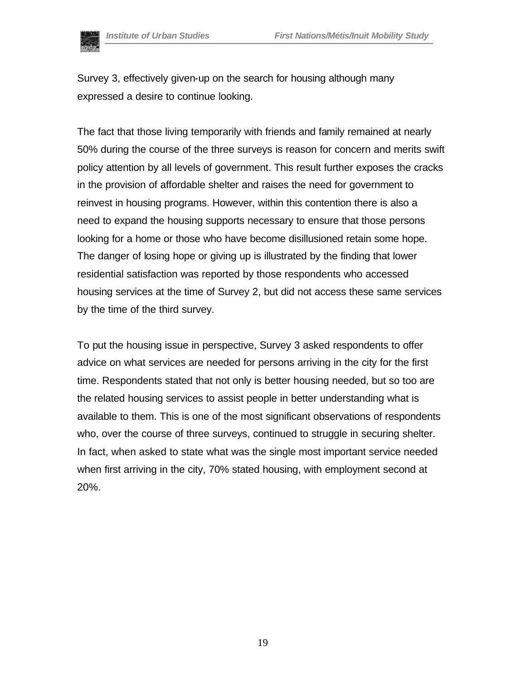

Survey 3, effectively given-up on the search for housing although many expressed a desire to continue looking.

The fact that those living temporarily with friends and family remained at nearly 50% during the course of the three surveys is reason for concern and merits swift policy attention by all levels of government. This result further exposes the cracks in the provision of affordable shelter and raises the need for government to reinvest in housing programs. However, within this contention there is also a need to expand the housing supports necessary to ensure that those persons looking for a home or those who have become disillusioned retain some hope. The danger of losing hope or giving up is illustrated by the finding that lower residential satisfaction was reported by those respondents who accessed housing services at the time of Survey 2, but did not access these same services by the time of the third survey.

To put the housing issue in perspective, Survey 3 asked respondents to offer advice on what services are needed for persons arriving in the city for the first time. Respondents stated that not only is better housing needed, but so too are the related housing services to assist people in better understanding what is available to them. This is one of the most significant observations of respondents who, over the course of three surveys, continued to struggle in securing shelter. In fact, when asked to state what was the single most important service needed when first arriving in the city, 70% stated housing, with employment second at 20%.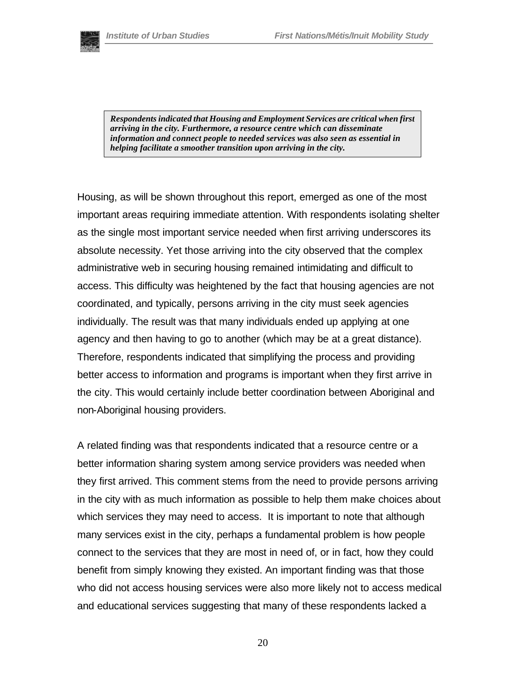*Respondents indicated that Housing and Employment Services are critical when first arriving in the city. Furthermore, a resource centre which can disseminate information and connect people to needed services was also seen as essential in helping facilitate a smoother transition upon arriving in the city.*

Housing, as will be shown throughout this report, emerged as one of the most important areas requiring immediate attention. With respondents isolating shelter as the single most important service needed when first arriving underscores its absolute necessity. Yet those arriving into the city observed that the complex administrative web in securing housing remained intimidating and difficult to access. This difficulty was heightened by the fact that housing agencies are not coordinated, and typically, persons arriving in the city must seek agencies individually. The result was that many individuals ended up applying at one agency and then having to go to another (which may be at a great distance). Therefore, respondents indicated that simplifying the process and providing better access to information and programs is important when they first arrive in the city. This would certainly include better coordination between Aboriginal and non-Aboriginal housing providers.

A related finding was that respondents indicated that a resource centre or a better information sharing system among service providers was needed when they first arrived. This comment stems from the need to provide persons arriving in the city with as much information as possible to help them make choices about which services they may need to access. It is important to note that although many services exist in the city, perhaps a fundamental problem is how people connect to the services that they are most in need of, or in fact, how they could benefit from simply knowing they existed. An important finding was that those who did not access housing services were also more likely not to access medical and educational services suggesting that many of these respondents lacked a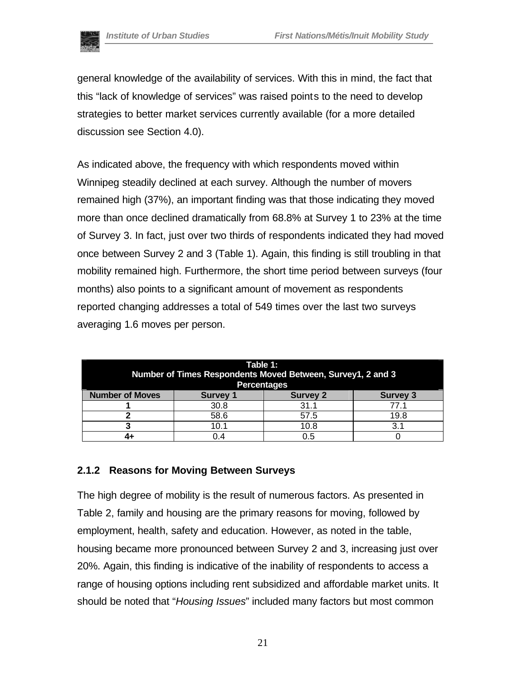

general knowledge of the availability of services. With this in mind, the fact that this "lack of knowledge of services" was raised points to the need to develop strategies to better market services currently available (for a more detailed discussion see Section 4.0).

As indicated above, the frequency with which respondents moved within Winnipeg steadily declined at each survey. Although the number of movers remained high (37%), an important finding was that those indicating they moved more than once declined dramatically from 68.8% at Survey 1 to 23% at the time of Survey 3. In fact, just over two thirds of respondents indicated they had moved once between Survey 2 and 3 (Table 1). Again, this finding is still troubling in that mobility remained high. Furthermore, the short time period between surveys (four months) also points to a significant amount of movement as respondents reported changing addresses a total of 549 times over the last two surveys averaging 1.6 moves per person.

| Table 1:<br>Number of Times Respondents Moved Between, Survey1, 2 and 3<br><b>Percentages</b> |                 |                 |                 |  |
|-----------------------------------------------------------------------------------------------|-----------------|-----------------|-----------------|--|
| <b>Number of Moves</b>                                                                        | <b>Survey 1</b> | <b>Survey 2</b> | <b>Survey 3</b> |  |
|                                                                                               | 30.8            | 31.1            |                 |  |
|                                                                                               | 58.6            | 57.5            | 19.8            |  |
|                                                                                               | 10.1            | 10.8            |                 |  |
|                                                                                               |                 | 0.5             |                 |  |

#### **2.1.2 Reasons for Moving Between Surveys**

The high degree of mobility is the result of numerous factors. As presented in Table 2, family and housing are the primary reasons for moving, followed by employment, health, safety and education. However, as noted in the table, housing became more pronounced between Survey 2 and 3, increasing just over 20%. Again, this finding is indicative of the inability of respondents to access a range of housing options including rent subsidized and affordable market units. It should be noted that "*Housing Issues*" included many factors but most common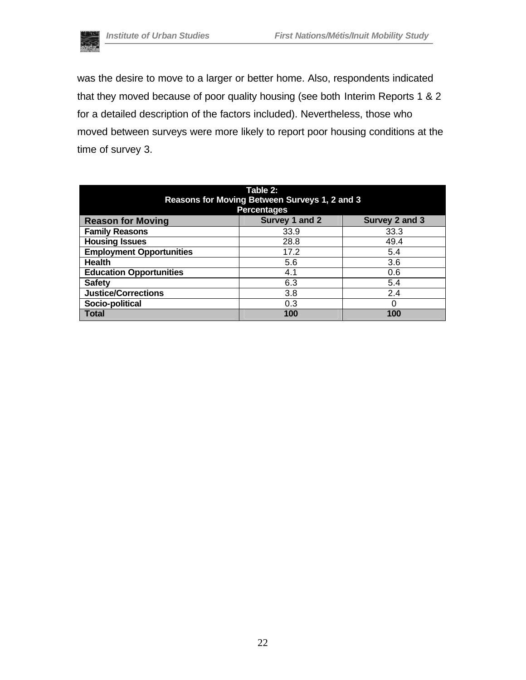

was the desire to move to a larger or better home. Also, respondents indicated that they moved because of poor quality housing (see both Interim Reports 1 & 2 for a detailed description of the factors included). Nevertheless, those who moved between surveys were more likely to report poor housing conditions at the time of survey 3.

| Table 2:<br>Reasons for Moving Between Surveys 1, 2 and 3<br><b>Percentages</b> |                |                |  |  |
|---------------------------------------------------------------------------------|----------------|----------------|--|--|
| <b>Reason for Moving</b>                                                        | Survey 1 and 2 | Survey 2 and 3 |  |  |
| <b>Family Reasons</b>                                                           | 33.9           | 33.3           |  |  |
| <b>Housing Issues</b>                                                           | 28.8           | 49.4           |  |  |
| <b>Employment Opportunities</b>                                                 | 17.2           | 5.4            |  |  |
| <b>Health</b>                                                                   | 5.6            | 3.6            |  |  |
| <b>Education Opportunities</b>                                                  | 4.1            | 0.6            |  |  |
| <b>Safety</b>                                                                   | 6.3            | 5.4            |  |  |
| <b>Justice/Corrections</b>                                                      | 3.8            | 2.4            |  |  |
| Socio-political                                                                 | 0.3            | 0              |  |  |
| <b>Total</b>                                                                    | 100            | 100            |  |  |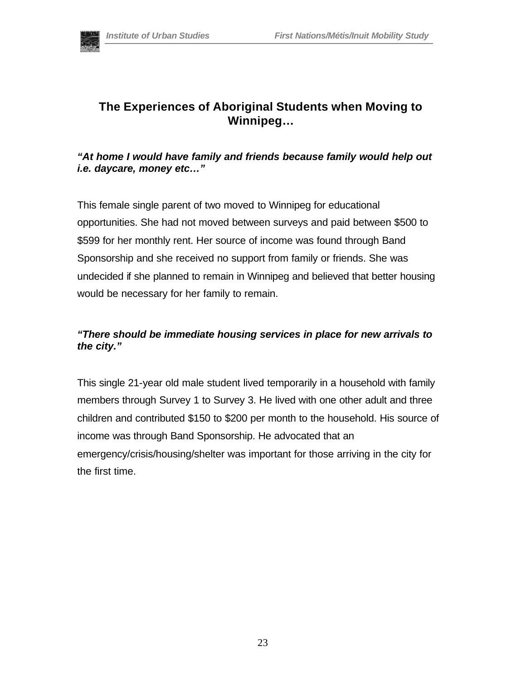# **The Experiences of Aboriginal Students when Moving to Winnipeg…**

*"At home I would have family and friends because family would help out i.e. daycare, money etc…"*

This female single parent of two moved to Winnipeg for educational opportunities. She had not moved between surveys and paid between \$500 to \$599 for her monthly rent. Her source of income was found through Band Sponsorship and she received no support from family or friends. She was undecided if she planned to remain in Winnipeg and believed that better housing would be necessary for her family to remain.

#### *"There should be immediate housing services in place for new arrivals to the city."*

This single 21-year old male student lived temporarily in a household with family members through Survey 1 to Survey 3. He lived with one other adult and three children and contributed \$150 to \$200 per month to the household. His source of income was through Band Sponsorship. He advocated that an emergency/crisis/housing/shelter was important for those arriving in the city for the first time.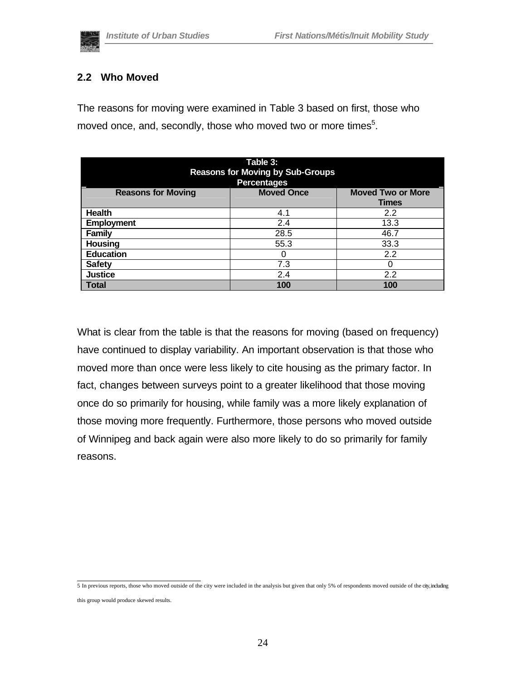#### **2.2 Who Moved**

The reasons for moving were examined in Table 3 based on first, those who moved once, and, secondly, those who moved two or more times<sup>5</sup>.

| Table 3:<br><b>Reasons for Moving by Sub-Groups</b><br><b>Percentages</b> |                   |                                          |  |  |
|---------------------------------------------------------------------------|-------------------|------------------------------------------|--|--|
| <b>Reasons for Moving</b>                                                 | <b>Moved Once</b> | <b>Moved Two or More</b><br><b>Times</b> |  |  |
| <b>Health</b>                                                             | 4.1               | 2.2                                      |  |  |
| <b>Employment</b>                                                         | 2.4               | 13.3                                     |  |  |
| <b>Family</b>                                                             | 28.5              | 46.7                                     |  |  |
| <b>Housing</b>                                                            | 55.3              | 33.3                                     |  |  |
| <b>Education</b>                                                          |                   | 2.2                                      |  |  |
| <b>Safety</b>                                                             | 7.3               |                                          |  |  |
| <b>Justice</b>                                                            | 2.4               | 2.2                                      |  |  |
| Total                                                                     | 100               | 100                                      |  |  |

What is clear from the table is that the reasons for moving (based on frequency) have continued to display variability. An important observation is that those who moved more than once were less likely to cite housing as the primary factor. In fact, changes between surveys point to a greater likelihood that those moving once do so primarily for housing, while family was a more likely explanation of those moving more frequently. Furthermore, those persons who moved outside of Winnipeg and back again were also more likely to do so primarily for family reasons.

 5 In previous reports, those who moved outside of the city were included in the analysis but given that only 5% of respondents moved outside of the city, including this group would produce skewed results.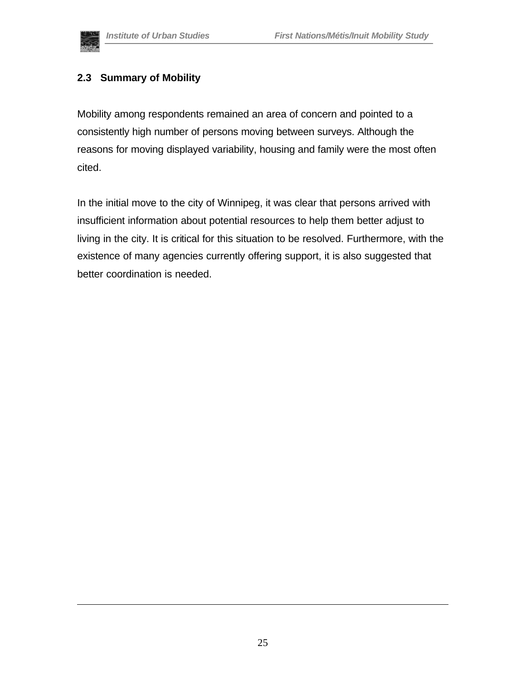

l

#### **2.3 Summary of Mobility**

Mobility among respondents remained an area of concern and pointed to a consistently high number of persons moving between surveys. Although the reasons for moving displayed variability, housing and family were the most often cited.

In the initial move to the city of Winnipeg, it was clear that persons arrived with insufficient information about potential resources to help them better adjust to living in the city. It is critical for this situation to be resolved. Furthermore, with the existence of many agencies currently offering support, it is also suggested that better coordination is needed.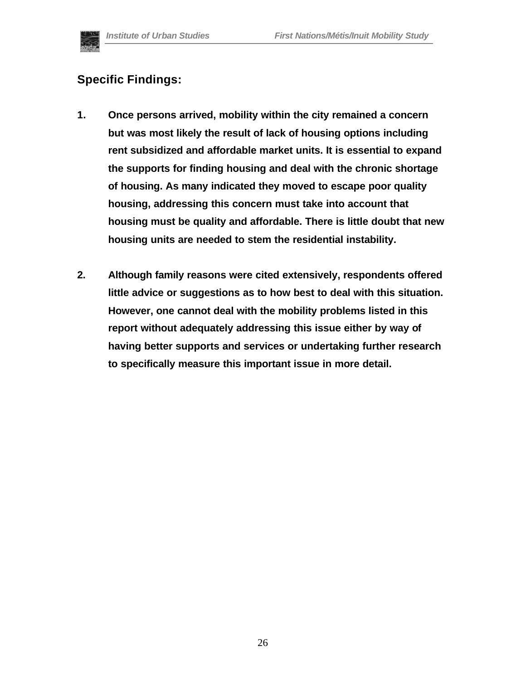

### **Specific Findings:**

- **1. Once persons arrived, mobility within the city remained a concern but was most likely the result of lack of housing options including rent subsidized and affordable market units. It is essential to expand the supports for finding housing and deal with the chronic shortage of housing. As many indicated they moved to escape poor quality housing, addressing this concern must take into account that housing must be quality and affordable. There is little doubt that new housing units are needed to stem the residential instability.**
- **2. Although family reasons were cited extensively, respondents offered little advice or suggestions as to how best to deal with this situation. However, one cannot deal with the mobility problems listed in this report without adequately addressing this issue either by way of having better supports and services or undertaking further research to specifically measure this important issue in more detail.**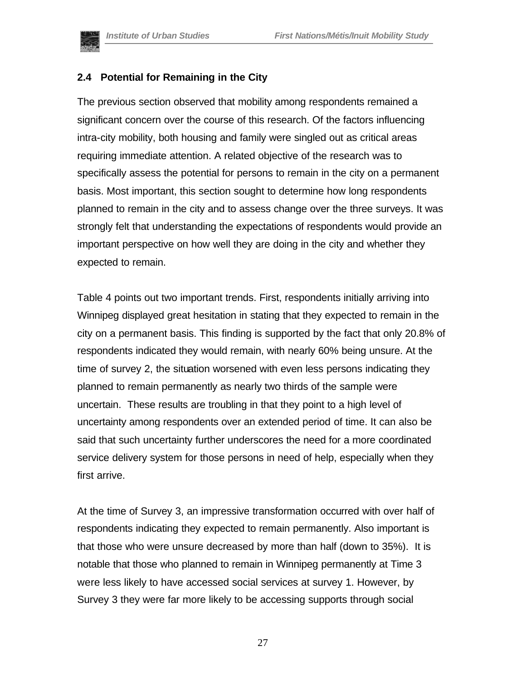

#### **2.4 Potential for Remaining in the City**

The previous section observed that mobility among respondents remained a significant concern over the course of this research. Of the factors influencing intra-city mobility, both housing and family were singled out as critical areas requiring immediate attention. A related objective of the research was to specifically assess the potential for persons to remain in the city on a permanent basis. Most important, this section sought to determine how long respondents planned to remain in the city and to assess change over the three surveys. It was strongly felt that understanding the expectations of respondents would provide an important perspective on how well they are doing in the city and whether they expected to remain.

Table 4 points out two important trends. First, respondents initially arriving into Winnipeg displayed great hesitation in stating that they expected to remain in the city on a permanent basis. This finding is supported by the fact that only 20.8% of respondents indicated they would remain, with nearly 60% being unsure. At the time of survey 2, the situation worsened with even less persons indicating they planned to remain permanently as nearly two thirds of the sample were uncertain. These results are troubling in that they point to a high level of uncertainty among respondents over an extended period of time. It can also be said that such uncertainty further underscores the need for a more coordinated service delivery system for those persons in need of help, especially when they first arrive.

At the time of Survey 3, an impressive transformation occurred with over half of respondents indicating they expected to remain permanently. Also important is that those who were unsure decreased by more than half (down to 35%). It is notable that those who planned to remain in Winnipeg permanently at Time 3 were less likely to have accessed social services at survey 1. However, by Survey 3 they were far more likely to be accessing supports through social

27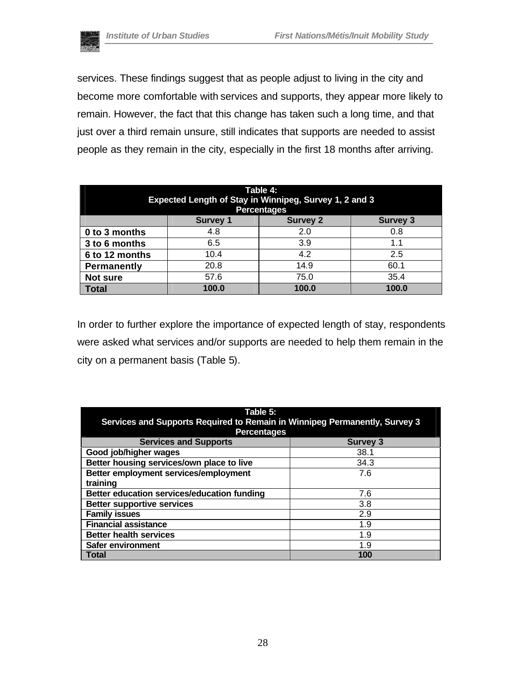

services. These findings suggest that as people adjust to living in the city and become more comfortable with services and supports, they appear more likely to remain. However, the fact that this change has taken such a long time, and that just over a third remain unsure, still indicates that supports are needed to assist people as they remain in the city, especially in the first 18 months after arriving.

| Table 4:<br>Expected Length of Stay in Winnipeg, Survey 1, 2 and 3<br><b>Percentages</b> |                 |                 |                 |  |
|------------------------------------------------------------------------------------------|-----------------|-----------------|-----------------|--|
|                                                                                          | <b>Survey 1</b> | <b>Survey 2</b> | <b>Survey 3</b> |  |
| 0 to 3 months                                                                            | 4.8             | 2.0             | 0.8             |  |
| 3 to 6 months                                                                            | 6.5             | 3.9             | 1.1             |  |
| 6 to 12 months                                                                           | 10.4            | 4.2             | 2.5             |  |
| <b>Permanently</b>                                                                       | 20.8            | 14.9            | 60.1            |  |
| Not sure                                                                                 | 57.6            | 75.0            | 35.4            |  |
| Total                                                                                    | 100.0           | 100.0           | 100.0           |  |

In order to further explore the importance of expected length of stay, respondents were asked what services and/or supports are needed to help them remain in the city on a permanent basis (Table 5).

| Table 5:                                                                   |      |  |  |  |
|----------------------------------------------------------------------------|------|--|--|--|
| Services and Supports Required to Remain in Winnipeg Permanently, Survey 3 |      |  |  |  |
| <b>Percentages</b>                                                         |      |  |  |  |
| <b>Services and Supports</b><br><b>Survey 3</b>                            |      |  |  |  |
| Good job/higher wages                                                      | 38.1 |  |  |  |
| Better housing services/own place to live                                  | 34.3 |  |  |  |
| Better employment services/employment                                      | 7.6  |  |  |  |
| training                                                                   |      |  |  |  |
| Better education services/education funding                                | 7.6  |  |  |  |
| <b>Better supportive services</b>                                          | 3.8  |  |  |  |
| <b>Family issues</b>                                                       | 2.9  |  |  |  |
| <b>Financial assistance</b>                                                | 1.9  |  |  |  |
| <b>Better health services</b>                                              | 1.9  |  |  |  |
| Safer environment                                                          | 1.9  |  |  |  |
| <b>Total</b>                                                               | 100  |  |  |  |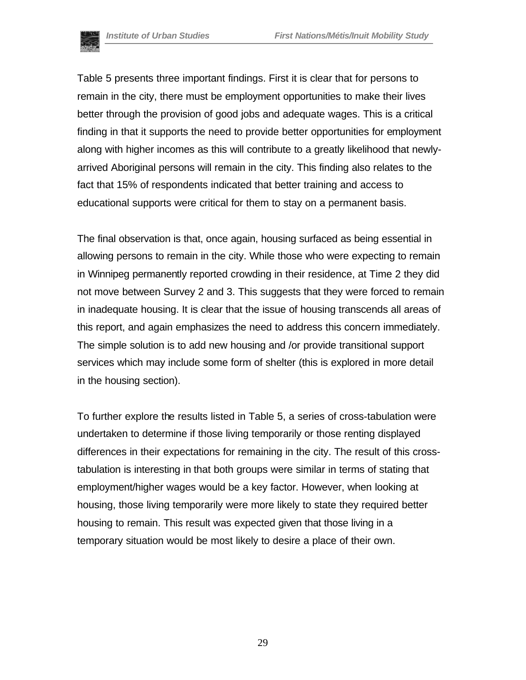

Table 5 presents three important findings. First it is clear that for persons to remain in the city, there must be employment opportunities to make their lives better through the provision of good jobs and adequate wages. This is a critical finding in that it supports the need to provide better opportunities for employment along with higher incomes as this will contribute to a greatly likelihood that newlyarrived Aboriginal persons will remain in the city. This finding also relates to the fact that 15% of respondents indicated that better training and access to educational supports were critical for them to stay on a permanent basis.

The final observation is that, once again, housing surfaced as being essential in allowing persons to remain in the city. While those who were expecting to remain in Winnipeg permanently reported crowding in their residence, at Time 2 they did not move between Survey 2 and 3. This suggests that they were forced to remain in inadequate housing. It is clear that the issue of housing transcends all areas of this report, and again emphasizes the need to address this concern immediately. The simple solution is to add new housing and /or provide transitional support services which may include some form of shelter (this is explored in more detail in the housing section).

To further explore the results listed in Table 5, a series of cross-tabulation were undertaken to determine if those living temporarily or those renting displayed differences in their expectations for remaining in the city. The result of this crosstabulation is interesting in that both groups were similar in terms of stating that employment/higher wages would be a key factor. However, when looking at housing, those living temporarily were more likely to state they required better housing to remain. This result was expected given that those living in a temporary situation would be most likely to desire a place of their own.

29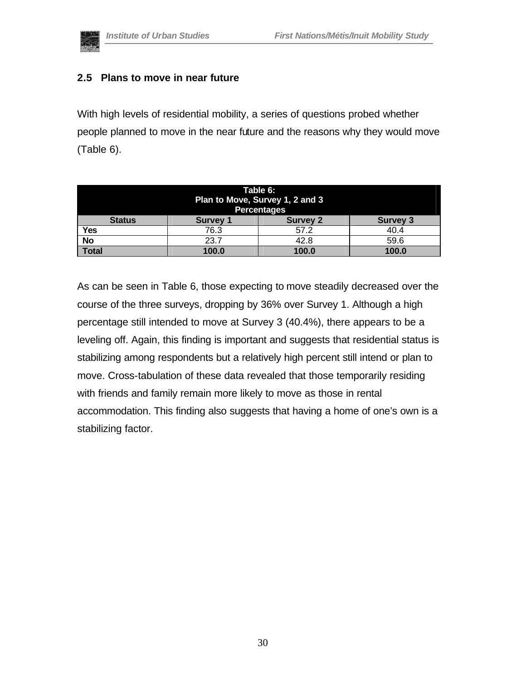

### **2.5 Plans to move in near future**

With high levels of residential mobility, a series of questions probed whether people planned to move in the near future and the reasons why they would move (Table 6).

| Table 6:<br>Plan to Move, Survey 1, 2 and 3<br><b>Percentages</b> |                                                       |       |       |  |  |
|-------------------------------------------------------------------|-------------------------------------------------------|-------|-------|--|--|
| <b>Status</b>                                                     | <b>Survey 1</b><br><b>Survey 3</b><br><b>Survey 2</b> |       |       |  |  |
| <b>Yes</b>                                                        | 76.3                                                  | 57.2  | 40.4  |  |  |
| <b>No</b><br>23.7<br>42.8<br>59.6                                 |                                                       |       |       |  |  |
| <b>Total</b>                                                      | 100.0                                                 | 100.0 | 100.0 |  |  |

As can be seen in Table 6, those expecting to move steadily decreased over the course of the three surveys, dropping by 36% over Survey 1. Although a high percentage still intended to move at Survey 3 (40.4%), there appears to be a leveling off. Again, this finding is important and suggests that residential status is stabilizing among respondents but a relatively high percent still intend or plan to move. Cross-tabulation of these data revealed that those temporarily residing with friends and family remain more likely to move as those in rental accommodation. This finding also suggests that having a home of one's own is a stabilizing factor.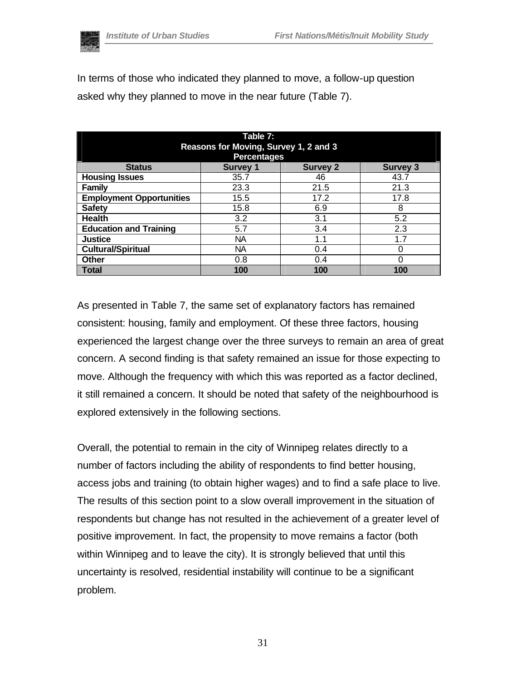In terms of those who indicated they planned to move, a follow-up question asked why they planned to move in the near future (Table 7).

| Table 7:<br>Reasons for Moving, Survey 1, 2 and 3<br><b>Percentages</b> |                 |                 |                 |  |  |
|-------------------------------------------------------------------------|-----------------|-----------------|-----------------|--|--|
| <b>Status</b>                                                           | <b>Survey 1</b> | <b>Survey 2</b> | <b>Survey 3</b> |  |  |
| <b>Housing Issues</b>                                                   | 35.7            | 46              | 43.7            |  |  |
| <b>Family</b>                                                           | 23.3            | 21.5            | 21.3            |  |  |
| <b>Employment Opportunities</b>                                         | 15.5            | 17.2            | 17.8            |  |  |
| <b>Safety</b>                                                           | 15.8            | 6.9             | 8               |  |  |
| <b>Health</b>                                                           | 3.2             | 3.1             | 5.2             |  |  |
| <b>Education and Training</b>                                           | 5.7             | 3.4             | 2.3             |  |  |
| <b>Justice</b>                                                          | NA.             | 1.1             | 1.7             |  |  |
| <b>Cultural/Spiritual</b>                                               | NA.             | 0.4             | 0               |  |  |
| <b>Other</b>                                                            | 0.8             | 0.4             | 0               |  |  |
| <b>Total</b>                                                            | 100             | 100             | 100             |  |  |

As presented in Table 7, the same set of explanatory factors has remained consistent: housing, family and employment. Of these three factors, housing experienced the largest change over the three surveys to remain an area of great concern. A second finding is that safety remained an issue for those expecting to move. Although the frequency with which this was reported as a factor declined, it still remained a concern. It should be noted that safety of the neighbourhood is explored extensively in the following sections.

Overall, the potential to remain in the city of Winnipeg relates directly to a number of factors including the ability of respondents to find better housing, access jobs and training (to obtain higher wages) and to find a safe place to live. The results of this section point to a slow overall improvement in the situation of respondents but change has not resulted in the achievement of a greater level of positive improvement. In fact, the propensity to move remains a factor (both within Winnipeg and to leave the city). It is strongly believed that until this uncertainty is resolved, residential instability will continue to be a significant problem.

31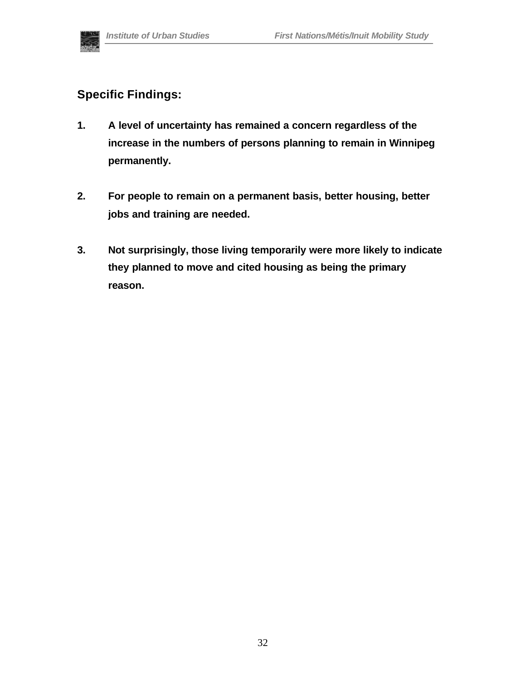

### **Specific Findings:**

- **1. A level of uncertainty has remained a concern regardless of the increase in the numbers of persons planning to remain in Winnipeg permanently.**
- **2. For people to remain on a permanent basis, better housing, better jobs and training are needed.**
- **3. Not surprisingly, those living temporarily were more likely to indicate they planned to move and cited housing as being the primary reason.**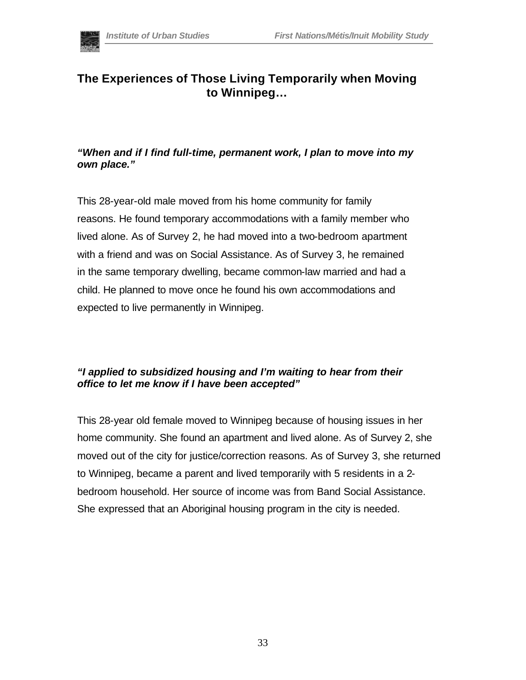

### **The Experiences of Those Living Temporarily when Moving to Winnipeg…**

### *"When and if I find full-time, permanent work, I plan to move into my own place."*

This 28-year-old male moved from his home community for family reasons. He found temporary accommodations with a family member who lived alone. As of Survey 2, he had moved into a two-bedroom apartment with a friend and was on Social Assistance. As of Survey 3, he remained in the same temporary dwelling, became common-law married and had a child. He planned to move once he found his own accommodations and expected to live permanently in Winnipeg.

### *"I applied to subsidized housing and I'm waiting to hear from their office to let me know if I have been accepted"*

This 28-year old female moved to Winnipeg because of housing issues in her home community. She found an apartment and lived alone. As of Survey 2, she moved out of the city for justice/correction reasons. As of Survey 3, she returned to Winnipeg, became a parent and lived temporarily with 5 residents in a 2 bedroom household. Her source of income was from Band Social Assistance. She expressed that an Aboriginal housing program in the city is needed.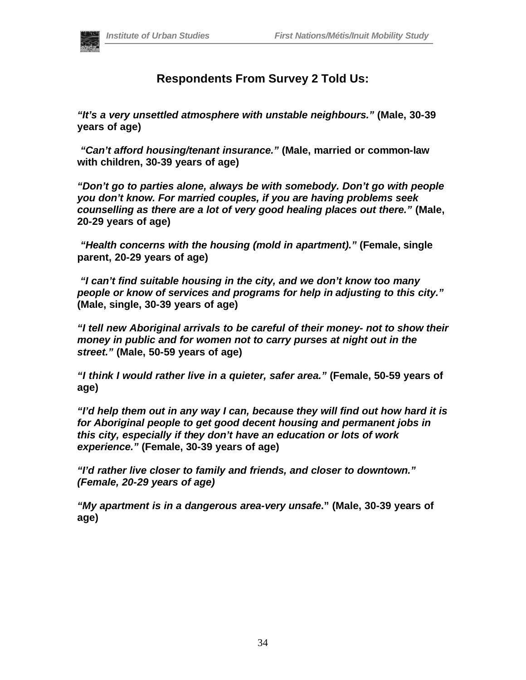# **Respondents From Survey 2 Told Us:**

*"It's a very unsettled atmosphere with unstable neighbours."* **(Male, 30-39 years of age)**

 *"Can't afford housing/tenant insurance."* **(Male, married or common-law with children, 30-39 years of age)**

*"Don't go to parties alone, always be with somebody. Don't go with people you don't know. For married couples, if you are having problems seek counselling as there are a lot of very good healing places out there."* **(Male, 20-29 years of age)**

 *"Health concerns with the housing (mold in apartment)."* **(Female, single parent, 20-29 years of age)**

 *"I can't find suitable housing in the city, and we don't know too many people or know of services and programs for help in adjusting to this city."*  **(Male, single, 30-39 years of age)**

*"I tell new Aboriginal arrivals to be careful of their money- not to show their money in public and for women not to carry purses at night out in the street."* **(Male, 50-59 years of age)**

*"I think I would rather live in a quieter, safer area."* **(Female, 50-59 years of age)**

*"I'd help them out in any way I can, because they will find out how hard it is for Aboriginal people to get good decent housing and permanent jobs in this city, especially if they don't have an education or lots of work experience."* **(Female, 30-39 years of age)**

*"I'd rather live closer to family and friends, and closer to downtown." (Female, 20-29 years of age)*

*"My apartment is in a dangerous area-very unsafe***." (Male, 30-39 years of age)**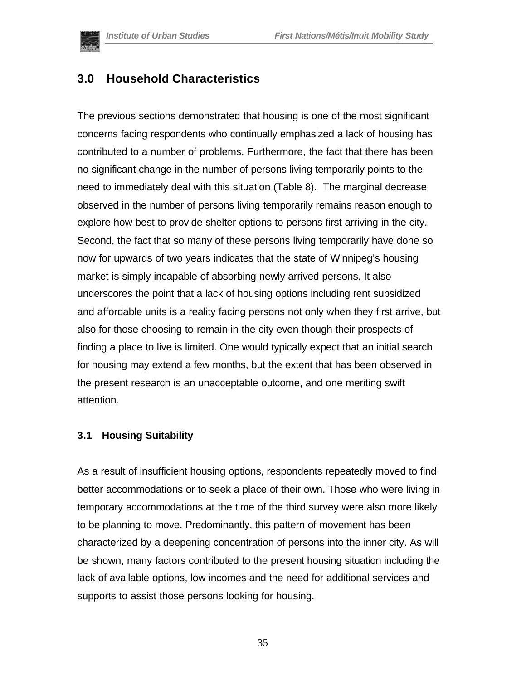

### **3.0 Household Characteristics**

The previous sections demonstrated that housing is one of the most significant concerns facing respondents who continually emphasized a lack of housing has contributed to a number of problems. Furthermore, the fact that there has been no significant change in the number of persons living temporarily points to the need to immediately deal with this situation (Table 8). The marginal decrease observed in the number of persons living temporarily remains reason enough to explore how best to provide shelter options to persons first arriving in the city. Second, the fact that so many of these persons living temporarily have done so now for upwards of two years indicates that the state of Winnipeg's housing market is simply incapable of absorbing newly arrived persons. It also underscores the point that a lack of housing options including rent subsidized and affordable units is a reality facing persons not only when they first arrive, but also for those choosing to remain in the city even though their prospects of finding a place to live is limited. One would typically expect that an initial search for housing may extend a few months, but the extent that has been observed in the present research is an unacceptable outcome, and one meriting swift attention.

#### **3.1 Housing Suitability**

As a result of insufficient housing options, respondents repeatedly moved to find better accommodations or to seek a place of their own. Those who were living in temporary accommodations at the time of the third survey were also more likely to be planning to move. Predominantly, this pattern of movement has been characterized by a deepening concentration of persons into the inner city. As will be shown, many factors contributed to the present housing situation including the lack of available options, low incomes and the need for additional services and supports to assist those persons looking for housing.

35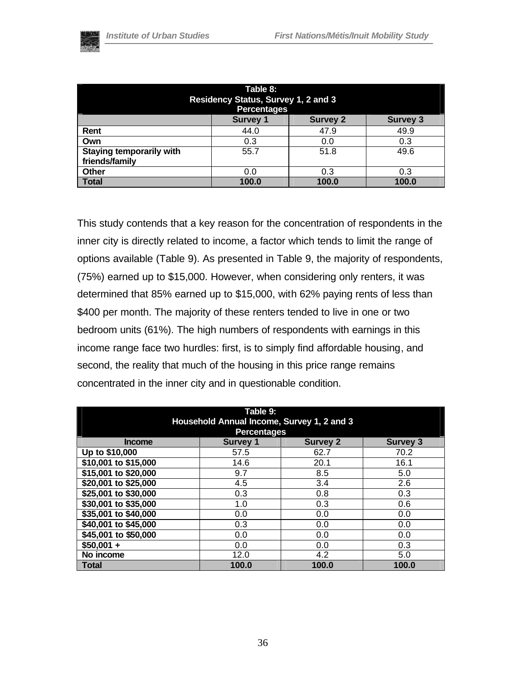| Table 8:<br>Residency Status, Survey 1, 2 and 3<br><b>Percentages</b> |                                                       |       |       |  |  |  |  |
|-----------------------------------------------------------------------|-------------------------------------------------------|-------|-------|--|--|--|--|
|                                                                       | <b>Survey 3</b><br><b>Survey 2</b><br><b>Survey 1</b> |       |       |  |  |  |  |
| Rent                                                                  | 44.0                                                  | 47.9  | 49.9  |  |  |  |  |
| Own                                                                   | 0.3                                                   | 0.0   | 0.3   |  |  |  |  |
| <b>Staying temporarily with</b><br>friends/family                     | 55.7                                                  | 51.8  | 49.6  |  |  |  |  |
| Other<br>0.3<br>0.3<br>0.0                                            |                                                       |       |       |  |  |  |  |
| Total                                                                 | 100.0                                                 | 100.0 | 100.0 |  |  |  |  |

This study contends that a key reason for the concentration of respondents in the inner city is directly related to income, a factor which tends to limit the range of options available (Table 9). As presented in Table 9, the majority of respondents, (75%) earned up to \$15,000. However, when considering only renters, it was determined that 85% earned up to \$15,000, with 62% paying rents of less than \$400 per month. The majority of these renters tended to live in one or two bedroom units (61%). The high numbers of respondents with earnings in this income range face two hurdles: first, is to simply find affordable housing, and second, the reality that much of the housing in this price range remains concentrated in the inner city and in questionable condition.

| Table 9:                                   |                    |                 |                 |  |
|--------------------------------------------|--------------------|-----------------|-----------------|--|
| Household Annual Income, Survey 1, 2 and 3 |                    |                 |                 |  |
|                                            | <b>Percentages</b> |                 |                 |  |
| <b>Income</b>                              | <b>Survey 1</b>    | <b>Survey 2</b> | <b>Survey 3</b> |  |
| Up to \$10,000                             | 57.5               | 62.7            | 70.2            |  |
| $$10,001$ to \$15,000                      | 14.6               | 20.1            | 16.1            |  |
| \$15,001 to \$20,000                       | 9.7                | 8.5             | 5.0             |  |
| \$20,001 to \$25,000                       | 4.5                | 3.4             | 2.6             |  |
| \$25,001 to \$30,000                       | 0.3                | 0.8             | 0.3             |  |
| \$30,001 to \$35,000                       | 1.0                | 0.3             | 0.6             |  |
| \$35,001 to \$40,000                       | 0.0                | 0.0             | 0.0             |  |
| \$40,001 to \$45,000                       | 0.3                | 0.0             | 0.0             |  |
| \$45,001 to \$50,000                       | 0.0                | 0.0             | 0.0             |  |
| $$50,001 +$                                | 0.0                | 0.0             | 0.3             |  |
| No income                                  | 12.0               | 4.2             | 5.0             |  |
| <b>Total</b>                               | 100.0              | 100.0           | 100.0           |  |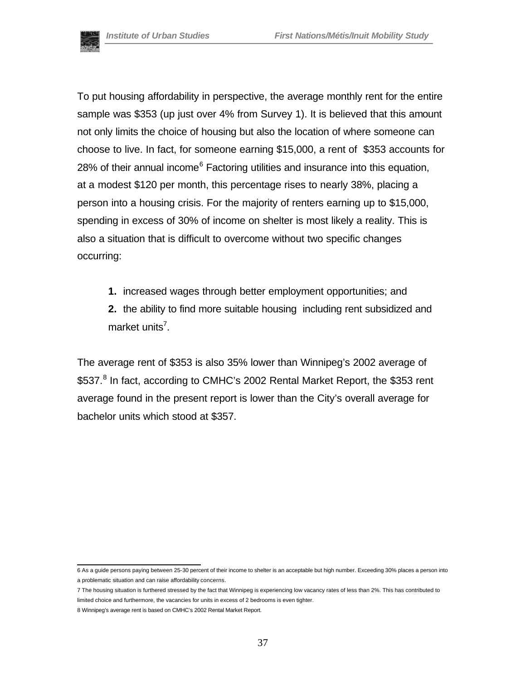To put housing affordability in perspective, the average monthly rent for the entire sample was \$353 (up just over 4% from Survey 1). It is believed that this amount not only limits the choice of housing but also the location of where someone can choose to live. In fact, for someone earning \$15,000, a rent of \$353 accounts for 28% of their annual income<sup>6</sup> Factoring utilities and insurance into this equation, at a modest \$120 per month, this percentage rises to nearly 38%, placing a person into a housing crisis. For the majority of renters earning up to \$15,000, spending in excess of 30% of income on shelter is most likely a reality. This is also a situation that is difficult to overcome without two specific changes occurring:

- **1.** increased wages through better employment opportunities; and
- **2.** the ability to find more suitable housing including rent subsidized and market units<sup>7</sup>.

The average rent of \$353 is also 35% lower than Winnipeg's 2002 average of \$537.<sup>8</sup> In fact, according to CMHC's 2002 Rental Market Report, the \$353 rent average found in the present report is lower than the City's overall average for bachelor units which stood at \$357.

 6 As a guide persons paying between 25-30 percent of their income to shelter is an acceptable but high number. Exceeding 30% places a person into a problematic situation and can raise affordability concerns.

<sup>7</sup> The housing situation is furthered stressed by the fact that Winnipeg is experiencing low vacancy rates of less than 2%. This has contributed to limited choice and furthermore, the vacancies for units in excess of 2 bedrooms is even tighter.

<sup>8</sup> Winnipeg's average rent is based on CMHC's 2002 Rental Market Report.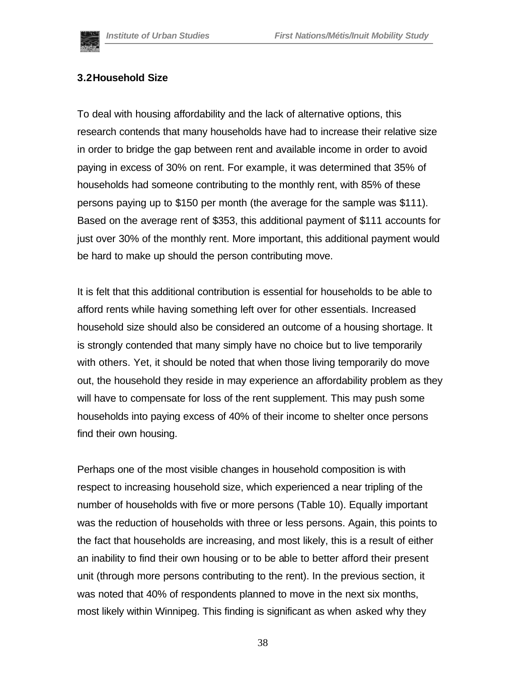

### **3.2Household Size**

To deal with housing affordability and the lack of alternative options, this research contends that many households have had to increase their relative size in order to bridge the gap between rent and available income in order to avoid paying in excess of 30% on rent. For example, it was determined that 35% of households had someone contributing to the monthly rent, with 85% of these persons paying up to \$150 per month (the average for the sample was \$111). Based on the average rent of \$353, this additional payment of \$111 accounts for just over 30% of the monthly rent. More important, this additional payment would be hard to make up should the person contributing move.

It is felt that this additional contribution is essential for households to be able to afford rents while having something left over for other essentials. Increased household size should also be considered an outcome of a housing shortage. It is strongly contended that many simply have no choice but to live temporarily with others. Yet, it should be noted that when those living temporarily do move out, the household they reside in may experience an affordability problem as they will have to compensate for loss of the rent supplement. This may push some households into paying excess of 40% of their income to shelter once persons find their own housing.

Perhaps one of the most visible changes in household composition is with respect to increasing household size, which experienced a near tripling of the number of households with five or more persons (Table 10). Equally important was the reduction of households with three or less persons. Again, this points to the fact that households are increasing, and most likely, this is a result of either an inability to find their own housing or to be able to better afford their present unit (through more persons contributing to the rent). In the previous section, it was noted that 40% of respondents planned to move in the next six months, most likely within Winnipeg. This finding is significant as when asked why they

38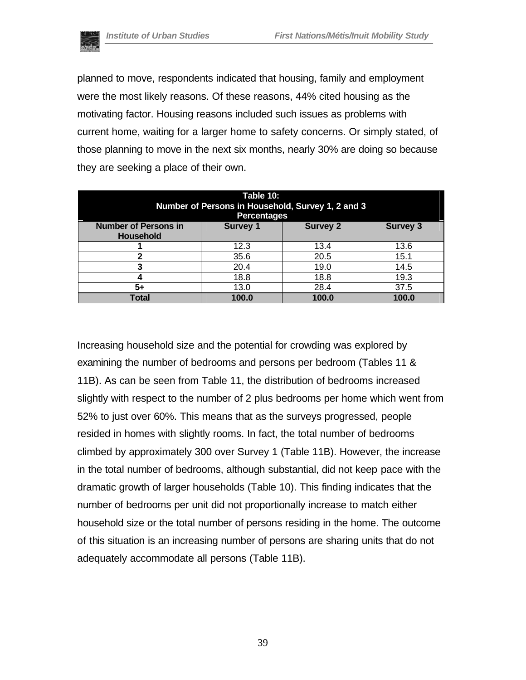

planned to move, respondents indicated that housing, family and employment were the most likely reasons. Of these reasons, 44% cited housing as the motivating factor. Housing reasons included such issues as problems with current home, waiting for a larger home to safety concerns. Or simply stated, of those planning to move in the next six months, nearly 30% are doing so because they are seeking a place of their own.

| Table 10:<br>Number of Persons in Household, Survey 1, 2 and 3<br><b>Percentages</b> |                                                       |       |       |  |  |  |  |
|--------------------------------------------------------------------------------------|-------------------------------------------------------|-------|-------|--|--|--|--|
| <b>Number of Persons in</b><br><b>Household</b>                                      | <b>Survey 3</b><br><b>Survey 1</b><br><b>Survey 2</b> |       |       |  |  |  |  |
|                                                                                      | 12.3                                                  | 13.4  | 13.6  |  |  |  |  |
| 2                                                                                    | 35.6                                                  | 20.5  | 15.1  |  |  |  |  |
| 3                                                                                    | 20.4                                                  | 19.0  | 14.5  |  |  |  |  |
|                                                                                      | 18.8                                                  | 18.8  | 19.3  |  |  |  |  |
| 37.5<br>5+<br>13.0<br>28.4                                                           |                                                       |       |       |  |  |  |  |
| Total                                                                                | 100.0                                                 | 100.0 | 100.0 |  |  |  |  |

Increasing household size and the potential for crowding was explored by examining the number of bedrooms and persons per bedroom (Tables 11 & 11B). As can be seen from Table 11, the distribution of bedrooms increased slightly with respect to the number of 2 plus bedrooms per home which went from 52% to just over 60%. This means that as the surveys progressed, people resided in homes with slightly rooms. In fact, the total number of bedrooms climbed by approximately 300 over Survey 1 (Table 11B). However, the increase in the total number of bedrooms, although substantial, did not keep pace with the dramatic growth of larger households (Table 10). This finding indicates that the number of bedrooms per unit did not proportionally increase to match either household size or the total number of persons residing in the home. The outcome of this situation is an increasing number of persons are sharing units that do not adequately accommodate all persons (Table 11B).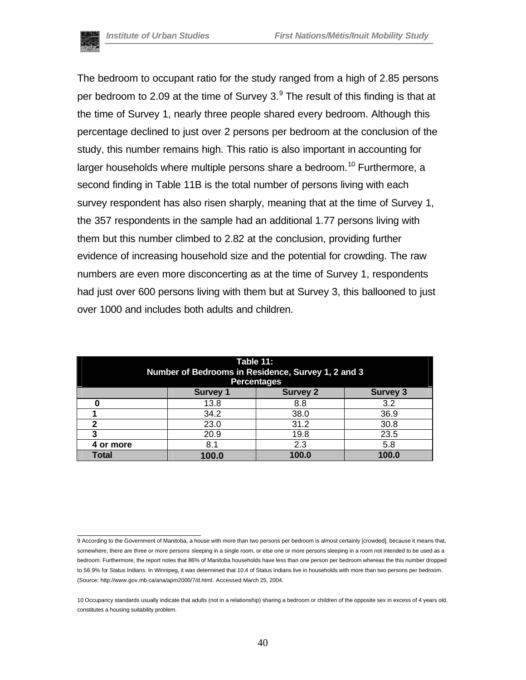

The bedroom to occupant ratio for the study ranged from a high of 2.85 persons per bedroom to 2.09 at the time of Survey 3. $9$  The result of this finding is that at the time of Survey 1, nearly three people shared every bedroom. Although this percentage declined to just over 2 persons per bedroom at the conclusion of the study, this number remains high. This ratio is also important in accounting for larger households where multiple persons share a bedroom.<sup>10</sup> Furthermore, a second finding in Table 11B is the total number of persons living with each survey respondent has also risen sharply, meaning that at the time of Survey 1, the 357 respondents in the sample had an additional 1.77 persons living with them but this number climbed to 2.82 at the conclusion, providing further evidence of increasing household size and the potential for crowding. The raw numbers are even more disconcerting as at the time of Survey 1, respondents had just over 600 persons living with them but at Survey 3, this ballooned to just over 1000 and includes both adults and children.

| Table 11:<br>Number of Bedrooms in Residence, Survey 1, 2 and 3<br><b>Percentages</b> |                                                       |       |       |  |  |  |
|---------------------------------------------------------------------------------------|-------------------------------------------------------|-------|-------|--|--|--|
|                                                                                       | <b>Survey 3</b><br><b>Survey 1</b><br><b>Survey 2</b> |       |       |  |  |  |
|                                                                                       | 13.8                                                  | 8.8   | 3.2   |  |  |  |
|                                                                                       | 34.2                                                  | 38.0  | 36.9  |  |  |  |
| າ                                                                                     | 23.0                                                  | 31.2  | 30.8  |  |  |  |
|                                                                                       | 20.9                                                  | 19.8  | 23.5  |  |  |  |
| 4 or more                                                                             | 8.1                                                   | 2.3   | 5.8   |  |  |  |
| Total                                                                                 | 100.0                                                 | 100.0 | 100.0 |  |  |  |

 9 According to the Government of Manitoba, a house with more than two persons per bedroom is almost certainly [crowded], because it means that, somewhere, there are three or more persons sleeping in a single room, or else one or more persons sleeping in a room not intended to be used as a bedroom. Furthermore, the report notes that 86% of Manitoba households have less than one person per bedroom whereas the this number dropped to 56.9% for Status Indians. In Winnipeg, it was determined that 10.4 of Status Indians live in households with more than two persons per bedroom. (Source: http://www.gov.mb.ca/ana/apm2000/7/d.html. Accessed March 25, 2004.

<sup>10</sup> Occupancy standards usually indicate that adults (not in a relationship) sharing a bedroom or children of the opposite sex in excess of 4 years old, constitutes a housing suitability problem.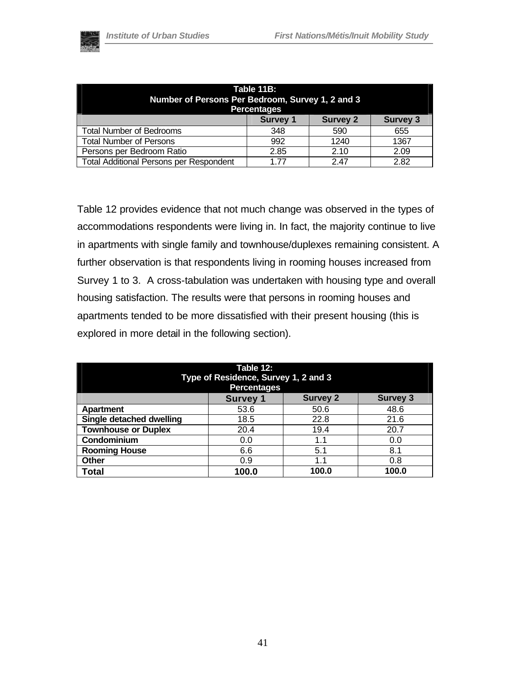| Table 11B:<br>Number of Persons Per Bedroom, Survey 1, 2 and 3<br><b>Percentages</b> |                 |                 |                 |  |
|--------------------------------------------------------------------------------------|-----------------|-----------------|-----------------|--|
|                                                                                      | <b>Survey 1</b> | <b>Survey 2</b> | <b>Survey 3</b> |  |
| <b>Total Number of Bedrooms</b>                                                      | 348             | 590             | 655             |  |
| <b>Total Number of Persons</b>                                                       | 992             | 1240            | 1367            |  |
| Persons per Bedroom Ratio                                                            | 2.85            | 2.10            | 2.09            |  |
| <b>Total Additional Persons per Respondent</b>                                       | 1 77            | 247             | 2.82            |  |

Table 12 provides evidence that not much change was observed in the types of accommodations respondents were living in. In fact, the majority continue to live in apartments with single family and townhouse/duplexes remaining consistent. A further observation is that respondents living in rooming houses increased from Survey 1 to 3. A cross-tabulation was undertaken with housing type and overall housing satisfaction. The results were that persons in rooming houses and apartments tended to be more dissatisfied with their present housing (this is explored in more detail in the following section).

| Table 12:<br>Type of Residence, Survey 1, 2 and 3<br><b>Percentages</b> |                 |                 |                 |  |  |  |
|-------------------------------------------------------------------------|-----------------|-----------------|-----------------|--|--|--|
|                                                                         | <b>Survey 1</b> | <b>Survey 2</b> | <b>Survey 3</b> |  |  |  |
| <b>Apartment</b>                                                        | 53.6            | 50.6            | 48.6            |  |  |  |
| Single detached dwelling                                                | 18.5            | 22.8            | 21.6            |  |  |  |
| <b>Townhouse or Duplex</b><br>20.4<br>20.7<br>19.4                      |                 |                 |                 |  |  |  |
| Condominium<br>1.1<br>0.0<br>0.0                                        |                 |                 |                 |  |  |  |
| <b>Rooming House</b><br>5.1<br>8.1<br>6.6                               |                 |                 |                 |  |  |  |
| Other<br>1.1<br>0.8<br>0.9                                              |                 |                 |                 |  |  |  |
| <b>Total</b>                                                            | 100.0           | 100.0           | 100.0           |  |  |  |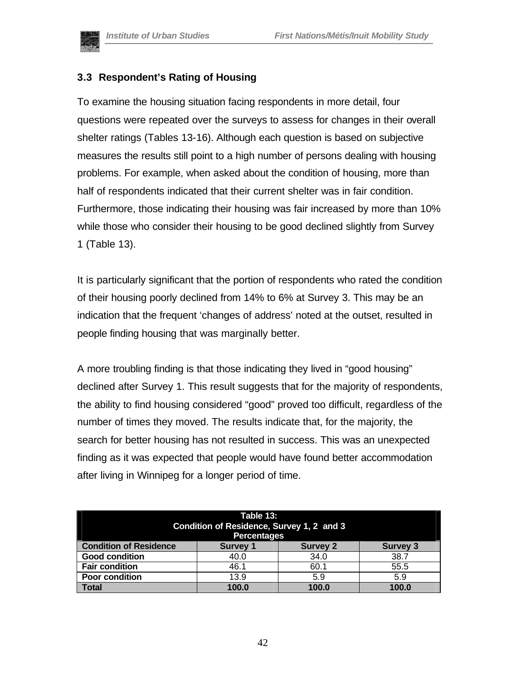

#### **3.3 Respondent's Rating of Housing**

To examine the housing situation facing respondents in more detail, four questions were repeated over the surveys to assess for changes in their overall shelter ratings (Tables 13-16). Although each question is based on subjective measures the results still point to a high number of persons dealing with housing problems. For example, when asked about the condition of housing, more than half of respondents indicated that their current shelter was in fair condition. Furthermore, those indicating their housing was fair increased by more than 10% while those who consider their housing to be good declined slightly from Survey 1 (Table 13).

It is particularly significant that the portion of respondents who rated the condition of their housing poorly declined from 14% to 6% at Survey 3. This may be an indication that the frequent 'changes of address' noted at the outset, resulted in people finding housing that was marginally better.

A more troubling finding is that those indicating they lived in "good housing" declined after Survey 1. This result suggests that for the majority of respondents, the ability to find housing considered "good" proved too difficult, regardless of the number of times they moved. The results indicate that, for the majority, the search for better housing has not resulted in success. This was an unexpected finding as it was expected that people would have found better accommodation after living in Winnipeg for a longer period of time.

| Table 13:<br>Condition of Residence, Survey 1, 2 and 3<br><b>Percentages</b>           |       |       |       |  |  |  |
|----------------------------------------------------------------------------------------|-------|-------|-------|--|--|--|
| <b>Condition of Residence</b><br><b>Survey 2</b><br><b>Survey 1</b><br><b>Survey 3</b> |       |       |       |  |  |  |
| <b>Good condition</b><br>38.7<br>34.0<br>40.0                                          |       |       |       |  |  |  |
| <b>Fair condition</b><br>55.5<br>46.1<br>60.1                                          |       |       |       |  |  |  |
| Poor condition<br>13.9<br>5.9<br>5.9                                                   |       |       |       |  |  |  |
| <b>Total</b>                                                                           | 100.0 | 100.0 | 100.0 |  |  |  |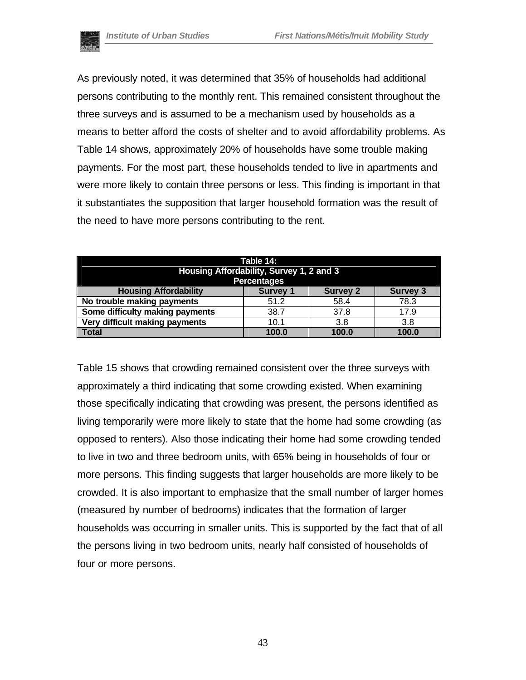

As previously noted, it was determined that 35% of households had additional persons contributing to the monthly rent. This remained consistent throughout the three surveys and is assumed to be a mechanism used by households as a means to better afford the costs of shelter and to avoid affordability problems. As Table 14 shows, approximately 20% of households have some trouble making payments. For the most part, these households tended to live in apartments and were more likely to contain three persons or less. This finding is important in that it substantiates the supposition that larger household formation was the result of the need to have more persons contributing to the rent.

| Table 14:<br>Housing Affordability, Survey 1, 2 and 3<br><b>Percentages</b>           |       |       |       |  |  |  |
|---------------------------------------------------------------------------------------|-------|-------|-------|--|--|--|
| <b>Housing Affordability</b><br><b>Survey 1</b><br><b>Survey 2</b><br><b>Survey 3</b> |       |       |       |  |  |  |
| No trouble making payments                                                            | 51.2  | 58.4  | 78.3  |  |  |  |
| Some difficulty making payments<br>37.8<br>17.9<br>38.7                               |       |       |       |  |  |  |
| Very difficult making payments<br>10.1<br>3.8<br>3.8                                  |       |       |       |  |  |  |
| <b>Total</b>                                                                          | 100.0 | 100.0 | 100.0 |  |  |  |

Table 15 shows that crowding remained consistent over the three surveys with approximately a third indicating that some crowding existed. When examining those specifically indicating that crowding was present, the persons identified as living temporarily were more likely to state that the home had some crowding (as opposed to renters). Also those indicating their home had some crowding tended to live in two and three bedroom units, with 65% being in households of four or more persons. This finding suggests that larger households are more likely to be crowded. It is also important to emphasize that the small number of larger homes (measured by number of bedrooms) indicates that the formation of larger households was occurring in smaller units. This is supported by the fact that of all the persons living in two bedroom units, nearly half consisted of households of four or more persons.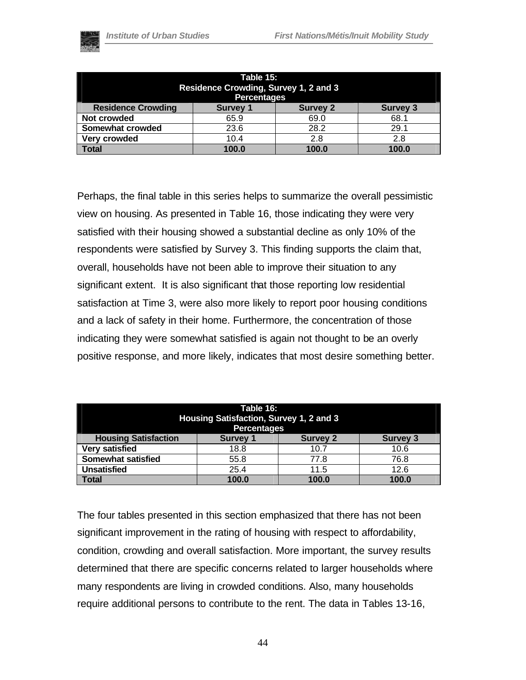| Table 15:<br>Residence Crowding, Survey 1, 2 and 3<br><b>Percentages</b> |                                                       |      |      |  |  |  |
|--------------------------------------------------------------------------|-------------------------------------------------------|------|------|--|--|--|
| <b>Residence Crowding</b>                                                | <b>Survey 2</b><br><b>Survey 3</b><br><b>Survey 1</b> |      |      |  |  |  |
| Not crowded                                                              | 65.9                                                  | 69.0 | 68.1 |  |  |  |
| Somewhat crowded                                                         | 23.6                                                  | 28.2 | 29.1 |  |  |  |
| Very crowded<br>10.4<br>2.8<br>2.8                                       |                                                       |      |      |  |  |  |
| <b>Total</b>                                                             | 100.0<br>100.0<br>100.0                               |      |      |  |  |  |

Perhaps, the final table in this series helps to summarize the overall pessimistic view on housing. As presented in Table 16, those indicating they were very satisfied with their housing showed a substantial decline as only 10% of the respondents were satisfied by Survey 3. This finding supports the claim that, overall, households have not been able to improve their situation to any significant extent. It is also significant that those reporting low residential satisfaction at Time 3, were also more likely to report poor housing conditions and a lack of safety in their home. Furthermore, the concentration of those indicating they were somewhat satisfied is again not thought to be an overly positive response, and more likely, indicates that most desire something better.

| Table 16:<br>Housing Satisfaction, Survey 1, 2 and 3<br><b>Percentages</b> |                                                       |      |      |  |  |  |
|----------------------------------------------------------------------------|-------------------------------------------------------|------|------|--|--|--|
| <b>Housing Satisfaction</b>                                                | <b>Survey 1</b><br><b>Survey 2</b><br><b>Survey 3</b> |      |      |  |  |  |
| <b>Very satisfied</b>                                                      | 18.8                                                  | 10.7 | 10.6 |  |  |  |
| <b>Somewhat satisfied</b>                                                  | 55.8<br>76.8<br>77.8                                  |      |      |  |  |  |
| <b>Unsatisfied</b><br>25.4<br>12.6<br>11.5                                 |                                                       |      |      |  |  |  |
| Total                                                                      | 100.0<br>100.0<br>100.0                               |      |      |  |  |  |

The four tables presented in this section emphasized that there has not been significant improvement in the rating of housing with respect to affordability, condition, crowding and overall satisfaction. More important, the survey results determined that there are specific concerns related to larger households where many respondents are living in crowded conditions. Also, many households require additional persons to contribute to the rent. The data in Tables 13-16,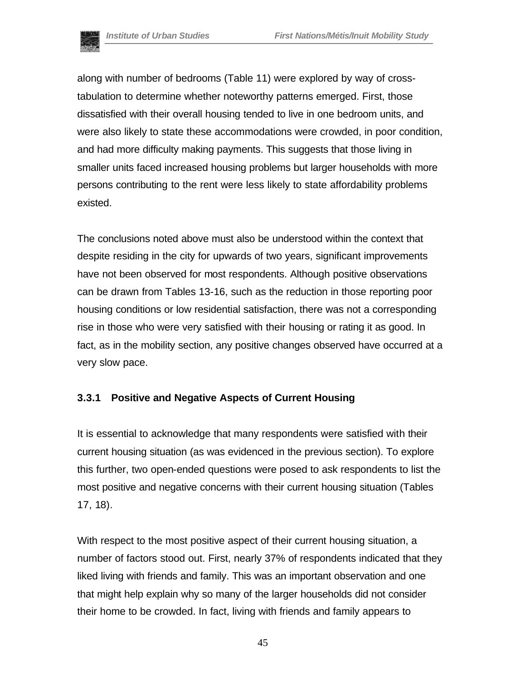

along with number of bedrooms (Table 11) were explored by way of crosstabulation to determine whether noteworthy patterns emerged. First, those dissatisfied with their overall housing tended to live in one bedroom units, and were also likely to state these accommodations were crowded, in poor condition, and had more difficulty making payments. This suggests that those living in smaller units faced increased housing problems but larger households with more persons contributing to the rent were less likely to state affordability problems existed.

The conclusions noted above must also be understood within the context that despite residing in the city for upwards of two years, significant improvements have not been observed for most respondents. Although positive observations can be drawn from Tables 13-16, such as the reduction in those reporting poor housing conditions or low residential satisfaction, there was not a corresponding rise in those who were very satisfied with their housing or rating it as good. In fact, as in the mobility section, any positive changes observed have occurred at a very slow pace.

#### **3.3.1 Positive and Negative Aspects of Current Housing**

It is essential to acknowledge that many respondents were satisfied with their current housing situation (as was evidenced in the previous section). To explore this further, two open-ended questions were posed to ask respondents to list the most positive and negative concerns with their current housing situation (Tables 17, 18).

With respect to the most positive aspect of their current housing situation, a number of factors stood out. First, nearly 37% of respondents indicated that they liked living with friends and family. This was an important observation and one that might help explain why so many of the larger households did not consider their home to be crowded. In fact, living with friends and family appears to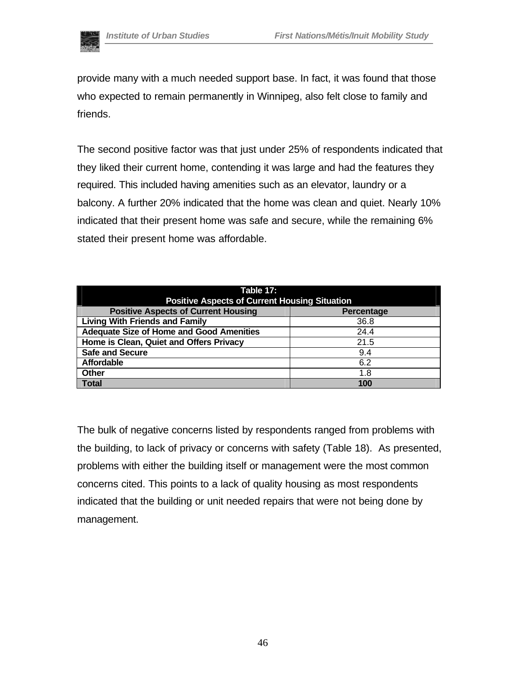

provide many with a much needed support base. In fact, it was found that those who expected to remain permanently in Winnipeg, also felt close to family and friends.

The second positive factor was that just under 25% of respondents indicated that they liked their current home, contending it was large and had the features they required. This included having amenities such as an elevator, laundry or a balcony. A further 20% indicated that the home was clean and quiet. Nearly 10% indicated that their present home was safe and secure, while the remaining 6% stated their present home was affordable.

| Table 17:<br><b>Positive Aspects of Current Housing Situation</b> |      |  |  |
|-------------------------------------------------------------------|------|--|--|
| <b>Positive Aspects of Current Housing</b><br><b>Percentage</b>   |      |  |  |
| <b>Living With Friends and Family</b>                             | 36.8 |  |  |
| <b>Adequate Size of Home and Good Amenities</b>                   | 24.4 |  |  |
| Home is Clean, Quiet and Offers Privacy                           | 21.5 |  |  |
| <b>Safe and Secure</b>                                            | 9.4  |  |  |
| <b>Affordable</b>                                                 | 6.2  |  |  |
| Other                                                             | 1.8  |  |  |
| <b>Total</b>                                                      | 100  |  |  |

The bulk of negative concerns listed by respondents ranged from problems with the building, to lack of privacy or concerns with safety (Table 18). As presented, problems with either the building itself or management were the most common concerns cited. This points to a lack of quality housing as most respondents indicated that the building or unit needed repairs that were not being done by management.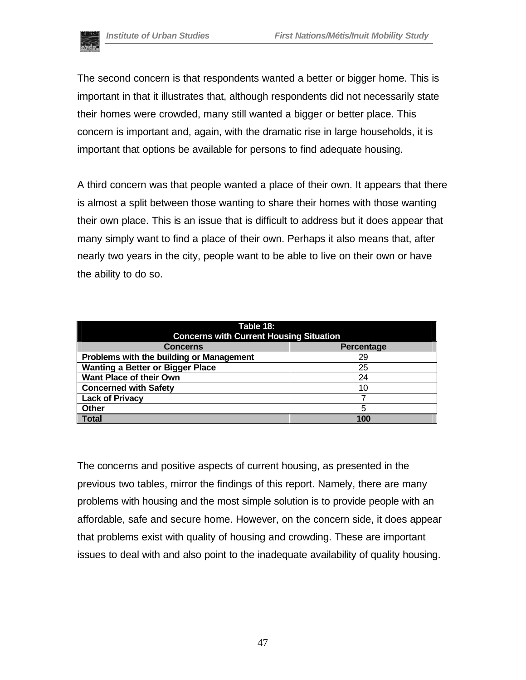

The second concern is that respondents wanted a better or bigger home. This is important in that it illustrates that, although respondents did not necessarily state their homes were crowded, many still wanted a bigger or better place. This concern is important and, again, with the dramatic rise in large households, it is important that options be available for persons to find adequate housing.

A third concern was that people wanted a place of their own. It appears that there is almost a split between those wanting to share their homes with those wanting their own place. This is an issue that is difficult to address but it does appear that many simply want to find a place of their own. Perhaps it also means that, after nearly two years in the city, people want to be able to live on their own or have the ability to do so.

| Table 18:<br><b>Concerns with Current Housing Situation</b> |     |  |  |
|-------------------------------------------------------------|-----|--|--|
| <b>Concerns</b><br><b>Percentage</b>                        |     |  |  |
| Problems with the building or Management                    | 29  |  |  |
| <b>Wanting a Better or Bigger Place</b>                     | 25  |  |  |
| Want Place of their Own                                     | 24  |  |  |
| <b>Concerned with Safety</b>                                | 10  |  |  |
| <b>Lack of Privacy</b>                                      |     |  |  |
| <b>Other</b>                                                | 5   |  |  |
| <b>Total</b>                                                | 100 |  |  |

The concerns and positive aspects of current housing, as presented in the previous two tables, mirror the findings of this report. Namely, there are many problems with housing and the most simple solution is to provide people with an affordable, safe and secure home. However, on the concern side, it does appear that problems exist with quality of housing and crowding. These are important issues to deal with and also point to the inadequate availability of quality housing.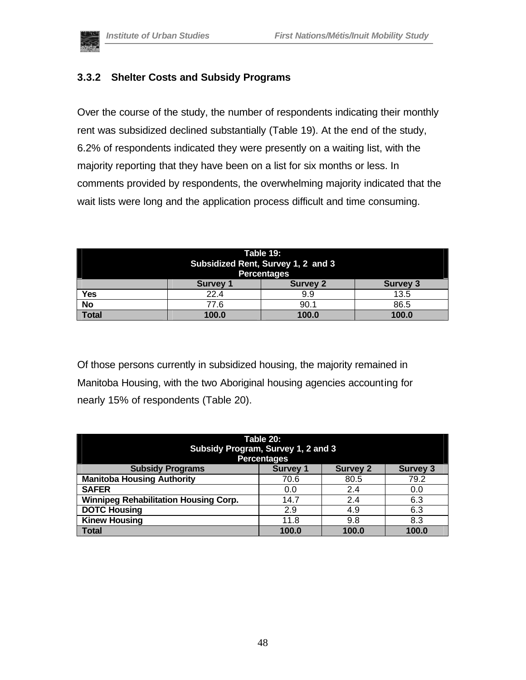# **3.3.2 Shelter Costs and Subsidy Programs**

Over the course of the study, the number of respondents indicating their monthly rent was subsidized declined substantially (Table 19). At the end of the study, 6.2% of respondents indicated they were presently on a waiting list, with the majority reporting that they have been on a list for six months or less. In comments provided by respondents, the overwhelming majority indicated that the wait lists were long and the application process difficult and time consuming.

| Table 19:<br>Subsidized Rent, Survey 1, 2 and 3<br><b>Percentages</b> |       |       |       |  |
|-----------------------------------------------------------------------|-------|-------|-------|--|
| <b>Survey 3</b><br><b>Survey 1</b><br><b>Survey 2</b>                 |       |       |       |  |
| <b>Yes</b>                                                            | 22.4  | 9.9   | 13.5  |  |
| $\overline{No}$                                                       | 77.6  | 90.1  | 86.5  |  |
| <b>Total</b>                                                          | 100.0 | 100.0 | 100.0 |  |

Of those persons currently in subsidized housing, the majority remained in Manitoba Housing, with the two Aboriginal housing agencies accounting for nearly 15% of respondents (Table 20).

| Table 20:<br>Subsidy Program, Survey 1, 2 and 3<br><b>Percentages</b> |                                                       |       |       |  |  |  |  |
|-----------------------------------------------------------------------|-------------------------------------------------------|-------|-------|--|--|--|--|
| <b>Subsidy Programs</b>                                               | <b>Survey 2</b><br><b>Survey 3</b><br><b>Survey 1</b> |       |       |  |  |  |  |
| <b>Manitoba Housing Authority</b>                                     | 70.6                                                  | 80.5  | 79.2  |  |  |  |  |
| <b>SAFER</b>                                                          | 0.0                                                   | 2.4   | 0.0   |  |  |  |  |
| <b>Winnipeg Rehabilitation Housing Corp.</b>                          | 14.7                                                  | 2.4   | 6.3   |  |  |  |  |
| <b>DOTC Housing</b>                                                   | 2.9                                                   | 4.9   | 6.3   |  |  |  |  |
| <b>Kinew Housing</b><br>11.8<br>9.8<br>8.3                            |                                                       |       |       |  |  |  |  |
| <b>Total</b>                                                          | 100.0                                                 | 100.0 | 100.0 |  |  |  |  |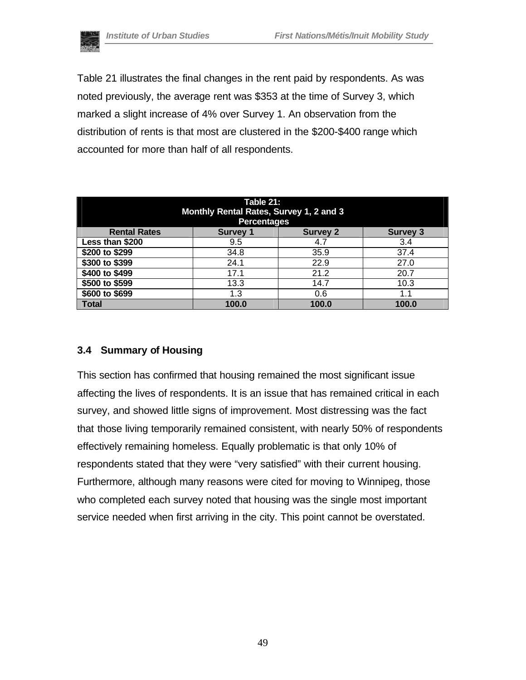

Table 21 illustrates the final changes in the rent paid by respondents. As was noted previously, the average rent was \$353 at the time of Survey 3, which marked a slight increase of 4% over Survey 1. An observation from the distribution of rents is that most are clustered in the \$200-\$400 range which accounted for more than half of all respondents.

| Table 21:<br>Monthly Rental Rates, Survey 1, 2 and 3<br><b>Percentages</b> |                 |                 |                 |  |  |
|----------------------------------------------------------------------------|-----------------|-----------------|-----------------|--|--|
| <b>Rental Rates</b>                                                        | <b>Survey 1</b> | <b>Survey 2</b> | <b>Survey 3</b> |  |  |
| Less than \$200                                                            | 9.5             | 4.7             | 3.4             |  |  |
| \$200 to \$299                                                             | 34.8            | 35.9            | 37.4            |  |  |
| \$300 to \$399                                                             | 24.1            | 22.9            | 27.0            |  |  |
| \$400 to \$499                                                             | 17.1            | 21.2            | 20.7            |  |  |
| \$500 to \$599                                                             | 13.3            | 14.7            | 10.3            |  |  |
| \$600 to \$699                                                             | 1.3             | 0.6             | 1.1             |  |  |
| <b>Total</b>                                                               | 100.0           | 100.0           | 100.0           |  |  |

### **3.4 Summary of Housing**

This section has confirmed that housing remained the most significant issue affecting the lives of respondents. It is an issue that has remained critical in each survey, and showed little signs of improvement. Most distressing was the fact that those living temporarily remained consistent, with nearly 50% of respondents effectively remaining homeless. Equally problematic is that only 10% of respondents stated that they were "very satisfied" with their current housing. Furthermore, although many reasons were cited for moving to Winnipeg, those who completed each survey noted that housing was the single most important service needed when first arriving in the city. This point cannot be overstated.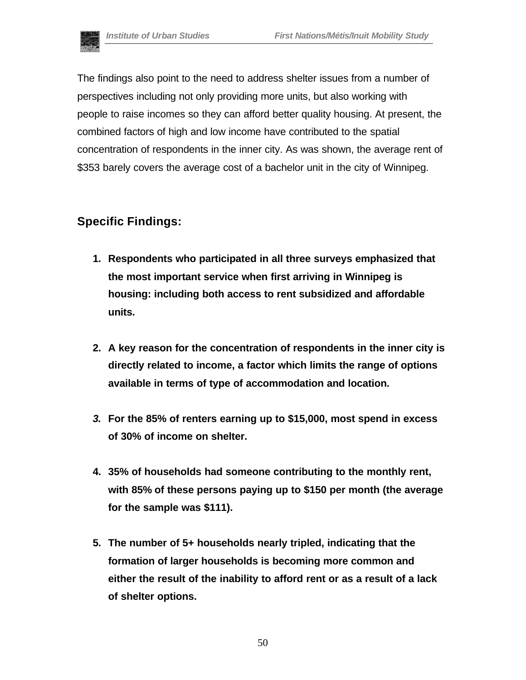



The findings also point to the need to address shelter issues from a number of perspectives including not only providing more units, but also working with people to raise incomes so they can afford better quality housing. At present, the combined factors of high and low income have contributed to the spatial concentration of respondents in the inner city. As was shown, the average rent of \$353 barely covers the average cost of a bachelor unit in the city of Winnipeg.

# **Specific Findings:**

- **1. Respondents who participated in all three surveys emphasized that the most important service when first arriving in Winnipeg is housing: including both access to rent subsidized and affordable units.**
- **2. A key reason for the concentration of respondents in the inner city is directly related to income, a factor which limits the range of options available in terms of type of accommodation and location.**
- *3.* **For the 85% of renters earning up to \$15,000, most spend in excess of 30% of income on shelter.**
- **4. 35% of households had someone contributing to the monthly rent, with 85% of these persons paying up to \$150 per month (the average for the sample was \$111).**
- **5. The number of 5+ households nearly tripled, indicating that the formation of larger households is becoming more common and either the result of the inability to afford rent or as a result of a lack of shelter options.**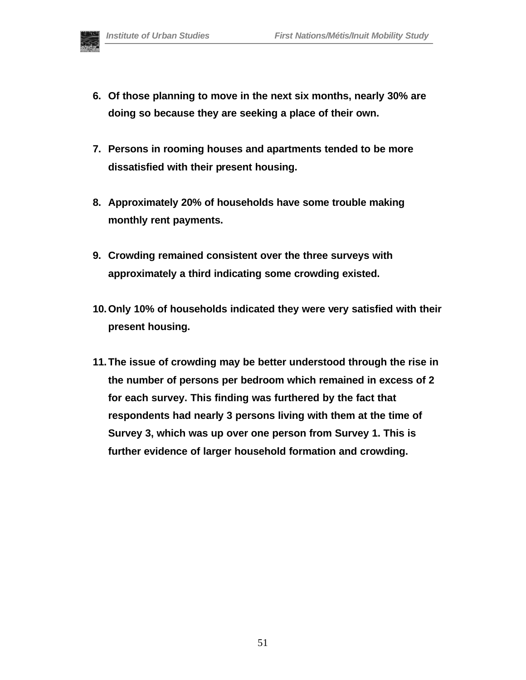

- **6. Of those planning to move in the next six months, nearly 30% are doing so because they are seeking a place of their own.**
- **7. Persons in rooming houses and apartments tended to be more dissatisfied with their present housing.**
- **8. Approximately 20% of households have some trouble making monthly rent payments.**
- **9. Crowding remained consistent over the three surveys with approximately a third indicating some crowding existed.**
- **10.Only 10% of households indicated they were very satisfied with their present housing.**
- **11.The issue of crowding may be better understood through the rise in the number of persons per bedroom which remained in excess of 2 for each survey. This finding was furthered by the fact that respondents had nearly 3 persons living with them at the time of Survey 3, which was up over one person from Survey 1. This is further evidence of larger household formation and crowding.**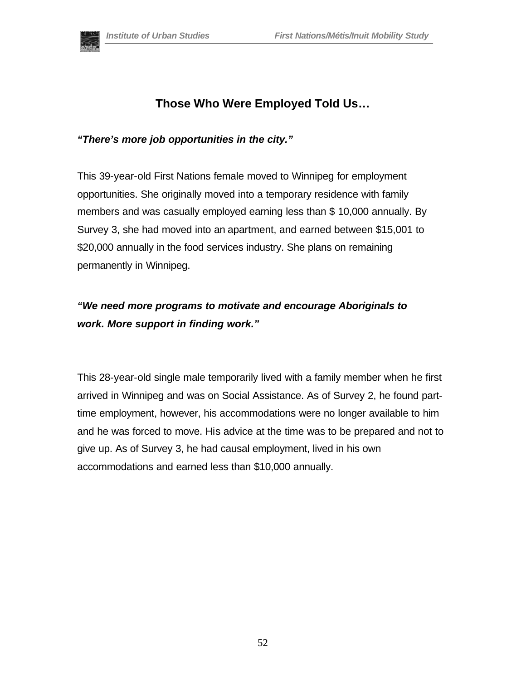# **Those Who Were Employed Told Us…**

### *"There's more job opportunities in the city."*

This 39-year-old First Nations female moved to Winnipeg for employment opportunities. She originally moved into a temporary residence with family members and was casually employed earning less than \$ 10,000 annually. By Survey 3, she had moved into an apartment, and earned between \$15,001 to \$20,000 annually in the food services industry. She plans on remaining permanently in Winnipeg.

# *"We need more programs to motivate and encourage Aboriginals to work. More support in finding work."*

This 28-year-old single male temporarily lived with a family member when he first arrived in Winnipeg and was on Social Assistance. As of Survey 2, he found parttime employment, however, his accommodations were no longer available to him and he was forced to move. His advice at the time was to be prepared and not to give up. As of Survey 3, he had causal employment, lived in his own accommodations and earned less than \$10,000 annually.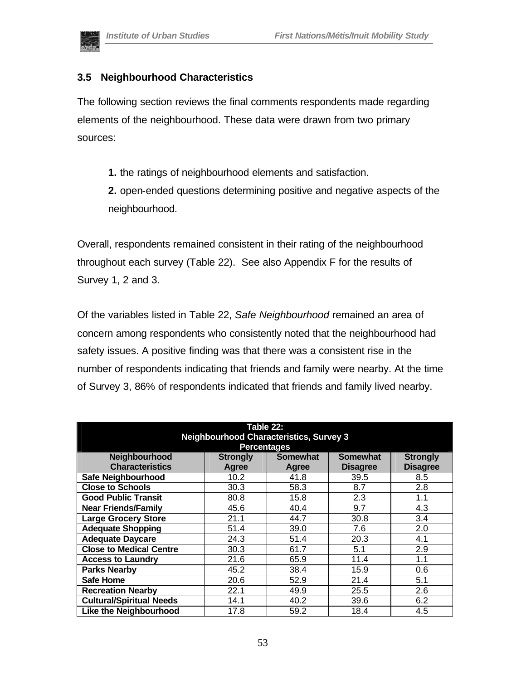

### **3.5 Neighbourhood Characteristics**

The following section reviews the final comments respondents made regarding elements of the neighbourhood. These data were drawn from two primary sources:

**1.** the ratings of neighbourhood elements and satisfaction.

**2.** open-ended questions determining positive and negative aspects of the neighbourhood.

Overall, respondents remained consistent in their rating of the neighbourhood throughout each survey (Table 22). See also Appendix F for the results of Survey 1, 2 and 3.

Of the variables listed in Table 22, *Safe Neighbourhood* remained an area of concern among respondents who consistently noted that the neighbourhood had safety issues. A positive finding was that there was a consistent rise in the number of respondents indicating that friends and family were nearby. At the time of Survey 3, 86% of respondents indicated that friends and family lived nearby.

| Table 22:<br><b>Neighbourhood Characteristics, Survey 3</b><br><b>Percentages</b> |                   |                 |                 |                 |  |
|-----------------------------------------------------------------------------------|-------------------|-----------------|-----------------|-----------------|--|
| <b>Neighbourhood</b>                                                              | <b>Strongly</b>   | <b>Somewhat</b> | <b>Somewhat</b> | <b>Strongly</b> |  |
| <b>Characteristics</b>                                                            | Agree             | Agree           | <b>Disagree</b> | <b>Disagree</b> |  |
| Safe Neighbourhood                                                                | 10.2 <sub>1</sub> | 41.8            | 39.5            | 8.5             |  |
| <b>Close to Schools</b>                                                           | 30.3              | 58.3            | 8.7             | 2.8             |  |
| <b>Good Public Transit</b>                                                        | 80.8              | 15.8            | 2.3             | 1.1             |  |
| <b>Near Friends/Family</b>                                                        | 45.6              | 40.4            | 9.7             | 4.3             |  |
| <b>Large Grocery Store</b>                                                        | 21.1              | 44.7            | 30.8            | 3.4             |  |
| <b>Adequate Shopping</b>                                                          | 51.4              | 39.0            | 7.6             | 2.0             |  |
| <b>Adequate Daycare</b>                                                           | 24.3              | 51.4            | 20.3            | 4.1             |  |
| <b>Close to Medical Centre</b>                                                    | 30.3              | 61.7            | 5.1             | 2.9             |  |
| <b>Access to Laundry</b>                                                          | 21.6              | 65.9            | 11.4            | 1.1             |  |
| <b>Parks Nearby</b>                                                               | 45.2              | 38.4            | 15.9            | 0.6             |  |
| <b>Safe Home</b>                                                                  | 20.6              | 52.9            | 21.4            | 5.1             |  |
| <b>Recreation Nearby</b>                                                          | 22.1              | 49.9            | 25.5            | 2.6             |  |
| <b>Cultural/Spiritual Needs</b>                                                   | 14.1              | 40.2            | 39.6            | 6.2             |  |
| <b>Like the Neighbourhood</b>                                                     | 17.8              | 59.2            | 18.4            | 4.5             |  |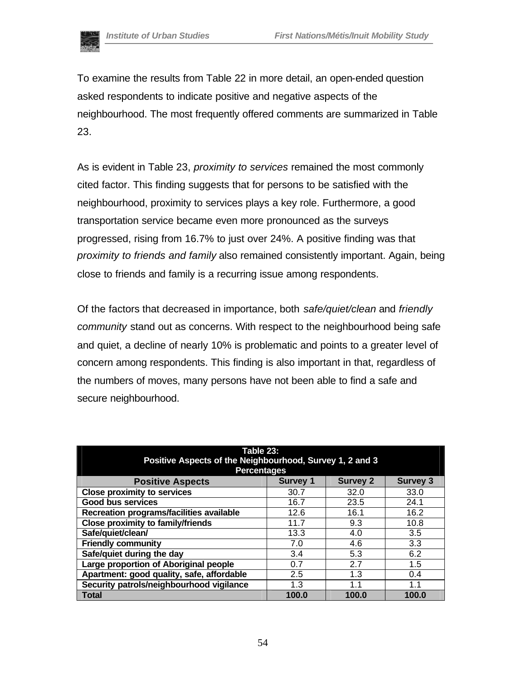

To examine the results from Table 22 in more detail, an open-ended question asked respondents to indicate positive and negative aspects of the neighbourhood. The most frequently offered comments are summarized in Table 23.

As is evident in Table 23, *proximity to services* remained the most commonly cited factor. This finding suggests that for persons to be satisfied with the neighbourhood, proximity to services plays a key role. Furthermore, a good transportation service became even more pronounced as the surveys progressed, rising from 16.7% to just over 24%. A positive finding was that *proximity to friends and family* also remained consistently important. Again, being close to friends and family is a recurring issue among respondents.

Of the factors that decreased in importance, both *safe/quiet/clean* and *friendly community* stand out as concerns. With respect to the neighbourhood being safe and quiet, a decline of nearly 10% is problematic and points to a greater level of concern among respondents. This finding is also important in that, regardless of the numbers of moves, many persons have not been able to find a safe and secure neighbourhood.

| Table 23:                                                        |                 |                 |                 |  |  |
|------------------------------------------------------------------|-----------------|-----------------|-----------------|--|--|
| Positive Aspects of the Neighbourhood, Survey 1, 2 and 3         |                 |                 |                 |  |  |
| <b>Percentages</b>                                               |                 |                 |                 |  |  |
| <b>Positive Aspects</b>                                          | <b>Survey 1</b> | <b>Survey 2</b> | <b>Survey 3</b> |  |  |
| <b>Close proximity to services</b>                               | 30.7            | 32.0            | 33.0            |  |  |
| <b>Good bus services</b>                                         | 16.7            | 23.5            | 24.1            |  |  |
| Recreation programs/facilities available<br>12.6<br>16.1<br>16.2 |                 |                 |                 |  |  |
| <b>Close proximity to family/friends</b><br>11.7<br>9.3<br>10.8  |                 |                 |                 |  |  |
| Safe/quiet/clean/                                                | 13.3            | 4.0             | 3.5             |  |  |
| <b>Friendly community</b>                                        | 7.0             | 4.6             | 3.3             |  |  |
| Safe/quiet during the day<br>3.4<br>5.3<br>6.2                   |                 |                 |                 |  |  |
| Large proportion of Aboriginal people<br>2.7<br>1.5<br>0.7       |                 |                 |                 |  |  |
| Apartment: good quality, safe, affordable<br>1.3<br>2.5<br>0.4   |                 |                 |                 |  |  |
| Security patrols/neighbourhood vigilance<br>1.3<br>1.1<br>1.1    |                 |                 |                 |  |  |
| <b>Total</b>                                                     | 100.0           | 100.0           | 100.0           |  |  |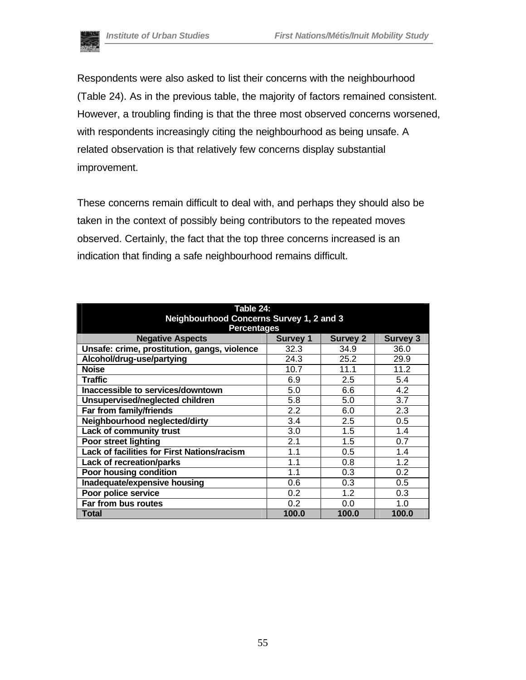

Respondents were also asked to list their concerns with the neighbourhood (Table 24). As in the previous table, the majority of factors remained consistent. However, a troubling finding is that the three most observed concerns worsened, with respondents increasingly citing the neighbourhood as being unsafe. A related observation is that relatively few concerns display substantial improvement.

These concerns remain difficult to deal with, and perhaps they should also be taken in the context of possibly being contributors to the repeated moves observed. Certainly, the fact that the top three concerns increased is an indication that finding a safe neighbourhood remains difficult.

| Table 24:<br><b>Neighbourhood Concerns Survey 1, 2 and 3</b><br><b>Percentages</b> |                                                       |         |       |  |  |  |  |
|------------------------------------------------------------------------------------|-------------------------------------------------------|---------|-------|--|--|--|--|
| <b>Negative Aspects</b>                                                            | <b>Survey 2</b><br><b>Survey 3</b><br><b>Survey 1</b> |         |       |  |  |  |  |
| Unsafe: crime, prostitution, gangs, violence                                       | 32.3                                                  | 34.9    | 36.0  |  |  |  |  |
| Alcohol/drug-use/partying                                                          | 24.3                                                  | 25.2    | 29.9  |  |  |  |  |
| <b>Noise</b>                                                                       | 10.7                                                  | 11.1    | 11.2  |  |  |  |  |
| <b>Traffic</b>                                                                     | 6.9                                                   | 2.5     | 5.4   |  |  |  |  |
| Inaccessible to services/downtown                                                  | 5.0                                                   | 6.6     | 4.2   |  |  |  |  |
| Unsupervised/neglected children                                                    | 5.8                                                   | 5.0     | 3.7   |  |  |  |  |
| Far from family/friends                                                            | 2.2                                                   | 6.0     | 2.3   |  |  |  |  |
| Neighbourhood neglected/dirty                                                      | 3.4                                                   | $2.5\,$ | 0.5   |  |  |  |  |
| Lack of community trust                                                            | 3.0                                                   | 1.5     | 1.4   |  |  |  |  |
| Poor street lighting                                                               | 2.1                                                   | 1.5     | 0.7   |  |  |  |  |
| Lack of facilities for First Nations/racism                                        | 1.1                                                   | 0.5     | 1.4   |  |  |  |  |
| <b>Lack of recreation/parks</b>                                                    | 1.1                                                   | 0.8     | 1.2   |  |  |  |  |
| Poor housing condition                                                             | 1.1                                                   | 0.3     | 0.2   |  |  |  |  |
| Inadequate/expensive housing                                                       | 0.6                                                   | 0.3     | 0.5   |  |  |  |  |
| Poor police service                                                                | 0.2                                                   | 1.2     | 0.3   |  |  |  |  |
| Far from bus routes                                                                | 0.2                                                   | 0.0     | 1.0   |  |  |  |  |
| Total                                                                              | 100.0                                                 | 100.0   | 100.0 |  |  |  |  |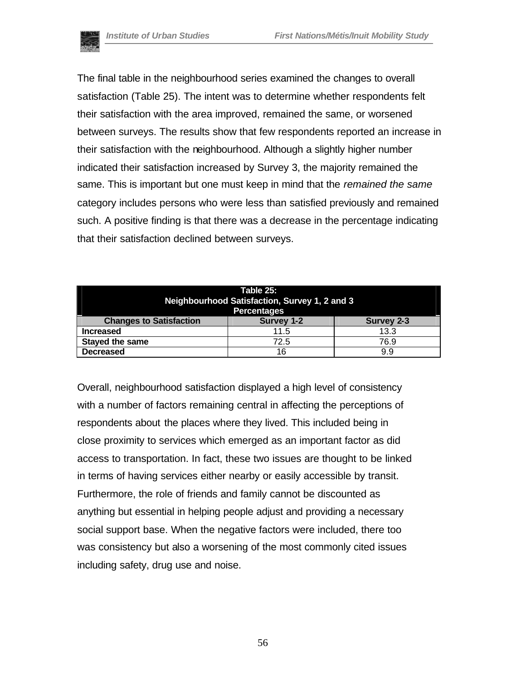

The final table in the neighbourhood series examined the changes to overall satisfaction (Table 25). The intent was to determine whether respondents felt their satisfaction with the area improved, remained the same, or worsened between surveys. The results show that few respondents reported an increase in their satisfaction with the neighbourhood. Although a slightly higher number indicated their satisfaction increased by Survey 3, the majority remained the same. This is important but one must keep in mind that the *remained the same* category includes persons who were less than satisfied previously and remained such. A positive finding is that there was a decrease in the percentage indicating that their satisfaction declined between surveys.

| Table 25:<br>Neighbourhood Satisfaction, Survey 1, 2 and 3<br><b>Percentages</b> |                                        |     |  |  |  |
|----------------------------------------------------------------------------------|----------------------------------------|-----|--|--|--|
| <b>Changes to Satisfaction</b>                                                   | <b>Survey 2-3</b><br><b>Survey 1-2</b> |     |  |  |  |
| 13.3<br><b>Increased</b><br>11.5                                                 |                                        |     |  |  |  |
| Stayed the same<br>72.5<br>76.9                                                  |                                        |     |  |  |  |
| <b>Decreased</b>                                                                 | 16                                     | 9.9 |  |  |  |

Overall, neighbourhood satisfaction displayed a high level of consistency with a number of factors remaining central in affecting the perceptions of respondents about the places where they lived. This included being in close proximity to services which emerged as an important factor as did access to transportation. In fact, these two issues are thought to be linked in terms of having services either nearby or easily accessible by transit. Furthermore, the role of friends and family cannot be discounted as anything but essential in helping people adjust and providing a necessary social support base. When the negative factors were included, there too was consistency but also a worsening of the most commonly cited issues including safety, drug use and noise.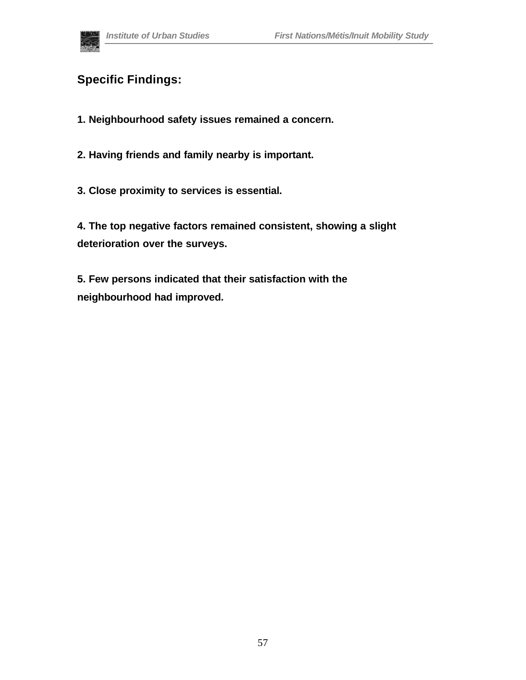# **Specific Findings:**

**1. Neighbourhood safety issues remained a concern.**

- **2. Having friends and family nearby is important.**
- **3. Close proximity to services is essential.**

**4. The top negative factors remained consistent, showing a slight deterioration over the surveys.**

**5. Few persons indicated that their satisfaction with the neighbourhood had improved.**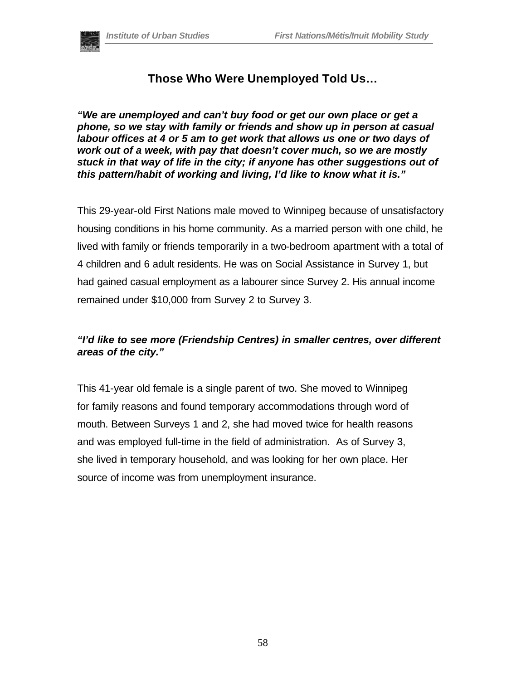

### **Those Who Were Unemployed Told Us…**

*"We are unemployed and can't buy food or get our own place or get a phone, so we stay with family or friends and show up in person at casual labour offices at 4 or 5 am to get work that allows us one or two days of work out of a week, with pay that doesn't cover much, so we are mostly stuck in that way of life in the city; if anyone has other suggestions out of this pattern/habit of working and living, I'd like to know what it is."*

This 29-year-old First Nations male moved to Winnipeg because of unsatisfactory housing conditions in his home community. As a married person with one child, he lived with family or friends temporarily in a two-bedroom apartment with a total of 4 children and 6 adult residents. He was on Social Assistance in Survey 1, but had gained casual employment as a labourer since Survey 2. His annual income remained under \$10,000 from Survey 2 to Survey 3.

### *"I'd like to see more (Friendship Centres) in smaller centres, over different areas of the city."*

This 41-year old female is a single parent of two. She moved to Winnipeg for family reasons and found temporary accommodations through word of mouth. Between Surveys 1 and 2, she had moved twice for health reasons and was employed full-time in the field of administration. As of Survey 3, she lived in temporary household, and was looking for her own place. Her source of income was from unemployment insurance.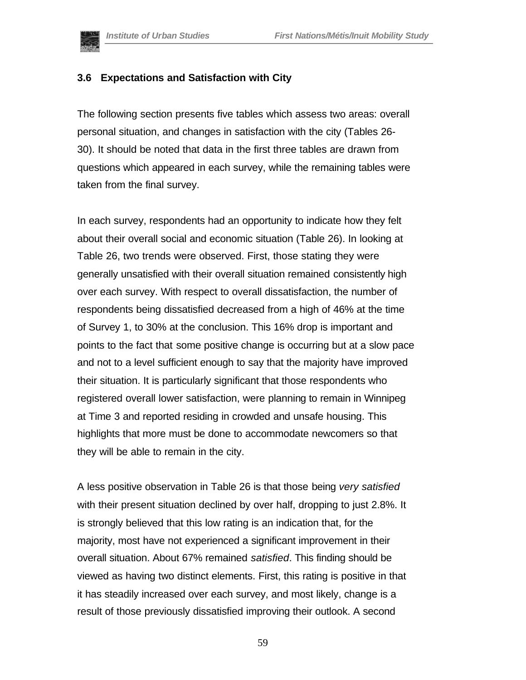#### **3.6 Expectations and Satisfaction with City**

The following section presents five tables which assess two areas: overall personal situation, and changes in satisfaction with the city (Tables 26- 30). It should be noted that data in the first three tables are drawn from questions which appeared in each survey, while the remaining tables were taken from the final survey.

In each survey, respondents had an opportunity to indicate how they felt about their overall social and economic situation (Table 26). In looking at Table 26, two trends were observed. First, those stating they were generally unsatisfied with their overall situation remained consistently high over each survey. With respect to overall dissatisfaction, the number of respondents being dissatisfied decreased from a high of 46% at the time of Survey 1, to 30% at the conclusion. This 16% drop is important and points to the fact that some positive change is occurring but at a slow pace and not to a level sufficient enough to say that the majority have improved their situation. It is particularly significant that those respondents who registered overall lower satisfaction, were planning to remain in Winnipeg at Time 3 and reported residing in crowded and unsafe housing. This highlights that more must be done to accommodate newcomers so that they will be able to remain in the city.

A less positive observation in Table 26 is that those being *very satisfied* with their present situation declined by over half, dropping to just 2.8%. It is strongly believed that this low rating is an indication that, for the majority, most have not experienced a significant improvement in their overall situation. About 67% remained *satisfied*. This finding should be viewed as having two distinct elements. First, this rating is positive in that it has steadily increased over each survey, and most likely, change is a result of those previously dissatisfied improving their outlook. A second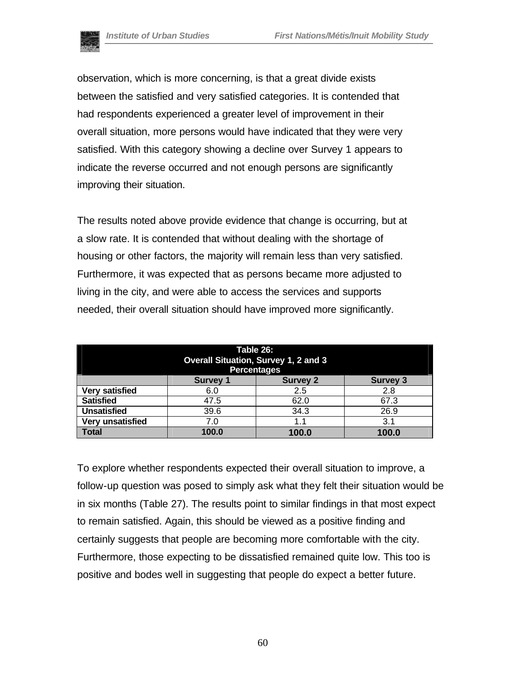

observation, which is more concerning, is that a great divide exists between the satisfied and very satisfied categories. It is contended that had respondents experienced a greater level of improvement in their overall situation, more persons would have indicated that they were very satisfied. With this category showing a decline over Survey 1 appears to indicate the reverse occurred and not enough persons are significantly improving their situation.

The results noted above provide evidence that change is occurring, but at a slow rate. It is contended that without dealing with the shortage of housing or other factors, the majority will remain less than very satisfied. Furthermore, it was expected that as persons became more adjusted to living in the city, and were able to access the services and supports needed, their overall situation should have improved more significantly.

| Table 26:<br><b>Overall Situation, Survey 1, 2 and 3</b><br><b>Percentages</b> |       |       |       |  |  |
|--------------------------------------------------------------------------------|-------|-------|-------|--|--|
| <b>Survey 3</b><br><b>Survey 2</b><br><b>Survey 1</b>                          |       |       |       |  |  |
| <b>Very satisfied</b>                                                          | 6.0   | 2.5   | 2.8   |  |  |
| <b>Satisfied</b>                                                               | 47.5  | 62.0  | 67.3  |  |  |
| <b>Unsatisfied</b>                                                             | 39.6  | 34.3  | 26.9  |  |  |
| <b>Very unsatisfied</b>                                                        | 7.0   |       | 3.1   |  |  |
| <b>Total</b>                                                                   | 100.0 | 100.0 | 100.0 |  |  |

To explore whether respondents expected their overall situation to improve, a follow-up question was posed to simply ask what they felt their situation would be in six months (Table 27). The results point to similar findings in that most expect to remain satisfied. Again, this should be viewed as a positive finding and certainly suggests that people are becoming more comfortable with the city. Furthermore, those expecting to be dissatisfied remained quite low. This too is positive and bodes well in suggesting that people do expect a better future.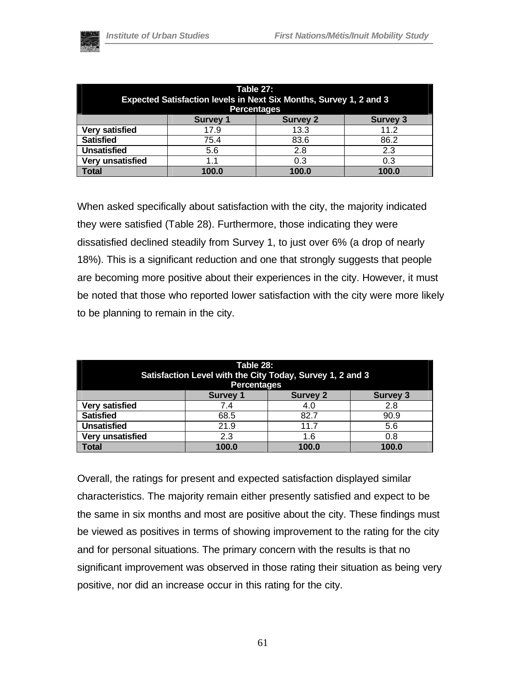| Table 27:<br>Expected Satisfaction levels in Next Six Months, Survey 1, 2 and 3<br><b>Percentages</b> |                 |                 |                 |  |
|-------------------------------------------------------------------------------------------------------|-----------------|-----------------|-----------------|--|
|                                                                                                       | <b>Survey 1</b> | <b>Survey 2</b> | <b>Survey 3</b> |  |
| <b>Very satisfied</b>                                                                                 | 17.9            | 13.3            | 11.2            |  |
| <b>Satisfied</b>                                                                                      | 75.4            | 83.6            | 86.2            |  |
| <b>Unsatisfied</b>                                                                                    | 5.6             | 2.8             | 2.3             |  |
| <b>Very unsatisfied</b>                                                                               | 1.1             | 0.3             | 0.3             |  |
| Total                                                                                                 | 100.0           | 100.0           | 100.0           |  |

When asked specifically about satisfaction with the city, the majority indicated they were satisfied (Table 28). Furthermore, those indicating they were dissatisfied declined steadily from Survey 1, to just over 6% (a drop of nearly 18%). This is a significant reduction and one that strongly suggests that people are becoming more positive about their experiences in the city. However, it must be noted that those who reported lower satisfaction with the city were more likely to be planning to remain in the city.

| Table 28:<br>Satisfaction Level with the City Today, Survey 1, 2 and 3<br><b>Percentages</b> |                 |                 |                 |  |
|----------------------------------------------------------------------------------------------|-----------------|-----------------|-----------------|--|
|                                                                                              | <b>Survey 1</b> | <b>Survey 2</b> | <b>Survey 3</b> |  |
| <b>Very satisfied</b>                                                                        | 7.4             | 4.0             | 2.8             |  |
| <b>Satisfied</b>                                                                             | 68.5            | 82.7            | 90.9            |  |
| <b>Unsatisfied</b>                                                                           | 21.9            | 11.7            | 5.6             |  |
| <b>Very unsatisfied</b>                                                                      | 2.3             | 1.6             | 0.8             |  |
| Total                                                                                        | 100.0           | 100.0           | 100.0           |  |

Overall, the ratings for present and expected satisfaction displayed similar characteristics. The majority remain either presently satisfied and expect to be the same in six months and most are positive about the city. These findings must be viewed as positives in terms of showing improvement to the rating for the city and for personal situations. The primary concern with the results is that no significant improvement was observed in those rating their situation as being very positive, nor did an increase occur in this rating for the city.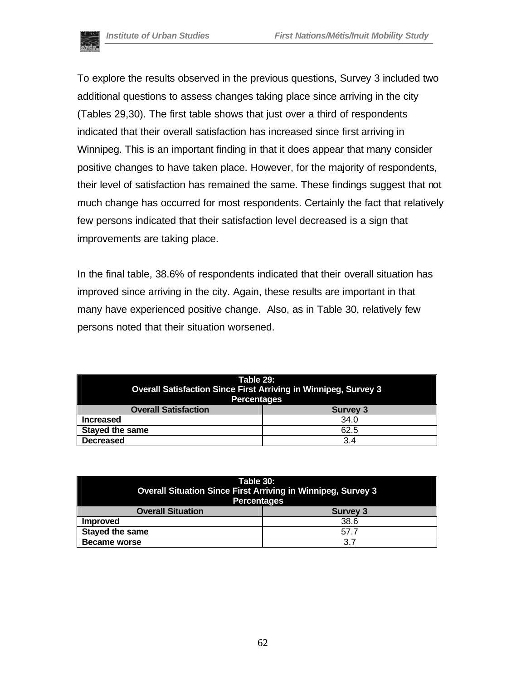

To explore the results observed in the previous questions, Survey 3 included two additional questions to assess changes taking place since arriving in the city (Tables 29,30). The first table shows that just over a third of respondents indicated that their overall satisfaction has increased since first arriving in Winnipeg. This is an important finding in that it does appear that many consider positive changes to have taken place. However, for the majority of respondents, their level of satisfaction has remained the same. These findings suggest that not much change has occurred for most respondents. Certainly the fact that relatively few persons indicated that their satisfaction level decreased is a sign that improvements are taking place.

In the final table, 38.6% of respondents indicated that their overall situation has improved since arriving in the city. Again, these results are important in that many have experienced positive change. Also, as in Table 30, relatively few persons noted that their situation worsened.

| Table 29:<br><b>Overall Satisfaction Since First Arriving in Winnipeg, Survey 3</b><br><b>Percentages</b> |      |  |  |  |
|-----------------------------------------------------------------------------------------------------------|------|--|--|--|
| <b>Overall Satisfaction</b><br><b>Survey 3</b>                                                            |      |  |  |  |
| <b>Increased</b>                                                                                          | 34.0 |  |  |  |
| Stayed the same                                                                                           | 62.5 |  |  |  |
| <b>Decreased</b>                                                                                          | 3.4  |  |  |  |

| Table 30:<br><b>Overall Situation Since First Arriving in Winnipeg, Survey 3</b><br><b>Percentages</b> |      |  |  |  |
|--------------------------------------------------------------------------------------------------------|------|--|--|--|
| <b>Overall Situation</b><br><b>Survey 3</b>                                                            |      |  |  |  |
| <b>Improved</b>                                                                                        | 38.6 |  |  |  |
| Stayed the same<br>57.7                                                                                |      |  |  |  |
| 3.7<br><b>Became worse</b>                                                                             |      |  |  |  |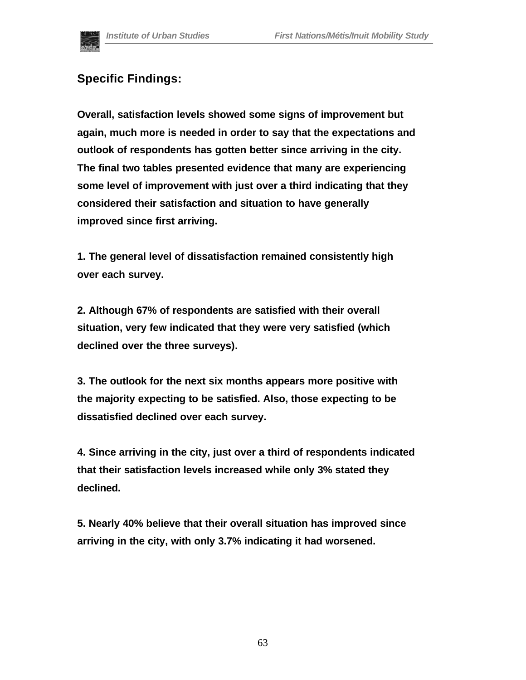

**Overall, satisfaction levels showed some signs of improvement but again, much more is needed in order to say that the expectations and outlook of respondents has gotten better since arriving in the city. The final two tables presented evidence that many are experiencing some level of improvement with just over a third indicating that they considered their satisfaction and situation to have generally improved since first arriving.** 

**1. The general level of dissatisfaction remained consistently high over each survey.**

**2. Although 67% of respondents are satisfied with their overall situation, very few indicated that they were very satisfied (which declined over the three surveys).**

**3. The outlook for the next six months appears more positive with the majority expecting to be satisfied. Also, those expecting to be dissatisfied declined over each survey.**

**4. Since arriving in the city, just over a third of respondents indicated that their satisfaction levels increased while only 3% stated they declined.**

**5. Nearly 40% believe that their overall situation has improved since arriving in the city, with only 3.7% indicating it had worsened.**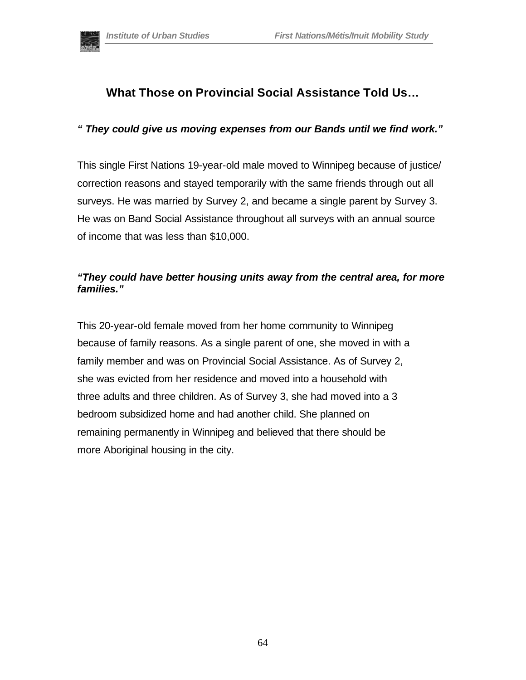# **What Those on Provincial Social Assistance Told Us…**

#### *" They could give us moving expenses from our Bands until we find work."*

This single First Nations 19-year-old male moved to Winnipeg because of justice/ correction reasons and stayed temporarily with the same friends through out all surveys. He was married by Survey 2, and became a single parent by Survey 3. He was on Band Social Assistance throughout all surveys with an annual source of income that was less than \$10,000.

## *"They could have better housing units away from the central area, for more families."*

This 20-year-old female moved from her home community to Winnipeg because of family reasons. As a single parent of one, she moved in with a family member and was on Provincial Social Assistance. As of Survey 2, she was evicted from her residence and moved into a household with three adults and three children. As of Survey 3, she had moved into a 3 bedroom subsidized home and had another child. She planned on remaining permanently in Winnipeg and believed that there should be more Aboriginal housing in the city.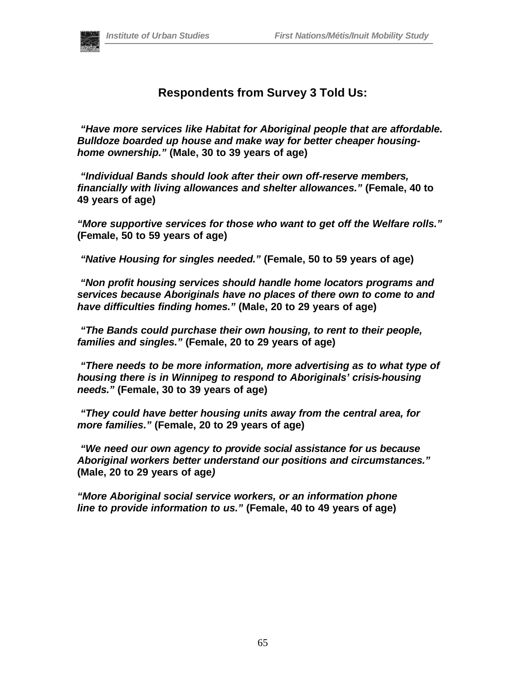

 *"Have more services like Habitat for Aboriginal people that are affordable. Bulldoze boarded up house and make way for better cheaper housinghome ownership."* **(Male, 30 to 39 years of age)**

 *"Individual Bands should look after their own off-reserve members, financially with living allowances and shelter allowances."* **(Female, 40 to 49 years of age)**

*"More supportive services for those who want to get off the Welfare rolls."*  **(Female, 50 to 59 years of age)**

 *"Native Housing for singles needed."* **(Female, 50 to 59 years of age)**

 *"Non profit housing services should handle home locators programs and services because Aboriginals have no places of there own to come to and have difficulties finding homes."* **(Male, 20 to 29 years of age)**

 *"The Bands could purchase their own housing, to rent to their people, families and singles."* **(Female, 20 to 29 years of age)**

 *"There needs to be more information, more advertising as to what type of housing there is in Winnipeg to respond to Aboriginals' crisis-housing needs."* **(Female, 30 to 39 years of age)**

 *"They could have better housing units away from the central area, for more families."* **(Female, 20 to 29 years of age)**

 *"We need our own agency to provide social assistance for us because Aboriginal workers better understand our positions and circumstances."*  **(Male, 20 to 29 years of age***)* 

*"More Aboriginal social service workers, or an information phone line to provide information to us."* **(Female, 40 to 49 years of age)**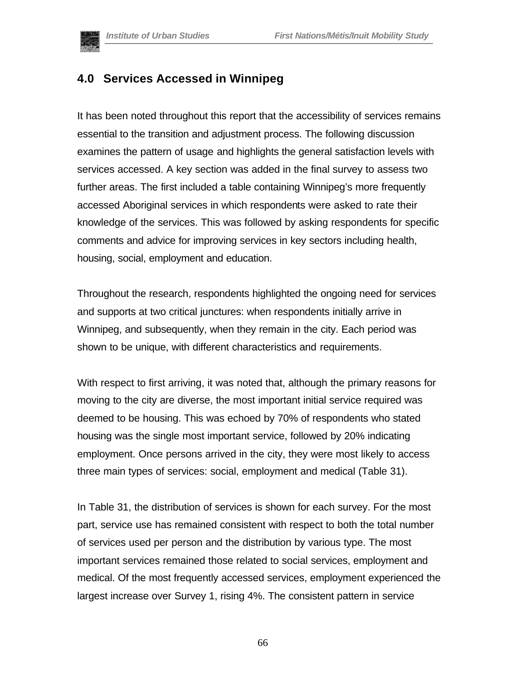# **4.0 Services Accessed in Winnipeg**

It has been noted throughout this report that the accessibility of services remains essential to the transition and adjustment process. The following discussion examines the pattern of usage and highlights the general satisfaction levels with services accessed. A key section was added in the final survey to assess two further areas. The first included a table containing Winnipeg's more frequently accessed Aboriginal services in which respondents were asked to rate their knowledge of the services. This was followed by asking respondents for specific comments and advice for improving services in key sectors including health, housing, social, employment and education.

Throughout the research, respondents highlighted the ongoing need for services and supports at two critical junctures: when respondents initially arrive in Winnipeg, and subsequently, when they remain in the city. Each period was shown to be unique, with different characteristics and requirements.

With respect to first arriving, it was noted that, although the primary reasons for moving to the city are diverse, the most important initial service required was deemed to be housing. This was echoed by 70% of respondents who stated housing was the single most important service, followed by 20% indicating employment. Once persons arrived in the city, they were most likely to access three main types of services: social, employment and medical (Table 31).

In Table 31, the distribution of services is shown for each survey. For the most part, service use has remained consistent with respect to both the total number of services used per person and the distribution by various type. The most important services remained those related to social services, employment and medical. Of the most frequently accessed services, employment experienced the largest increase over Survey 1, rising 4%. The consistent pattern in service

66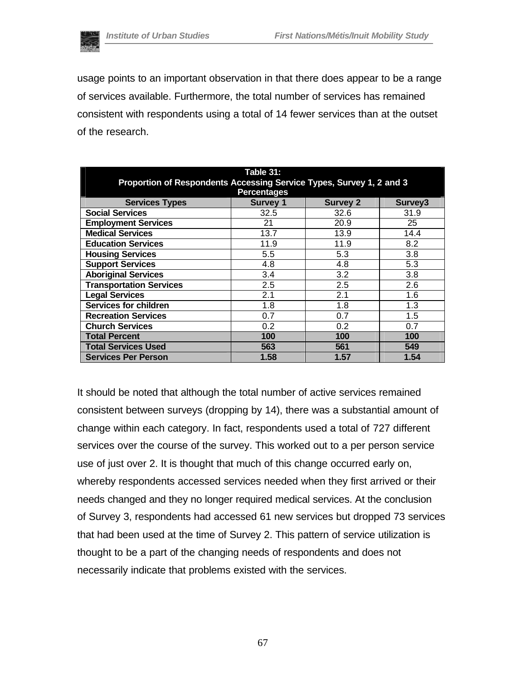

usage points to an important observation in that there does appear to be a range of services available. Furthermore, the total number of services has remained consistent with respondents using a total of 14 fewer services than at the outset of the research.

| Table 31:<br>Proportion of Respondents Accessing Service Types, Survey 1, 2 and 3<br><b>Percentages</b> |      |      |      |  |  |  |  |  |
|---------------------------------------------------------------------------------------------------------|------|------|------|--|--|--|--|--|
| <b>Services Types</b><br>Survey3<br><b>Survey 1</b><br><b>Survey 2</b>                                  |      |      |      |  |  |  |  |  |
| <b>Social Services</b>                                                                                  | 32.5 | 32.6 | 31.9 |  |  |  |  |  |
| <b>Employment Services</b>                                                                              | 21   | 20.9 | 25   |  |  |  |  |  |
| <b>Medical Services</b>                                                                                 | 13.7 | 13.9 | 14.4 |  |  |  |  |  |
| <b>Education Services</b>                                                                               | 11.9 | 11.9 | 8.2  |  |  |  |  |  |
| <b>Housing Services</b>                                                                                 | 5.5  | 5.3  | 3.8  |  |  |  |  |  |
| <b>Support Services</b>                                                                                 | 4.8  | 4.8  | 5.3  |  |  |  |  |  |
| <b>Aboriginal Services</b>                                                                              | 3.4  | 3.2  | 3.8  |  |  |  |  |  |
| <b>Transportation Services</b>                                                                          | 2.5  | 2.5  | 2.6  |  |  |  |  |  |
| <b>Legal Services</b>                                                                                   | 2.1  | 2.1  | 1.6  |  |  |  |  |  |
| <b>Services for children</b>                                                                            | 1.8  | 1.8  | 1.3  |  |  |  |  |  |
| <b>Recreation Services</b>                                                                              | 0.7  | 0.7  | 1.5  |  |  |  |  |  |
| <b>Church Services</b>                                                                                  | 0.2  | 0.2  | 0.7  |  |  |  |  |  |
| <b>Total Percent</b>                                                                                    | 100  | 100  | 100  |  |  |  |  |  |
| <b>Total Services Used</b>                                                                              | 563  | 561  | 549  |  |  |  |  |  |
| <b>Services Per Person</b>                                                                              | 1.58 | 1.57 | 1.54 |  |  |  |  |  |

It should be noted that although the total number of active services remained consistent between surveys (dropping by 14), there was a substantial amount of change within each category. In fact, respondents used a total of 727 different services over the course of the survey. This worked out to a per person service use of just over 2. It is thought that much of this change occurred early on, whereby respondents accessed services needed when they first arrived or their needs changed and they no longer required medical services. At the conclusion of Survey 3, respondents had accessed 61 new services but dropped 73 services that had been used at the time of Survey 2. This pattern of service utilization is thought to be a part of the changing needs of respondents and does not necessarily indicate that problems existed with the services.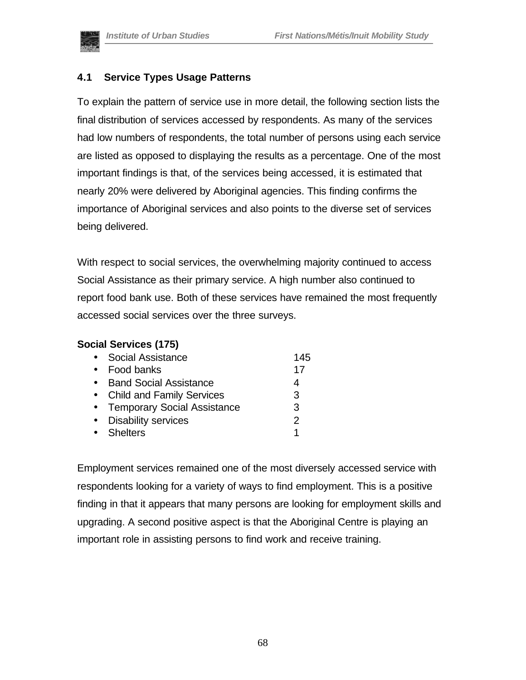

#### **4.1 Service Types Usage Patterns**

To explain the pattern of service use in more detail, the following section lists the final distribution of services accessed by respondents. As many of the services had low numbers of respondents, the total number of persons using each service are listed as opposed to displaying the results as a percentage. One of the most important findings is that, of the services being accessed, it is estimated that nearly 20% were delivered by Aboriginal agencies. This finding confirms the importance of Aboriginal services and also points to the diverse set of services being delivered.

With respect to social services, the overwhelming majority continued to access Social Assistance as their primary service. A high number also continued to report food bank use. Both of these services have remained the most frequently accessed social services over the three surveys.

#### **Social Services (175)**

|           | • Social Assistance           | 145 |
|-----------|-------------------------------|-----|
| $\bullet$ | Food banks                    | 17  |
|           | <b>Band Social Assistance</b> |     |
|           | • Child and Family Services   | 3   |
|           | • Temporary Social Assistance | 3   |
|           | <b>Disability services</b>    | 2   |
|           | <b>Shelters</b>               |     |

Employment services remained one of the most diversely accessed service with respondents looking for a variety of ways to find employment. This is a positive finding in that it appears that many persons are looking for employment skills and upgrading. A second positive aspect is that the Aboriginal Centre is playing an important role in assisting persons to find work and receive training.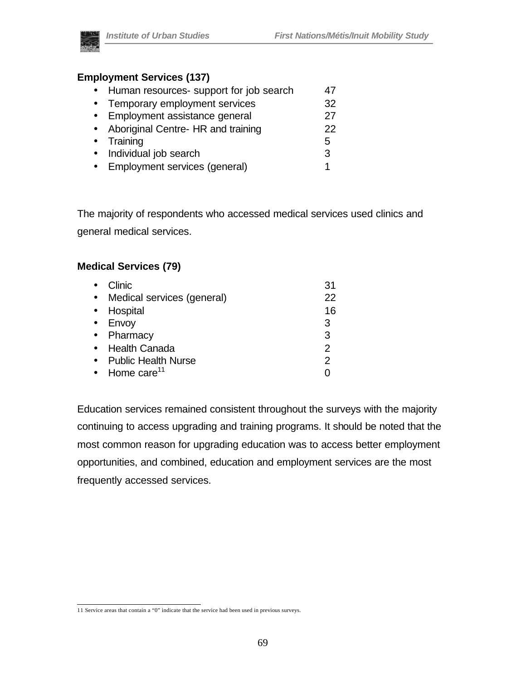

#### **Employment Services (137)**

| $\bullet$ | Human resources- support for job search |    |
|-----------|-----------------------------------------|----|
|           | • Temporary employment services         | 32 |
| $\bullet$ | Employment assistance general           | 27 |
| $\bullet$ | Aboriginal Centre- HR and training      | 22 |
|           | • Training                              | 5  |
|           | • Individual job search                 | 3  |
| $\bullet$ | Employment services (general)           | 1  |

The majority of respondents who accessed medical services used clinics and general medical services.

#### **Medical Services (79)**

| $\bullet$ | Clinic.                      | 31 |
|-----------|------------------------------|----|
|           | • Medical services (general) | 22 |
|           | • Hospital                   | 16 |
| $\bullet$ | Envoy                        | 3  |
| $\bullet$ | Pharmacy                     | 3  |
|           | • Health Canada              | 2  |
| $\bullet$ | <b>Public Health Nurse</b>   |    |
|           | • Home care <sup>11</sup>    |    |

Education services remained consistent throughout the surveys with the majority continuing to access upgrading and training programs. It should be noted that the most common reason for upgrading education was to access better employment opportunities, and combined, education and employment services are the most frequently accessed services.

 11 Service areas that contain a "0" indicate that the service had been used in previous surveys.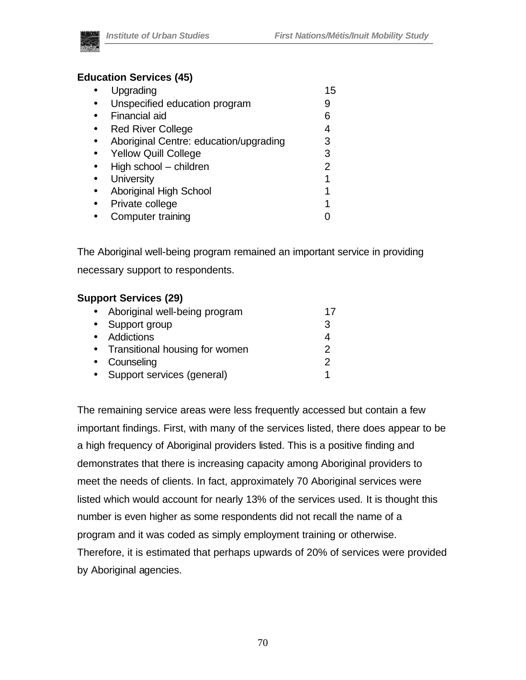

## **Education Services (45)**

| Upgrading                              | 15             |
|----------------------------------------|----------------|
| Unspecified education program          | 9              |
| <b>Financial aid</b>                   | 6              |
| <b>Red River College</b>               | 4              |
| Aboriginal Centre: education/upgrading | 3              |
| <b>Yellow Quill College</b>            | 3              |
| High school - children                 | $\overline{2}$ |
| <b>University</b>                      |                |
| <b>Aboriginal High School</b>          |                |
| Private college                        | 1              |
| Computer training                      |                |

The Aboriginal well-being program remained an important service in providing necessary support to respondents.

#### **Support Services (29)**

| • Aboriginal well-being program  |  |
|----------------------------------|--|
| • Support group                  |  |
| • Addictions                     |  |
| • Transitional housing for women |  |
| • Counseling                     |  |
| • Support services (general)     |  |

The remaining service areas were less frequently accessed but contain a few important findings. First, with many of the services listed, there does appear to be a high frequency of Aboriginal providers listed. This is a positive finding and demonstrates that there is increasing capacity among Aboriginal providers to meet the needs of clients. In fact, approximately 70 Aboriginal services were listed which would account for nearly 13% of the services used. It is thought this number is even higher as some respondents did not recall the name of a program and it was coded as simply employment training or otherwise. Therefore, it is estimated that perhaps upwards of 20% of services were provided by Aboriginal agencies.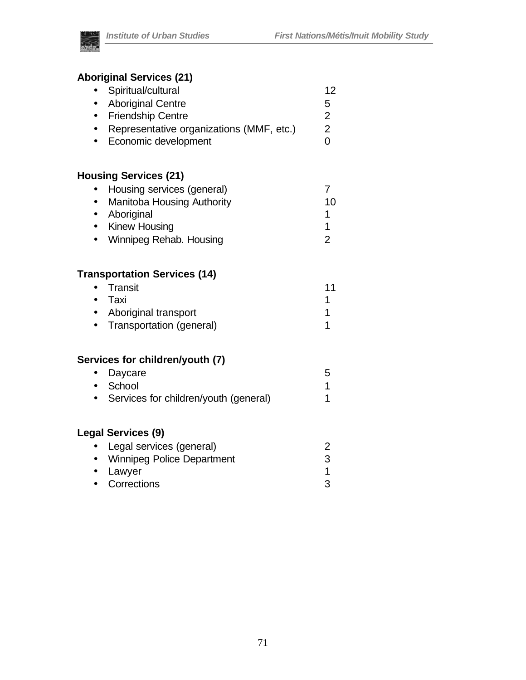

# **Aboriginal Services (21)**

| Spiritual/cultural<br>$\bullet$<br><b>Aboriginal Centre</b><br>٠<br>• Friendship Centre<br>Representative organizations (MMF, etc.)<br>$\bullet$<br>Economic development                    | 12<br>5<br>$\overline{c}$<br>$\overline{2}$<br>$\overline{0}$ |
|---------------------------------------------------------------------------------------------------------------------------------------------------------------------------------------------|---------------------------------------------------------------|
| <b>Housing Services (21)</b><br>Housing services (general)<br>Manitoba Housing Authority<br>$\bullet$<br>Aboriginal<br>$\bullet$<br>• Kinew Housing<br>Winnipeg Rehab. Housing<br>$\bullet$ | $\overline{7}$<br>10<br>1<br>1<br>$\overline{2}$              |
| <b>Transportation Services (14)</b><br>Transit<br>Taxi<br>$\bullet$<br>• Aboriginal transport<br>Transportation (general)<br>$\bullet$                                                      | 11<br>1<br>1<br>1                                             |
| Services for children/youth (7)<br>Daycare<br>School<br>Services for children/youth (general)                                                                                               | 5<br>1<br>1                                                   |
| <b>Legal Services (9)</b><br>Legal services (general)<br><b>Winnipeg Police Department</b><br>$\bullet$<br>Lawyer<br>Corrections<br>$\bullet$                                               | 2<br>3<br>$\mathbf 1$<br>3                                    |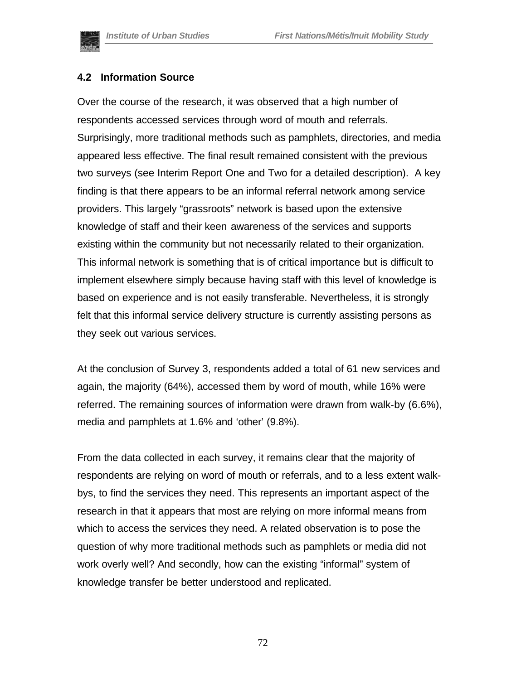

#### **4.2 Information Source**

Over the course of the research, it was observed that a high number of respondents accessed services through word of mouth and referrals. Surprisingly, more traditional methods such as pamphlets, directories, and media appeared less effective. The final result remained consistent with the previous two surveys (see Interim Report One and Two for a detailed description). A key finding is that there appears to be an informal referral network among service providers. This largely "grassroots" network is based upon the extensive knowledge of staff and their keen awareness of the services and supports existing within the community but not necessarily related to their organization. This informal network is something that is of critical importance but is difficult to implement elsewhere simply because having staff with this level of knowledge is based on experience and is not easily transferable. Nevertheless, it is strongly felt that this informal service delivery structure is currently assisting persons as they seek out various services.

At the conclusion of Survey 3, respondents added a total of 61 new services and again, the majority (64%), accessed them by word of mouth, while 16% were referred. The remaining sources of information were drawn from walk-by (6.6%), media and pamphlets at 1.6% and 'other' (9.8%).

From the data collected in each survey, it remains clear that the majority of respondents are relying on word of mouth or referrals, and to a less extent walkbys, to find the services they need. This represents an important aspect of the research in that it appears that most are relying on more informal means from which to access the services they need. A related observation is to pose the question of why more traditional methods such as pamphlets or media did not work overly well? And secondly, how can the existing "informal" system of knowledge transfer be better understood and replicated.

72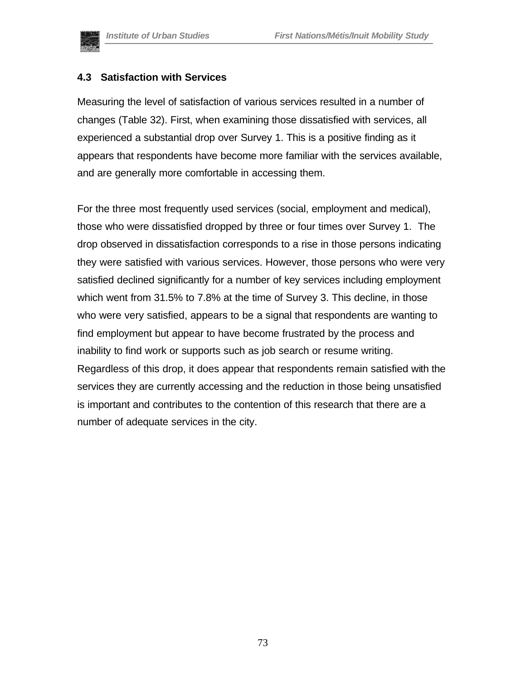

#### **4.3 Satisfaction with Services**

Measuring the level of satisfaction of various services resulted in a number of changes (Table 32). First, when examining those dissatisfied with services, all experienced a substantial drop over Survey 1. This is a positive finding as it appears that respondents have become more familiar with the services available, and are generally more comfortable in accessing them.

For the three most frequently used services (social, employment and medical), those who were dissatisfied dropped by three or four times over Survey 1. The drop observed in dissatisfaction corresponds to a rise in those persons indicating they were satisfied with various services. However, those persons who were very satisfied declined significantly for a number of key services including employment which went from 31.5% to 7.8% at the time of Survey 3. This decline, in those who were very satisfied, appears to be a signal that respondents are wanting to find employment but appear to have become frustrated by the process and inability to find work or supports such as job search or resume writing. Regardless of this drop, it does appear that respondents remain satisfied with the services they are currently accessing and the reduction in those being unsatisfied is important and contributes to the contention of this research that there are a number of adequate services in the city.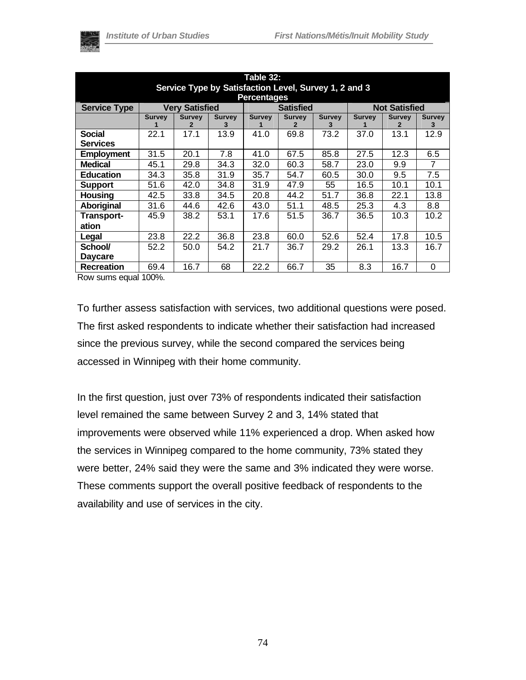| Table 32:           |                                                       |                               |                    |                    |                  |                    |               |                      |                    |
|---------------------|-------------------------------------------------------|-------------------------------|--------------------|--------------------|------------------|--------------------|---------------|----------------------|--------------------|
|                     | Service Type by Satisfaction Level, Survey 1, 2 and 3 |                               |                    |                    |                  |                    |               |                      |                    |
|                     |                                                       |                               |                    | <b>Percentages</b> |                  |                    |               |                      |                    |
| <b>Service Type</b> |                                                       | <b>Very Satisfied</b>         |                    |                    | <b>Satisfied</b> |                    |               | <b>Not Satisfied</b> |                    |
|                     | <b>Survey</b>                                         | <b>Survey</b><br>$\mathbf{2}$ | <b>Survey</b><br>3 | <b>Survey</b>      | <b>Survey</b>    | <b>Survey</b><br>3 | <b>Survey</b> | <b>Survey</b><br>2   | <b>Survey</b><br>3 |
| <b>Social</b>       | 22.1                                                  | 17.1                          | 13.9               | 41.0               | 69.8             | 73.2               | 37.0          | 13.1                 | 12.9               |
| <b>Services</b>     |                                                       |                               |                    |                    |                  |                    |               |                      |                    |
| <b>Employment</b>   | 31.5                                                  | 20.1                          | 7.8                | 41.0               | 67.5             | 85.8               | 27.5          | 12.3                 | 6.5                |
| <b>Medical</b>      | 45.1                                                  | 29.8                          | 34.3               | 32.0               | 60.3             | 58.7               | 23.0          | 9.9                  | $\overline{7}$     |
| <b>Education</b>    | 34.3                                                  | 35.8                          | 31.9               | 35.7               | 54.7             | 60.5               | 30.0          | 9.5                  | 7.5                |
| <b>Support</b>      | 51.6                                                  | 42.0                          | 34.8               | 31.9               | 47.9             | 55                 | 16.5          | 10.1                 | 10.1               |
| <b>Housing</b>      | 42.5                                                  | 33.8                          | 34.5               | 20.8               | 44.2             | 51.7               | 36.8          | 22.1                 | 13.8               |
| Aboriginal          | 31.6                                                  | 44.6                          | 42.6               | 43.0               | 51.1             | 48.5               | 25.3          | 4.3                  | 8.8                |
| <b>Transport-</b>   | 45.9                                                  | 38.2                          | 53.1               | 17.6               | 51.5             | 36.7               | 36.5          | 10.3                 | 10.2               |
| ation               |                                                       |                               |                    |                    |                  |                    |               |                      |                    |
| Legal               | 23.8                                                  | 22.2                          | 36.8               | 23.8               | 60.0             | 52.6               | 52.4          | 17.8                 | 10.5               |
| School/             | 52.2                                                  | 50.0                          | 54.2               | 21.7               | 36.7             | 29.2               | 26.1          | 13.3                 | 16.7               |
| <b>Daycare</b>      |                                                       |                               |                    |                    |                  |                    |               |                      |                    |
| <b>Recreation</b>   | 69.4<br>$\sqrt{2}$                                    | 16.7                          | 68                 | 22.2               | 66.7             | 35                 | 8.3           | 16.7                 | 0                  |

Row sums equal 100%.

To further assess satisfaction with services, two additional questions were posed. The first asked respondents to indicate whether their satisfaction had increased since the previous survey, while the second compared the services being accessed in Winnipeg with their home community.

In the first question, just over 73% of respondents indicated their satisfaction level remained the same between Survey 2 and 3, 14% stated that improvements were observed while 11% experienced a drop. When asked how the services in Winnipeg compared to the home community, 73% stated they were better, 24% said they were the same and 3% indicated they were worse. These comments support the overall positive feedback of respondents to the availability and use of services in the city.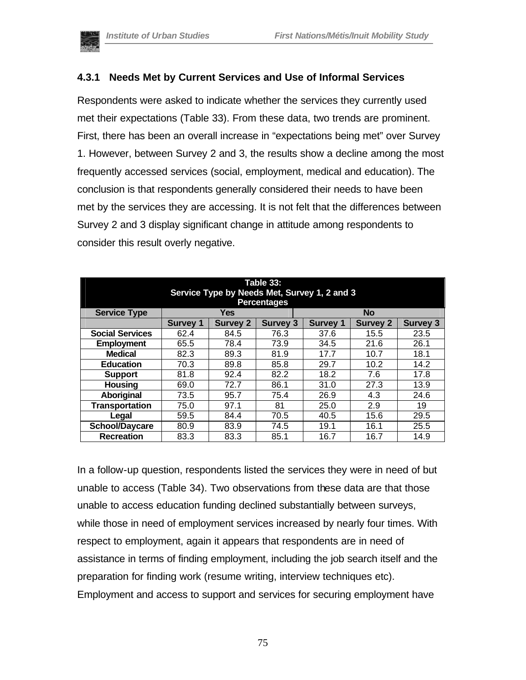

#### **4.3.1 Needs Met by Current Services and Use of Informal Services**

Respondents were asked to indicate whether the services they currently used met their expectations (Table 33). From these data, two trends are prominent. First, there has been an overall increase in "expectations being met" over Survey 1. However, between Survey 2 and 3, the results show a decline among the most frequently accessed services (social, employment, medical and education). The conclusion is that respondents generally considered their needs to have been met by the services they are accessing. It is not felt that the differences between Survey 2 and 3 display significant change in attitude among respondents to consider this result overly negative.

| Table 33:<br>Service Type by Needs Met, Survey 1, 2 and 3<br><b>Percentages</b> |                 |                 |          |                 |                 |                 |
|---------------------------------------------------------------------------------|-----------------|-----------------|----------|-----------------|-----------------|-----------------|
| <b>Service Type</b>                                                             |                 | Yes             |          |                 | <b>No</b>       |                 |
|                                                                                 | <b>Survey 1</b> | <b>Survey 2</b> | Survey 3 | <b>Survey 1</b> | <b>Survey 2</b> | <b>Survey 3</b> |
| <b>Social Services</b>                                                          | 62.4            | 84.5            | 76.3     | 37.6            | 15.5            | 23.5            |
| <b>Employment</b>                                                               | 65.5            | 78.4            | 73.9     | 34.5            | 21.6            | 26.1            |
| <b>Medical</b>                                                                  | 82.3            | 89.3            | 81.9     | 17.7            | 10.7            | 18.1            |
| <b>Education</b>                                                                | 70.3            | 89.8            | 85.8     | 29.7            | 10.2            | 14.2            |
| <b>Support</b>                                                                  | 81.8            | 92.4            | 82.2     | 18.2            | 7.6             | 17.8            |
| <b>Housing</b>                                                                  | 69.0            | 72.7            | 86.1     | 31.0            | 27.3            | 13.9            |
| Aboriginal                                                                      | 73.5            | 95.7            | 75.4     | 26.9            | 4.3             | 24.6            |
| <b>Transportation</b>                                                           | 75.0            | 97.1            | 81       | 25.0            | 2.9             | 19              |
| Legal                                                                           | 59.5            | 84.4            | 70.5     | 40.5            | 15.6            | 29.5            |
| <b>School/Daycare</b>                                                           | 80.9            | 83.9            | 74.5     | 19.1            | 16.1            | 25.5            |
| <b>Recreation</b>                                                               | 83.3            | 83.3            | 85.1     | 16.7            | 16.7            | 14.9            |

In a follow-up question, respondents listed the services they were in need of but unable to access (Table 34). Two observations from these data are that those unable to access education funding declined substantially between surveys, while those in need of employment services increased by nearly four times. With respect to employment, again it appears that respondents are in need of assistance in terms of finding employment, including the job search itself and the preparation for finding work (resume writing, interview techniques etc). Employment and access to support and services for securing employment have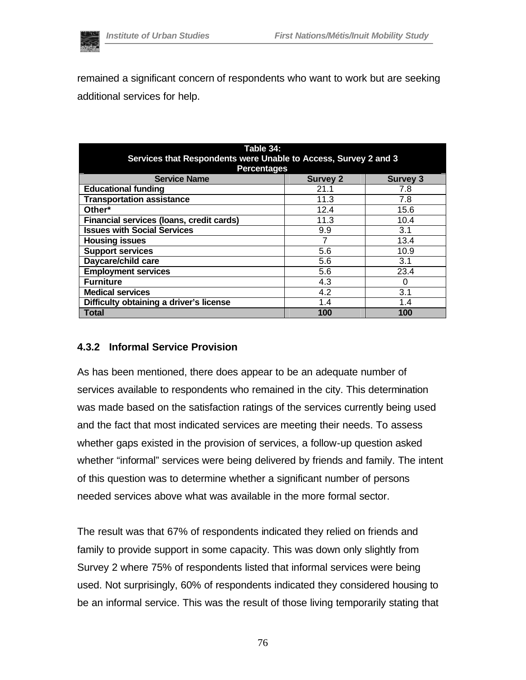

remained a significant concern of respondents who want to work but are seeking additional services for help.

| Table 34:<br>Services that Respondents were Unable to Access, Survey 2 and 3<br><b>Percentages</b> |      |      |  |  |  |  |  |
|----------------------------------------------------------------------------------------------------|------|------|--|--|--|--|--|
| <b>Service Name</b><br><b>Survey 3</b><br><b>Survey 2</b>                                          |      |      |  |  |  |  |  |
| <b>Educational funding</b>                                                                         | 21.1 | 7.8  |  |  |  |  |  |
| <b>Transportation assistance</b>                                                                   | 11.3 | 7.8  |  |  |  |  |  |
| Other*                                                                                             | 12.4 | 15.6 |  |  |  |  |  |
| Financial services (Ioans, credit cards)                                                           | 11.3 | 10.4 |  |  |  |  |  |
| <b>Issues with Social Services</b>                                                                 | 9.9  | 3.1  |  |  |  |  |  |
| <b>Housing issues</b>                                                                              | 7    | 13.4 |  |  |  |  |  |
| <b>Support services</b>                                                                            | 5.6  | 10.9 |  |  |  |  |  |
| Daycare/child care                                                                                 | 5.6  | 3.1  |  |  |  |  |  |
| <b>Employment services</b>                                                                         | 5.6  | 23.4 |  |  |  |  |  |
| <b>Furniture</b>                                                                                   | 4.3  | 0    |  |  |  |  |  |
| <b>Medical services</b>                                                                            | 4.2  | 3.1  |  |  |  |  |  |
| Difficulty obtaining a driver's license                                                            | 1.4  | 1.4  |  |  |  |  |  |
| <b>Total</b>                                                                                       | 100  | 100  |  |  |  |  |  |

## **4.3.2 Informal Service Provision**

As has been mentioned, there does appear to be an adequate number of services available to respondents who remained in the city. This determination was made based on the satisfaction ratings of the services currently being used and the fact that most indicated services are meeting their needs. To assess whether gaps existed in the provision of services, a follow-up question asked whether "informal" services were being delivered by friends and family. The intent of this question was to determine whether a significant number of persons needed services above what was available in the more formal sector.

The result was that 67% of respondents indicated they relied on friends and family to provide support in some capacity. This was down only slightly from Survey 2 where 75% of respondents listed that informal services were being used. Not surprisingly, 60% of respondents indicated they considered housing to be an informal service. This was the result of those living temporarily stating that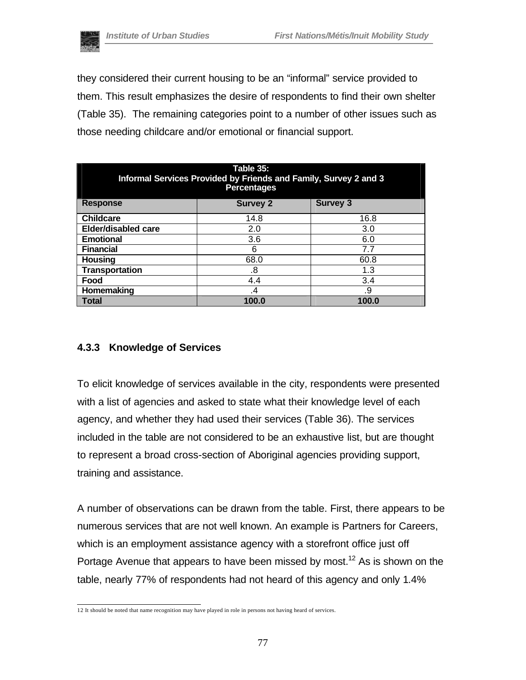

they considered their current housing to be an "informal" service provided to them. This result emphasizes the desire of respondents to find their own shelter (Table 35). The remaining categories point to a number of other issues such as those needing childcare and/or emotional or financial support.

| Table 35:<br>Informal Services Provided by Friends and Family, Survey 2 and 3<br><b>Percentages</b> |                 |                 |  |
|-----------------------------------------------------------------------------------------------------|-----------------|-----------------|--|
| <b>Response</b>                                                                                     | <b>Survey 2</b> | <b>Survey 3</b> |  |
| <b>Childcare</b>                                                                                    | 14.8            | 16.8            |  |
| <b>Elder/disabled care</b>                                                                          | 2.0             | 3.0             |  |
| <b>Emotional</b>                                                                                    | 3.6             | 6.0             |  |
| <b>Financial</b>                                                                                    | 6               | 7.7             |  |
| <b>Housing</b>                                                                                      | 68.0            | 60.8            |  |
| <b>Transportation</b>                                                                               | .8              | 1.3             |  |
| Food                                                                                                | 4.4             | 3.4             |  |
| Homemaking                                                                                          | .4              | .9              |  |
| Total                                                                                               | 100.0           | 100.0           |  |

## **4.3.3 Knowledge of Services**

To elicit knowledge of services available in the city, respondents were presented with a list of agencies and asked to state what their knowledge level of each agency, and whether they had used their services (Table 36). The services included in the table are not considered to be an exhaustive list, but are thought to represent a broad cross-section of Aboriginal agencies providing support, training and assistance.

A number of observations can be drawn from the table. First, there appears to be numerous services that are not well known. An example is Partners for Careers, which is an employment assistance agency with a storefront office just off Portage Avenue that appears to have been missed by most.<sup>12</sup> As is shown on the table, nearly 77% of respondents had not heard of this agency and only 1.4%

<sup>12</sup> It should be noted that name recognition may have played in role in persons not having heard of services.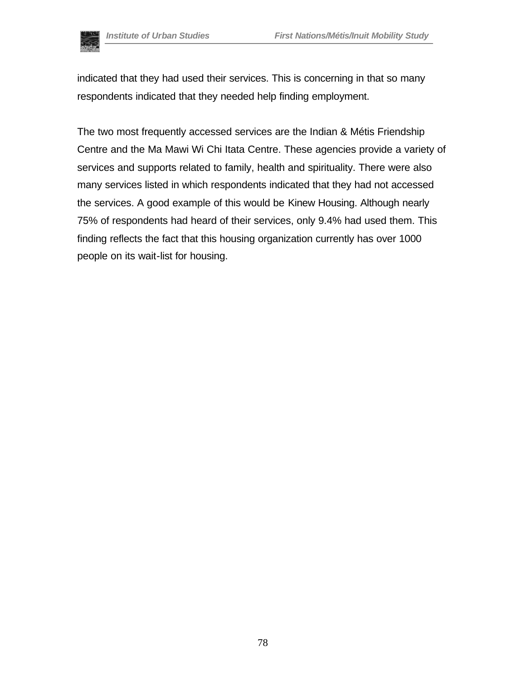

indicated that they had used their services. This is concerning in that so many respondents indicated that they needed help finding employment.

The two most frequently accessed services are the Indian & Métis Friendship Centre and the Ma Mawi Wi Chi Itata Centre. These agencies provide a variety of services and supports related to family, health and spirituality. There were also many services listed in which respondents indicated that they had not accessed the services. A good example of this would be Kinew Housing. Although nearly 75% of respondents had heard of their services, only 9.4% had used them. This finding reflects the fact that this housing organization currently has over 1000 people on its wait-list for housing.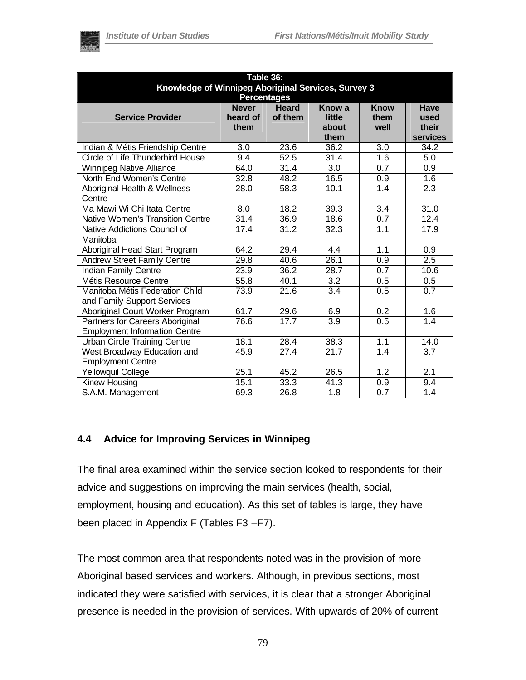| Table 36:                                           |                                    |              |        |                  |                  |
|-----------------------------------------------------|------------------------------------|--------------|--------|------------------|------------------|
| Knowledge of Winnipeg Aboriginal Services, Survey 3 |                                    |              |        |                  |                  |
|                                                     | <b>Percentages</b><br><b>Never</b> | <b>Heard</b> | Know a | <b>Know</b>      | <b>Have</b>      |
| <b>Service Provider</b>                             | heard of                           | of them      | little | them             | used             |
|                                                     | them                               |              | about  | well             | their            |
|                                                     |                                    |              | them   |                  | <b>services</b>  |
| Indian & Métis Friendship Centre                    | 3.0                                | 23.6         | 36.2   | 3.0              | 34.2             |
| Circle of Life Thunderbird House                    | 9.4                                | 52.5         | 31.4   | 1.6              | 5.0              |
| <b>Winnipeg Native Alliance</b>                     | 64.0                               | 31.4         | 3.0    | 0.7              | 0.9              |
| North End Women's Centre                            | 32.8                               | 48.2         | 16.5   | 0.9              | 1.6              |
| Aboriginal Health & Wellness                        | 28.0                               | 58.3         | 10.1   | $\overline{1.4}$ | 2.3              |
| Centre                                              |                                    |              |        |                  |                  |
| Ma Mawi Wi Chi Itata Centre                         | 8.0                                | 18.2         | 39.3   | $\overline{3.4}$ | 31.0             |
| Native Women's Transition Centre                    | 31.4                               | 36.9         | 18.6   | $\overline{0.7}$ | 12.4             |
| Native Addictions Council of                        | 17.4                               | 31.2         | 32.3   | 1.1              | 17.9             |
| Manitoba                                            |                                    |              |        |                  |                  |
| Aboriginal Head Start Program                       | 64.2                               | 29.4         | 4.4    | 1.1              | 0.9              |
| <b>Andrew Street Family Centre</b>                  | 29.8                               | 40.6         | 26.1   | 0.9              | 2.5              |
| <b>Indian Family Centre</b>                         | 23.9                               | 36.2         | 28.7   | 0.7              | 10.6             |
| Métis Resource Centre                               | 55.8                               | 40.1         | 3.2    | 0.5              | 0.5              |
| Manitoba Métis Federation Child                     | 73.9                               | 21.6         | 3.4    | 0.5              | 0.7              |
| and Family Support Services                         |                                    |              |        |                  |                  |
| Aboriginal Court Worker Program                     | 61.7                               | 29.6         | 6.9    | 0.2              | 1.6              |
| Partners for Careers Aboriginal                     | 76.6                               | 17.7         | 3.9    | 0.5              | 1.4              |
| <b>Employment Information Centre</b>                |                                    |              |        |                  |                  |
| <b>Urban Circle Training Centre</b>                 | 18.1                               | 28.4         | 38.3   | 1.1              | 14.0             |
| West Broadway Education and                         | 45.9                               | 27.4         | 21.7   | $\overline{1.4}$ | $\overline{3.7}$ |
| <b>Employment Centre</b>                            |                                    |              |        |                  |                  |
| Yellowquil College                                  | 25.1                               | 45.2         | 26.5   | 1.2              | 2.1              |
| Kinew Housing                                       | 15.1                               | 33.3         | 41.3   | 0.9              | 9.4              |
| S.A.M. Management                                   | 69.3                               | 26.8         | 1.8    | 0.7              | 1.4              |

## **4.4 Advice for Improving Services in Winnipeg**

The final area examined within the service section looked to respondents for their advice and suggestions on improving the main services (health, social, employment, housing and education). As this set of tables is large, they have been placed in Appendix F (Tables F3 –F7).

The most common area that respondents noted was in the provision of more Aboriginal based services and workers. Although, in previous sections, most indicated they were satisfied with services, it is clear that a stronger Aboriginal presence is needed in the provision of services. With upwards of 20% of current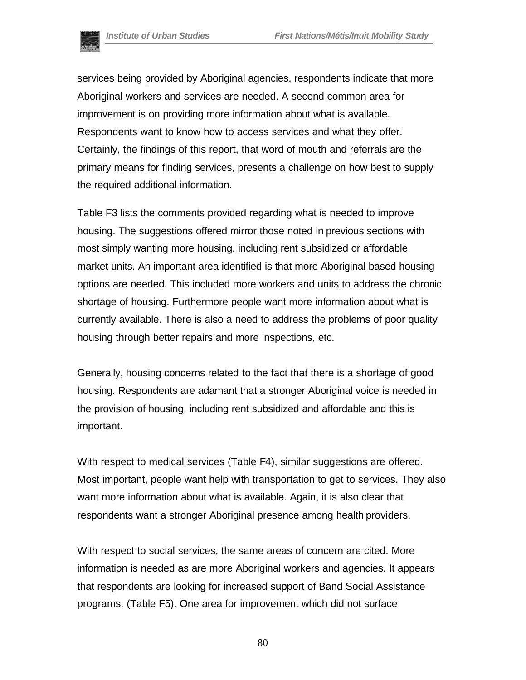

services being provided by Aboriginal agencies, respondents indicate that more Aboriginal workers and services are needed. A second common area for improvement is on providing more information about what is available. Respondents want to know how to access services and what they offer. Certainly, the findings of this report, that word of mouth and referrals are the primary means for finding services, presents a challenge on how best to supply the required additional information.

Table F3 lists the comments provided regarding what is needed to improve housing. The suggestions offered mirror those noted in previous sections with most simply wanting more housing, including rent subsidized or affordable market units. An important area identified is that more Aboriginal based housing options are needed. This included more workers and units to address the chronic shortage of housing. Furthermore people want more information about what is currently available. There is also a need to address the problems of poor quality housing through better repairs and more inspections, etc.

Generally, housing concerns related to the fact that there is a shortage of good housing. Respondents are adamant that a stronger Aboriginal voice is needed in the provision of housing, including rent subsidized and affordable and this is important.

With respect to medical services (Table F4), similar suggestions are offered. Most important, people want help with transportation to get to services. They also want more information about what is available. Again, it is also clear that respondents want a stronger Aboriginal presence among health providers.

With respect to social services, the same areas of concern are cited. More information is needed as are more Aboriginal workers and agencies. It appears that respondents are looking for increased support of Band Social Assistance programs. (Table F5). One area for improvement which did not surface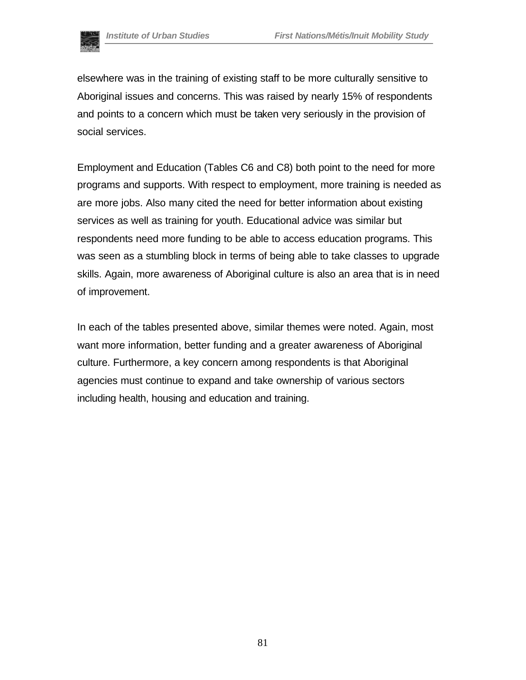

elsewhere was in the training of existing staff to be more culturally sensitive to Aboriginal issues and concerns. This was raised by nearly 15% of respondents and points to a concern which must be taken very seriously in the provision of social services.

Employment and Education (Tables C6 and C8) both point to the need for more programs and supports. With respect to employment, more training is needed as are more jobs. Also many cited the need for better information about existing services as well as training for youth. Educational advice was similar but respondents need more funding to be able to access education programs. This was seen as a stumbling block in terms of being able to take classes to upgrade skills. Again, more awareness of Aboriginal culture is also an area that is in need of improvement.

In each of the tables presented above, similar themes were noted. Again, most want more information, better funding and a greater awareness of Aboriginal culture. Furthermore, a key concern among respondents is that Aboriginal agencies must continue to expand and take ownership of various sectors including health, housing and education and training.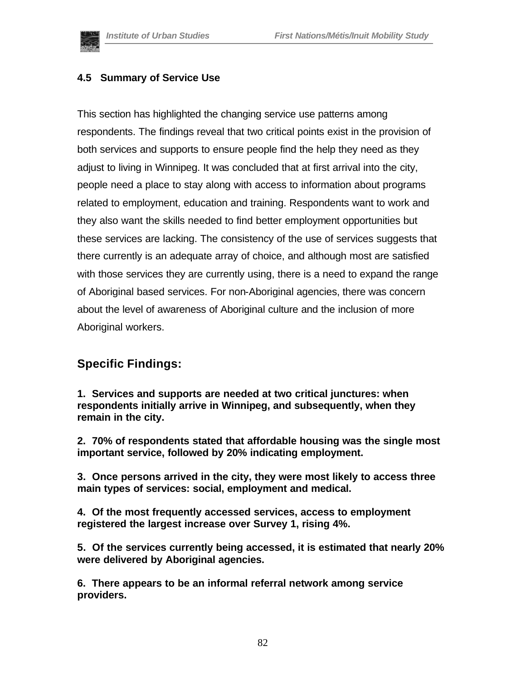

# **4.5 Summary of Service Use**

This section has highlighted the changing service use patterns among respondents. The findings reveal that two critical points exist in the provision of both services and supports to ensure people find the help they need as they adjust to living in Winnipeg. It was concluded that at first arrival into the city, people need a place to stay along with access to information about programs related to employment, education and training. Respondents want to work and they also want the skills needed to find better employment opportunities but these services are lacking. The consistency of the use of services suggests that there currently is an adequate array of choice, and although most are satisfied with those services they are currently using, there is a need to expand the range of Aboriginal based services. For non-Aboriginal agencies, there was concern about the level of awareness of Aboriginal culture and the inclusion of more Aboriginal workers.

# **Specific Findings:**

**1. Services and supports are needed at two critical junctures: when respondents initially arrive in Winnipeg, and subsequently, when they remain in the city.** 

**2. 70% of respondents stated that affordable housing was the single most important service, followed by 20% indicating employment.** 

**3. Once persons arrived in the city, they were most likely to access three main types of services: social, employment and medical.**

**4. Of the most frequently accessed services, access to employment registered the largest increase over Survey 1, rising 4%.**

**5. Of the services currently being accessed, it is estimated that nearly 20% were delivered by Aboriginal agencies.** 

**6. There appears to be an informal referral network among service providers.**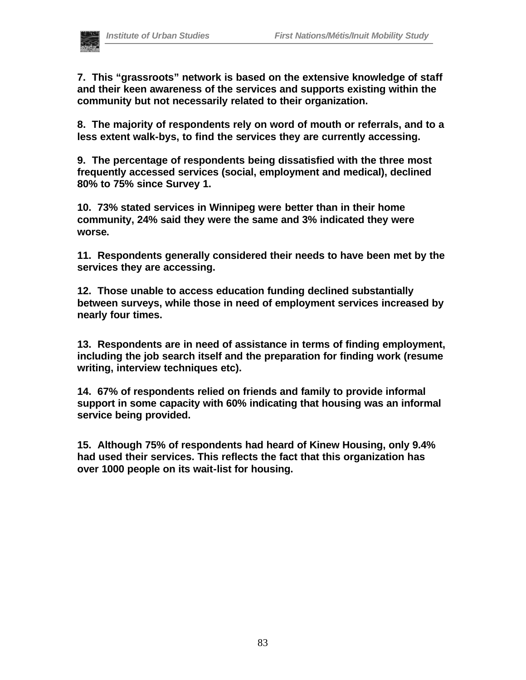

**7. This "grassroots" network is based on the extensive knowledge of staff and their keen awareness of the services and supports existing within the community but not necessarily related to their organization.**

**8. The majority of respondents rely on word of mouth or referrals, and to a less extent walk-bys, to find the services they are currently accessing.**

**9. The percentage of respondents being dissatisfied with the three most frequently accessed services (social, employment and medical), declined 80% to 75% since Survey 1.** 

**10. 73% stated services in Winnipeg were better than in their home community, 24% said they were the same and 3% indicated they were worse.** 

**11. Respondents generally considered their needs to have been met by the services they are accessing.**

**12. Those unable to access education funding declined substantially between surveys, while those in need of employment services increased by nearly four times.**

**13. Respondents are in need of assistance in terms of finding employment, including the job search itself and the preparation for finding work (resume writing, interview techniques etc).**

**14. 67% of respondents relied on friends and family to provide informal support in some capacity with 60% indicating that housing was an informal service being provided.**

**15. Although 75% of respondents had heard of Kinew Housing, only 9.4% had used their services. This reflects the fact that this organization has over 1000 people on its wait-list for housing.**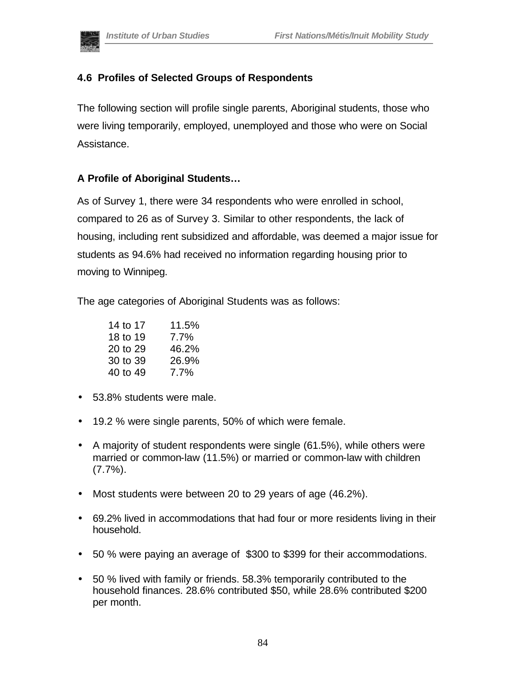

## **4.6 Profiles of Selected Groups of Respondents**

The following section will profile single parents, Aboriginal students, those who were living temporarily, employed, unemployed and those who were on Social Assistance.

#### **A Profile of Aboriginal Students…**

As of Survey 1, there were 34 respondents who were enrolled in school, compared to 26 as of Survey 3. Similar to other respondents, the lack of housing, including rent subsidized and affordable, was deemed a major issue for students as 94.6% had received no information regarding housing prior to moving to Winnipeg.

The age categories of Aboriginal Students was as follows:

| 11.5% |
|-------|
| 7.7%  |
| 46.2% |
| 26.9% |
| 7.7%  |
|       |

- 53.8% students were male.
- 19.2 % were single parents, 50% of which were female.
- A majority of student respondents were single (61.5%), while others were married or common-law (11.5%) or married or common-law with children  $(7.7\%)$ .
- Most students were between 20 to 29 years of age (46.2%).
- 69.2% lived in accommodations that had four or more residents living in their household.
- 50 % were paying an average of \$300 to \$399 for their accommodations.
- 50 % lived with family or friends. 58.3% temporarily contributed to the household finances. 28.6% contributed \$50, while 28.6% contributed \$200 per month.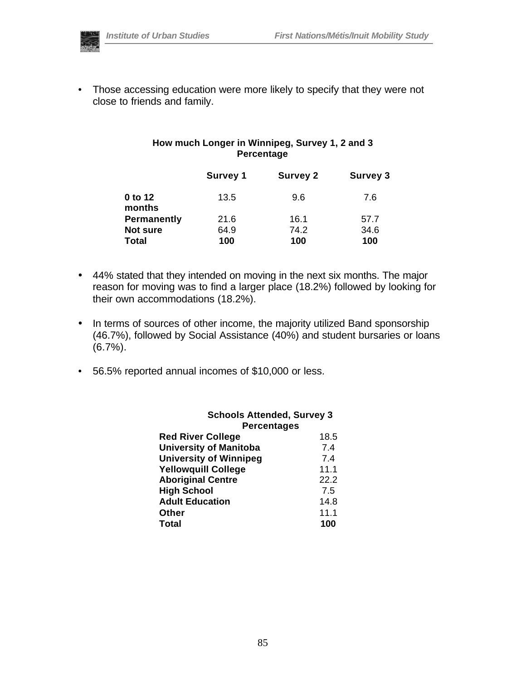

• Those accessing education were more likely to specify that they were not close to friends and family.

#### **How much Longer in Winnipeg, Survey 1, 2 and 3 Percentage**

|                          | <b>Survey 1</b> | <b>Survey 2</b> | Survey 3    |
|--------------------------|-----------------|-----------------|-------------|
| 0 to 12<br>months        | 13.5            | 9.6             | 7.6         |
| <b>Permanently</b>       | 21.6            | 16.1            | 57.7        |
| Not sure<br><b>Total</b> | 64.9<br>100     | 74.2<br>100     | 34.6<br>100 |

- 44% stated that they intended on moving in the next six months. The major reason for moving was to find a larger place (18.2%) followed by looking for their own accommodations (18.2%).
- In terms of sources of other income, the majority utilized Band sponsorship (46.7%), followed by Social Assistance (40%) and student bursaries or loans (6.7%).
- 56.5% reported annual incomes of \$10,000 or less.

| <b>Schools Attended, Survey 3</b> |      |  |
|-----------------------------------|------|--|
| <b>Percentages</b>                |      |  |
| <b>Red River College</b>          | 18.5 |  |
| <b>University of Manitoba</b>     | 7.4  |  |
| <b>University of Winnipeg</b>     | 7.4  |  |
| <b>Yellowquill College</b>        | 11.1 |  |
| <b>Aboriginal Centre</b>          | 22.2 |  |
| <b>High School</b>                | 7.5  |  |
| <b>Adult Education</b>            | 14.8 |  |
| <b>Other</b>                      | 11.1 |  |
| <b>Total</b>                      | 100  |  |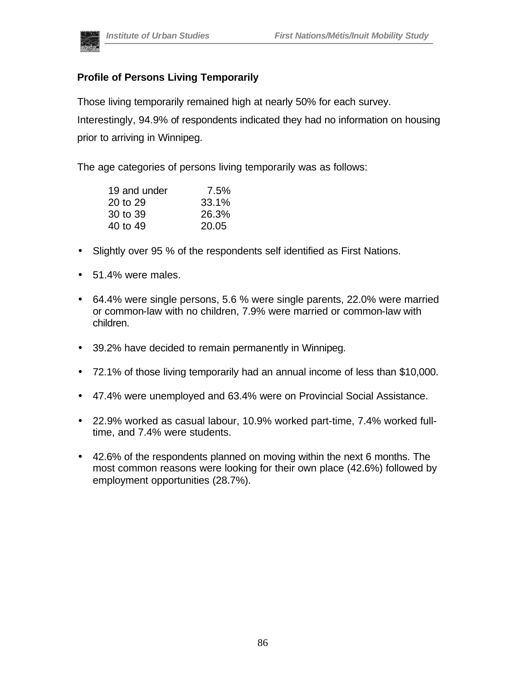

## **Profile of Persons Living Temporarily**

Those living temporarily remained high at nearly 50% for each survey. Interestingly, 94.9% of respondents indicated they had no information on housing prior to arriving in Winnipeg.

The age categories of persons living temporarily was as follows:

| 19 and under | 7.5%  |
|--------------|-------|
| 20 to 29     | 33.1% |
| 30 to 39     | 26.3% |
| 40 to 49     | 20.05 |

- Slightly over 95 % of the respondents self identified as First Nations.
- 51.4% were males.
- 64.4% were single persons, 5.6 % were single parents, 22.0% were married or common-law with no children, 7.9% were married or common-law with children.
- 39.2% have decided to remain permanently in Winnipeg.
- 72.1% of those living temporarily had an annual income of less than \$10,000.
- 47.4% were unemployed and 63.4% were on Provincial Social Assistance.
- 22.9% worked as casual labour, 10.9% worked part-time, 7.4% worked fulltime, and 7.4% were students.
- 42.6% of the respondents planned on moving within the next 6 months. The most common reasons were looking for their own place (42.6%) followed by employment opportunities (28.7%).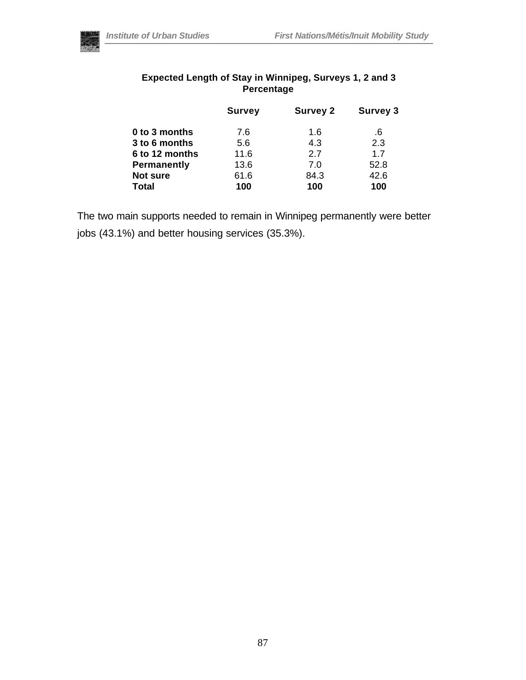

|                 | <b>Survey</b> | <b>Survey 2</b> | <b>Survey 3</b> |
|-----------------|---------------|-----------------|-----------------|
| 0 to 3 months   | 7.6           | 1.6             | .6              |
| 3 to 6 months   | 5.6           | 4.3             | 2.3             |
| 6 to 12 months  | 11.6          | 2.7             | 1.7             |
| Permanently     | 13.6          | 7.0             | 52.8            |
| <b>Not sure</b> | 61.6          | 84.3            | 42.6            |
| Total           | 100           | 100             | 100             |

#### **Expected Length of Stay in Winnipeg, Surveys 1, 2 and 3 Percentage**

The two main supports needed to remain in Winnipeg permanently were better jobs (43.1%) and better housing services (35.3%).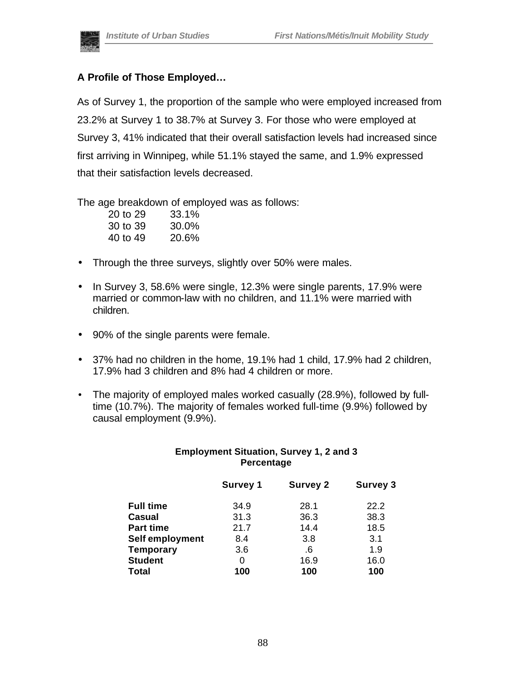

#### **A Profile of Those Employed…**

As of Survey 1, the proportion of the sample who were employed increased from 23.2% at Survey 1 to 38.7% at Survey 3. For those who were employed at Survey 3, 41% indicated that their overall satisfaction levels had increased since first arriving in Winnipeg, while 51.1% stayed the same, and 1.9% expressed that their satisfaction levels decreased.

The age breakdown of employed was as follows:

| 20 to 29 | 33.1% |
|----------|-------|
| 30 to 39 | 30.0% |
| 40 to 49 | 20.6% |

- Through the three surveys, slightly over 50% were males.
- In Survey 3, 58.6% were single, 12.3% were single parents, 17.9% were married or common-law with no children, and 11.1% were married with children.
- 90% of the single parents were female.
- 37% had no children in the home, 19.1% had 1 child, 17.9% had 2 children, 17.9% had 3 children and 8% had 4 children or more.
- The majority of employed males worked casually (28.9%), followed by fulltime (10.7%). The majority of females worked full-time (9.9%) followed by causal employment (9.9%).

#### **Employment Situation, Survey 1, 2 and 3 Percentage**

|                  | <b>Survey 1</b> | <b>Survey 2</b> | Survey 3 |
|------------------|-----------------|-----------------|----------|
| <b>Full time</b> | 34.9            | 28.1            | 22.2     |
| Casual           | 31.3            | 36.3            | 38.3     |
| <b>Part time</b> | 21.7            | 14.4            | 18.5     |
| Self employment  | 8.4             | 3.8             | 3.1      |
| <b>Temporary</b> | 3.6             | .6              | 1.9      |
| <b>Student</b>   | 0               | 16.9            | 16.0     |
| <b>Total</b>     | 100             | 100             | 100      |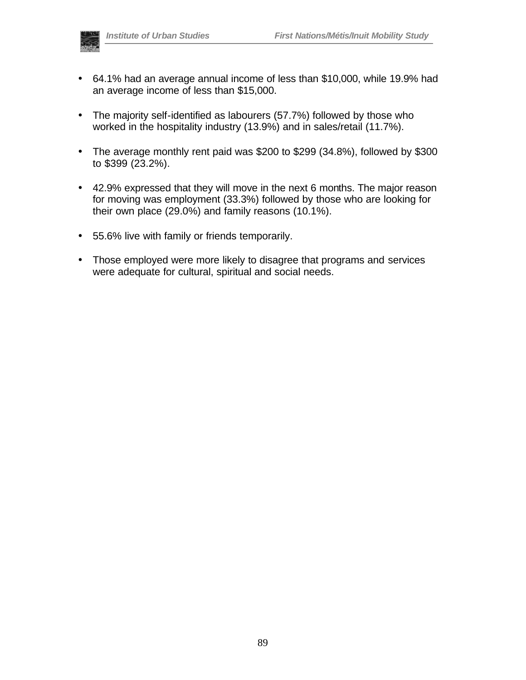

- 64.1% had an average annual income of less than \$10,000, while 19.9% had an average income of less than \$15,000.
- The majority self-identified as labourers (57.7%) followed by those who worked in the hospitality industry (13.9%) and in sales/retail (11.7%).
- The average monthly rent paid was \$200 to \$299 (34.8%), followed by \$300 to \$399 (23.2%).
- 42.9% expressed that they will move in the next 6 months. The major reason for moving was employment (33.3%) followed by those who are looking for their own place (29.0%) and family reasons (10.1%).
- 55.6% live with family or friends temporarily.
- Those employed were more likely to disagree that programs and services were adequate for cultural, spiritual and social needs.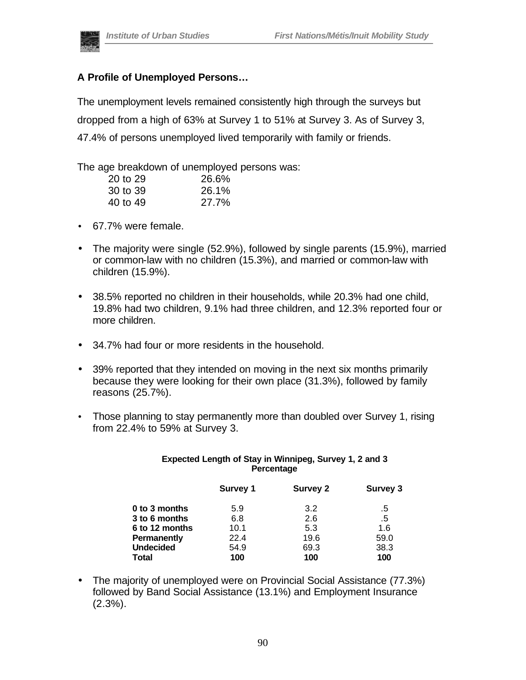

#### **A Profile of Unemployed Persons…**

The unemployment levels remained consistently high through the surveys but dropped from a high of 63% at Survey 1 to 51% at Survey 3. As of Survey 3, 47.4% of persons unemployed lived temporarily with family or friends.

The age breakdown of unemployed persons was:

| 20 to 29 | 26.6% |
|----------|-------|
| 30 to 39 | 26.1% |
| 40 to 49 | 27.7% |

- 67.7% were female.
- The majority were single (52.9%), followed by single parents (15.9%), married or common-law with no children (15.3%), and married or common-law with children (15.9%).
- 38.5% reported no children in their households, while 20.3% had one child, 19.8% had two children, 9.1% had three children, and 12.3% reported four or more children.
- 34.7% had four or more residents in the household.
- 39% reported that they intended on moving in the next six months primarily because they were looking for their own place (31.3%), followed by family reasons (25.7%).
- Those planning to stay permanently more than doubled over Survey 1, rising from 22.4% to 59% at Survey 3.

#### **Expected Length of Stay in Winnipeg, Survey 1, 2 and 3 Percentage**

|                    | <b>Survey 1</b> | <b>Survey 2</b> | Survey 3 |
|--------------------|-----------------|-----------------|----------|
| 0 to 3 months      | 5.9             | 3.2             | .5       |
| 3 to 6 months      | 6.8             | 2.6             | .5       |
| 6 to 12 months     | 10.1            | 5.3             | 1.6      |
| <b>Permanently</b> | 22.4            | 19.6            | 59.0     |
| <b>Undecided</b>   | 54.9            | 69.3            | 38.3     |
| <b>Total</b>       | 100             | 100             | 100      |

• The majority of unemployed were on Provincial Social Assistance (77.3%) followed by Band Social Assistance (13.1%) and Employment Insurance (2.3%).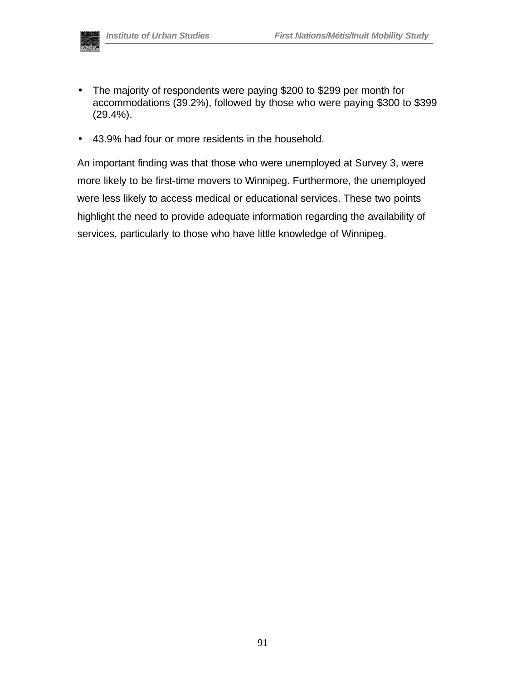

- The majority of respondents were paying \$200 to \$299 per month for accommodations (39.2%), followed by those who were paying \$300 to \$399 (29.4%).
- 43.9% had four or more residents in the household.

An important finding was that those who were unemployed at Survey 3, were more likely to be first-time movers to Winnipeg. Furthermore, the unemployed were less likely to access medical or educational services. These two points highlight the need to provide adequate information regarding the availability of services, particularly to those who have little knowledge of Winnipeg.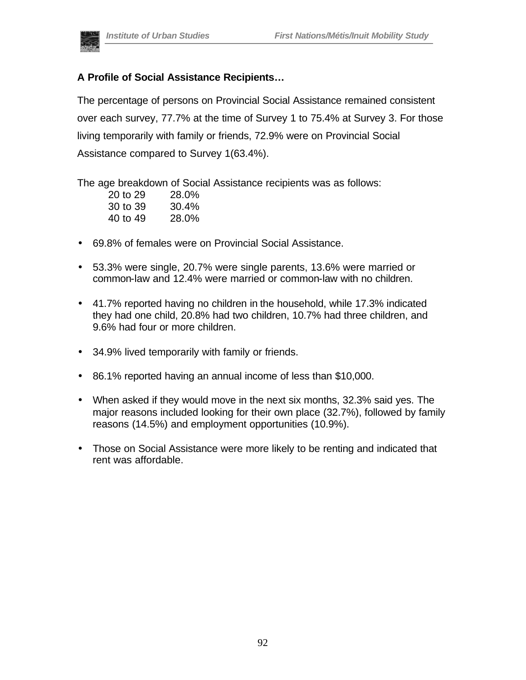

## **A Profile of Social Assistance Recipients…**

The percentage of persons on Provincial Social Assistance remained consistent over each survey, 77.7% at the time of Survey 1 to 75.4% at Survey 3. For those living temporarily with family or friends, 72.9% were on Provincial Social Assistance compared to Survey 1(63.4%).

The age breakdown of Social Assistance recipients was as follows:

| 20 to 29 | 28.0%    |
|----------|----------|
| 30 to 39 | $30.4\%$ |
| 40 to 49 | 28.0%    |

- 69.8% of females were on Provincial Social Assistance.
- 53.3% were single, 20.7% were single parents, 13.6% were married or common-law and 12.4% were married or common-law with no children.
- 41.7% reported having no children in the household, while 17.3% indicated they had one child, 20.8% had two children, 10.7% had three children, and 9.6% had four or more children.
- 34.9% lived temporarily with family or friends.
- 86.1% reported having an annual income of less than \$10,000.
- When asked if they would move in the next six months, 32.3% said yes. The major reasons included looking for their own place (32.7%), followed by family reasons (14.5%) and employment opportunities (10.9%).
- Those on Social Assistance were more likely to be renting and indicated that rent was affordable.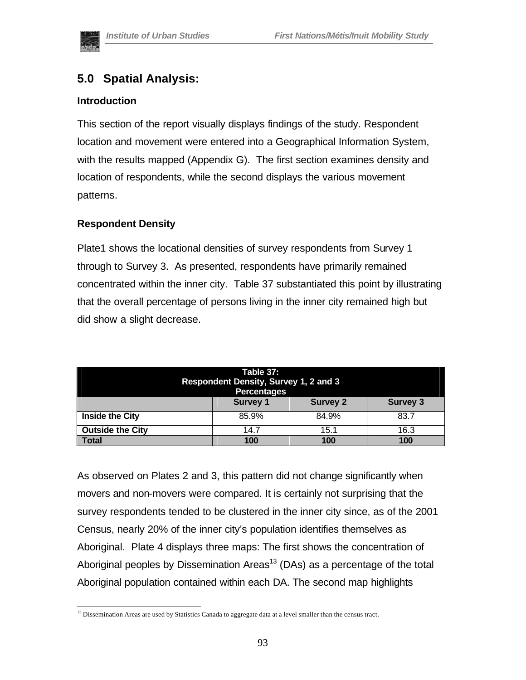

# **5.0 Spatial Analysis:**

# **Introduction**

This section of the report visually displays findings of the study. Respondent location and movement were entered into a Geographical Information System, with the results mapped (Appendix G). The first section examines density and location of respondents, while the second displays the various movement patterns.

# **Respondent Density**

Plate1 shows the locational densities of survey respondents from Survey 1 through to Survey 3. As presented, respondents have primarily remained concentrated within the inner city. Table 37 substantiated this point by illustrating that the overall percentage of persons living in the inner city remained high but did show a slight decrease.

| Table 37:<br>Respondent Density, Survey 1, 2 and 3<br><b>Percentages</b> |                 |                 |                 |  |  |  |
|--------------------------------------------------------------------------|-----------------|-----------------|-----------------|--|--|--|
|                                                                          | <b>Survey 1</b> | <b>Survey 2</b> | <b>Survey 3</b> |  |  |  |
| <b>Inside the City</b>                                                   | 85.9%           | 84.9%           | 83.7            |  |  |  |
| <b>Outside the City</b>                                                  | 14.7            | 15.1            | 16.3            |  |  |  |
| <b>Total</b>                                                             | 100             | 100             | 100             |  |  |  |

As observed on Plates 2 and 3, this pattern did not change significantly when movers and non-movers were compared. It is certainly not surprising that the survey respondents tended to be clustered in the inner city since, as of the 2001 Census, nearly 20% of the inner city's population identifies themselves as Aboriginal. Plate 4 displays three maps: The first shows the concentration of Aboriginal peoples by Dissemination Areas<sup>13</sup> (DAs) as a percentage of the total Aboriginal population contained within each DA. The second map highlights

 $\overline{a}$ <sup>13</sup> Dissemination Areas are used by Statistics Canada to aggregate data at a level smaller than the census tract.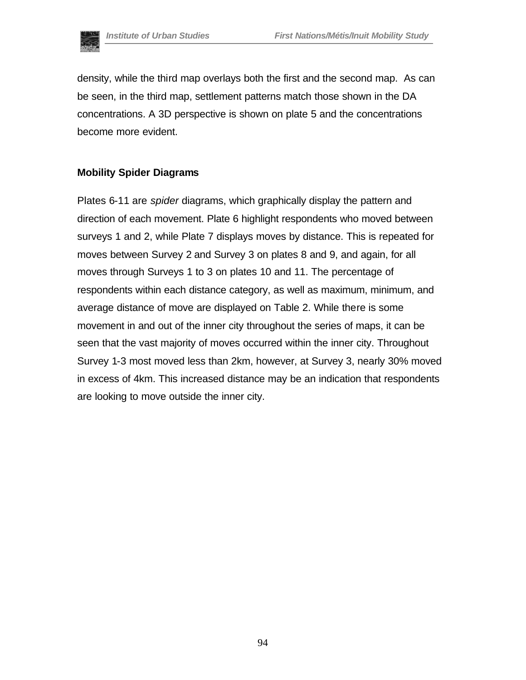

density, while the third map overlays both the first and the second map. As can be seen, in the third map, settlement patterns match those shown in the DA concentrations. A 3D perspective is shown on plate 5 and the concentrations become more evident.

#### **Mobility Spider Diagrams**

Plates 6-11 are *spider* diagrams, which graphically display the pattern and direction of each movement. Plate 6 highlight respondents who moved between surveys 1 and 2, while Plate 7 displays moves by distance. This is repeated for moves between Survey 2 and Survey 3 on plates 8 and 9, and again, for all moves through Surveys 1 to 3 on plates 10 and 11. The percentage of respondents within each distance category, as well as maximum, minimum, and average distance of move are displayed on Table 2. While there is some movement in and out of the inner city throughout the series of maps, it can be seen that the vast majority of moves occurred within the inner city. Throughout Survey 1-3 most moved less than 2km, however, at Survey 3, nearly 30% moved in excess of 4km. This increased distance may be an indication that respondents are looking to move outside the inner city.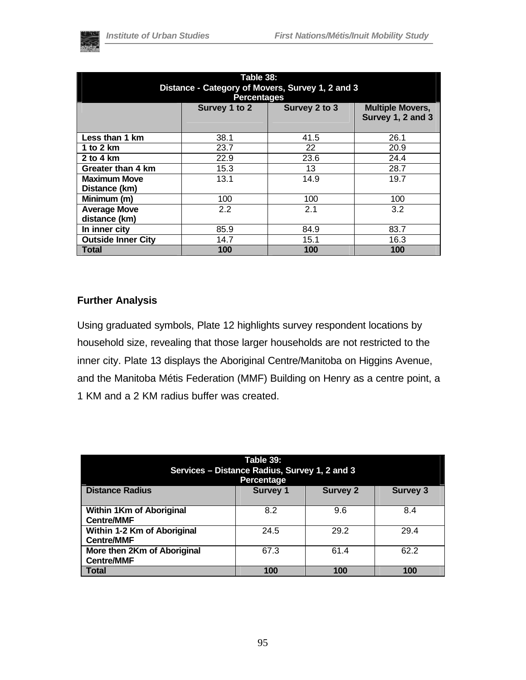| Table 38:<br>Distance - Category of Movers, Survey 1, 2 and 3<br><b>Percentages</b> |               |               |                                              |  |  |  |
|-------------------------------------------------------------------------------------|---------------|---------------|----------------------------------------------|--|--|--|
|                                                                                     | Survey 1 to 2 | Survey 2 to 3 | <b>Multiple Movers,</b><br>Survey 1, 2 and 3 |  |  |  |
| Less than 1 km                                                                      | 38.1          | 41.5          | 26.1                                         |  |  |  |
| 1 to 2 $km$                                                                         | 23.7          | 22            | 20.9                                         |  |  |  |
| 2 to 4 km                                                                           | 22.9          | 23.6          | 24.4                                         |  |  |  |
| Greater than 4 km                                                                   | 15.3          | 13            | 28.7                                         |  |  |  |
| <b>Maximum Move</b><br>Distance (km)                                                | 13.1          | 14.9          | 19.7                                         |  |  |  |
| Minimum (m)                                                                         | 100           | 100           | 100                                          |  |  |  |
| <b>Average Move</b><br>distance (km)                                                | 2.2           | 2.1           | 3.2                                          |  |  |  |
| In inner city                                                                       | 85.9          | 84.9          | 83.7                                         |  |  |  |
| <b>Outside Inner City</b>                                                           | 14.7          | 15.1          | 16.3                                         |  |  |  |
| <b>Total</b>                                                                        | 100           | 100           | 100                                          |  |  |  |

# **Further Analysis**

Using graduated symbols, Plate 12 highlights survey respondent locations by household size, revealing that those larger households are not restricted to the inner city. Plate 13 displays the Aboriginal Centre/Manitoba on Higgins Avenue, and the Manitoba Métis Federation (MMF) Building on Henry as a centre point, a 1 KM and a 2 KM radius buffer was created.

| Table 39:<br>Services - Distance Radius, Survey 1, 2 and 3<br>Percentage |                 |                 |                 |  |  |  |
|--------------------------------------------------------------------------|-----------------|-----------------|-----------------|--|--|--|
| <b>Distance Radius</b>                                                   | <b>Survey 1</b> | <b>Survey 2</b> | <b>Survey 3</b> |  |  |  |
| <b>Within 1Km of Aboriginal</b><br><b>Centre/MMF</b>                     | 8.2             | 9.6             | 8.4             |  |  |  |
| Within 1-2 Km of Aboriginal<br><b>Centre/MMF</b>                         | 24.5            | 29.2            | 29.4            |  |  |  |
| More then 2Km of Aboriginal<br><b>Centre/MMF</b>                         | 67.3            | 61.4            | 62.2            |  |  |  |
| Total                                                                    | 100             | 100             | 100             |  |  |  |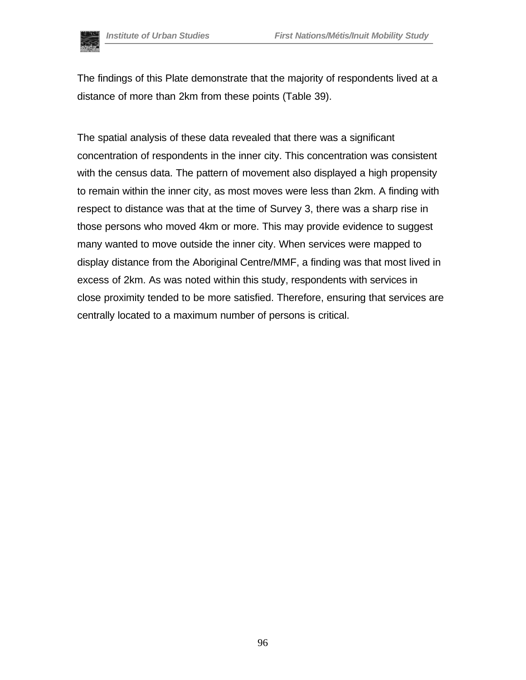

The findings of this Plate demonstrate that the majority of respondents lived at a distance of more than 2km from these points (Table 39).

The spatial analysis of these data revealed that there was a significant concentration of respondents in the inner city. This concentration was consistent with the census data. The pattern of movement also displayed a high propensity to remain within the inner city, as most moves were less than 2km. A finding with respect to distance was that at the time of Survey 3, there was a sharp rise in those persons who moved 4km or more. This may provide evidence to suggest many wanted to move outside the inner city. When services were mapped to display distance from the Aboriginal Centre/MMF, a finding was that most lived in excess of 2km. As was noted within this study, respondents with services in close proximity tended to be more satisfied. Therefore, ensuring that services are centrally located to a maximum number of persons is critical.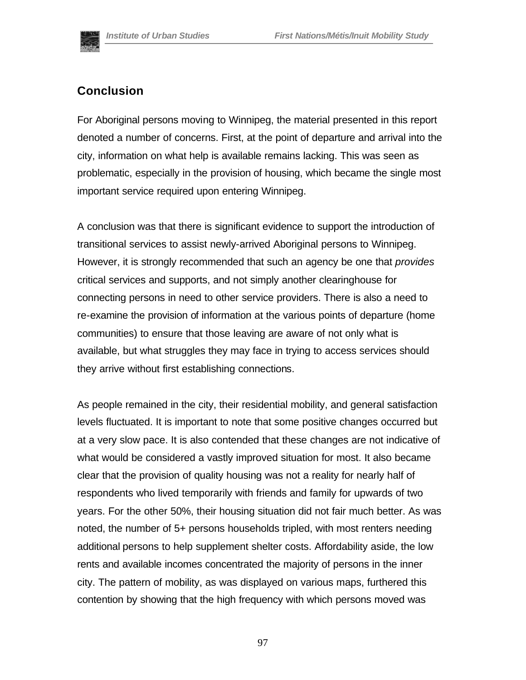# **Conclusion**

For Aboriginal persons moving to Winnipeg, the material presented in this report denoted a number of concerns. First, at the point of departure and arrival into the city, information on what help is available remains lacking. This was seen as problematic, especially in the provision of housing, which became the single most important service required upon entering Winnipeg.

A conclusion was that there is significant evidence to support the introduction of transitional services to assist newly-arrived Aboriginal persons to Winnipeg. However, it is strongly recommended that such an agency be one that *provides* critical services and supports, and not simply another clearinghouse for connecting persons in need to other service providers. There is also a need to re-examine the provision of information at the various points of departure (home communities) to ensure that those leaving are aware of not only what is available, but what struggles they may face in trying to access services should they arrive without first establishing connections.

As people remained in the city, their residential mobility, and general satisfaction levels fluctuated. It is important to note that some positive changes occurred but at a very slow pace. It is also contended that these changes are not indicative of what would be considered a vastly improved situation for most. It also became clear that the provision of quality housing was not a reality for nearly half of respondents who lived temporarily with friends and family for upwards of two years. For the other 50%, their housing situation did not fair much better. As was noted, the number of 5+ persons households tripled, with most renters needing additional persons to help supplement shelter costs. Affordability aside, the low rents and available incomes concentrated the majority of persons in the inner city. The pattern of mobility, as was displayed on various maps, furthered this contention by showing that the high frequency with which persons moved was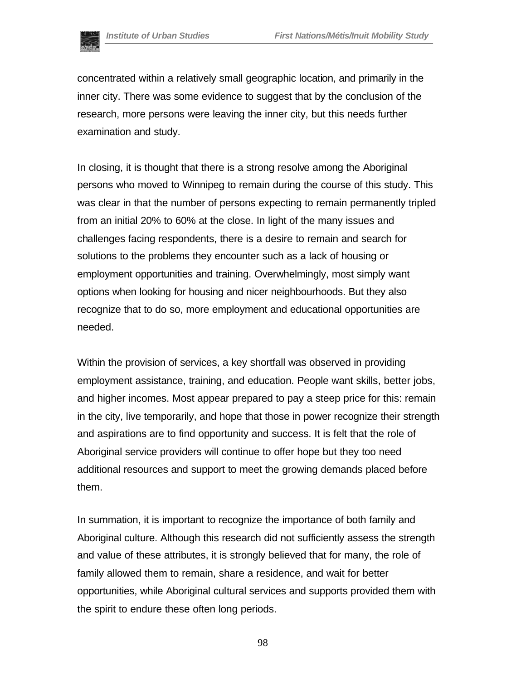

concentrated within a relatively small geographic location, and primarily in the inner city. There was some evidence to suggest that by the conclusion of the research, more persons were leaving the inner city, but this needs further examination and study.

In closing, it is thought that there is a strong resolve among the Aboriginal persons who moved to Winnipeg to remain during the course of this study. This was clear in that the number of persons expecting to remain permanently tripled from an initial 20% to 60% at the close. In light of the many issues and challenges facing respondents, there is a desire to remain and search for solutions to the problems they encounter such as a lack of housing or employment opportunities and training. Overwhelmingly, most simply want options when looking for housing and nicer neighbourhoods. But they also recognize that to do so, more employment and educational opportunities are needed.

Within the provision of services, a key shortfall was observed in providing employment assistance, training, and education. People want skills, better jobs, and higher incomes. Most appear prepared to pay a steep price for this: remain in the city, live temporarily, and hope that those in power recognize their strength and aspirations are to find opportunity and success. It is felt that the role of Aboriginal service providers will continue to offer hope but they too need additional resources and support to meet the growing demands placed before them.

In summation, it is important to recognize the importance of both family and Aboriginal culture. Although this research did not sufficiently assess the strength and value of these attributes, it is strongly believed that for many, the role of family allowed them to remain, share a residence, and wait for better opportunities, while Aboriginal cultural services and supports provided them with the spirit to endure these often long periods.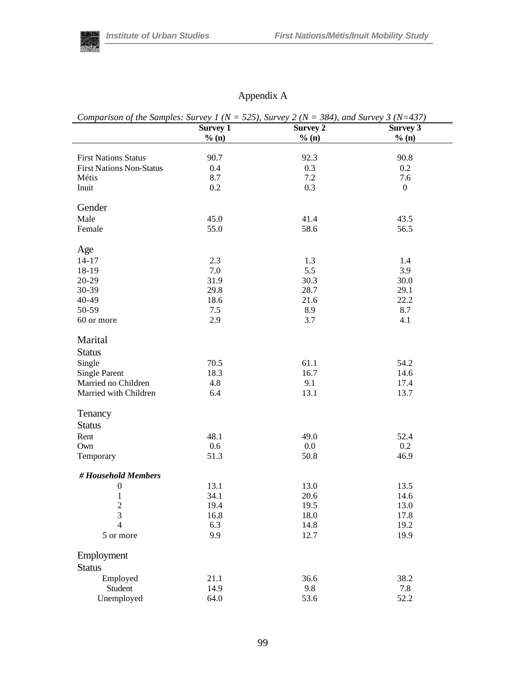

| Comparison of the Samples: Survey 1 ( $N = 525$ ), Survey 2 ( $N = 384$ ), and Survey 3 ( $N = 437$ ) |                        |                 |                 |
|-------------------------------------------------------------------------------------------------------|------------------------|-----------------|-----------------|
|                                                                                                       | <b>Survey 1</b>        | <b>Survey 2</b> | <b>Survey 3</b> |
|                                                                                                       | $%$ $\sigma$ $($ n $)$ | % (n)           | % (n)           |
|                                                                                                       |                        |                 |                 |
| <b>First Nations Status</b>                                                                           | 90.7                   | 92.3            | 90.8            |
| <b>First Nations Non-Status</b>                                                                       | $0.4\,$                | 0.3             | 0.2             |
| Métis                                                                                                 | 8.7                    | 7.2             | 7.6             |
| Inuit                                                                                                 | 0.2                    | 0.3             | $\overline{0}$  |
| Gender                                                                                                |                        |                 |                 |
| Male                                                                                                  | 45.0                   | 41.4            | 43.5            |
| Female                                                                                                | 55.0                   | 58.6            | 56.5            |
| Age                                                                                                   |                        |                 |                 |
| $14 - 17$                                                                                             | 2.3                    | 1.3             | 1.4             |
| 18-19                                                                                                 | 7.0                    | 5.5             | 3.9             |
| 20-29                                                                                                 | 31.9                   | 30.3            | 30.0            |
| 30-39                                                                                                 | 29.8                   | 28.7            | 29.1            |
| 40-49                                                                                                 | 18.6                   | 21.6            | 22.2            |
| 50-59                                                                                                 | 7.5                    | 8.9             | 8.7             |
| 60 or more                                                                                            | 2.9                    | 3.7             | 4.1             |
|                                                                                                       |                        |                 |                 |
| Marital                                                                                               |                        |                 |                 |
| <b>Status</b>                                                                                         |                        |                 |                 |
| Single                                                                                                | 70.5                   | 61.1            | 54.2            |
| <b>Single Parent</b>                                                                                  | 18.3                   | 16.7            | 14.6            |
| Married no Children                                                                                   | 4.8                    | 9.1             | 17.4            |
| Married with Children                                                                                 | 6.4                    | 13.1            | 13.7            |
|                                                                                                       |                        |                 |                 |
| Tenancy                                                                                               |                        |                 |                 |
| <b>Status</b>                                                                                         |                        |                 |                 |
| Rent                                                                                                  | 48.1                   | 49.0            | 52.4            |
| Own                                                                                                   | 0.6                    | 0.0             | 0.2             |
| Temporary                                                                                             | 51.3                   | 50.8            | 46.9            |
| #Household Members                                                                                    |                        |                 |                 |
| $\boldsymbol{0}$                                                                                      | 13.1                   | 13.0            | 13.5            |
| $\mathbf{1}$                                                                                          | 34.1                   | 20.6            | 14.6            |
| $\overline{c}$                                                                                        | 19.4                   | 19.5            | 13.0            |
| 3                                                                                                     | 16.8                   | 18.0            | 17.8            |
| $\overline{4}$                                                                                        | 6.3                    | 14.8            | 19.2            |
| 5 or more                                                                                             | 9.9                    | 12.7            | 19.9            |
| Employment                                                                                            |                        |                 |                 |
| <b>Status</b>                                                                                         |                        |                 |                 |
| Employed                                                                                              | 21.1                   | 36.6            | 38.2            |
| Student                                                                                               | 14.9                   | 9.8             | 7.8             |
| Unemployed                                                                                            | 64.0                   | 53.6            | 52.2            |
|                                                                                                       |                        |                 |                 |

# Appendix A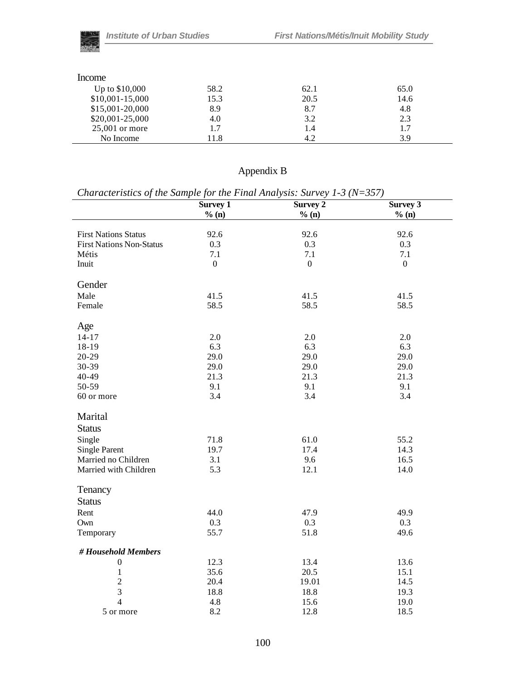

l,

| Income           |      |      |      |
|------------------|------|------|------|
| Up to \$10,000   | 58.2 | 62.1 | 65.0 |
| $$10,001-15,000$ | 15.3 | 20.5 | 14.6 |
| \$15,001-20,000  | 8.9  | 8.7  | 4.8  |
| \$20,001-25,000  | 4.0  | 3.2  | 2.3  |
| $25,001$ or more | 1.7  | 1.4  | 1.7  |
| No Income        | 11.8 | 4.2  | 3.9  |

# Appendix B

| Characteristics of the Sample for the 1 that Analysis. Survey 1-5 (1(–557)) | <b>Survey 1</b>  | <b>Survey 2</b> | <b>Survey 3</b> |
|-----------------------------------------------------------------------------|------------------|-----------------|-----------------|
|                                                                             | % (n)            | % (n)           | % (n)           |
|                                                                             |                  |                 |                 |
| <b>First Nations Status</b>                                                 | 92.6             | 92.6            | 92.6            |
| <b>First Nations Non-Status</b>                                             | 0.3              | 0.3             | 0.3             |
| Métis                                                                       | 7.1              | 7.1             | 7.1             |
| Inuit                                                                       | $\boldsymbol{0}$ | $\Omega$        | $\theta$        |
| Gender                                                                      |                  |                 |                 |
| Male                                                                        | 41.5             | 41.5            | 41.5            |
| Female                                                                      | 58.5             | 58.5            | 58.5            |
|                                                                             |                  |                 |                 |
| Age                                                                         |                  |                 |                 |
| $14 - 17$                                                                   | 2.0              | 2.0             | 2.0             |
| 18-19                                                                       | 6.3              | 6.3             | 6.3             |
| 20-29                                                                       | 29.0             | 29.0            | 29.0            |
| 30-39                                                                       | 29.0             | 29.0            | 29.0            |
| 40-49                                                                       | 21.3             | 21.3            | 21.3            |
| 50-59                                                                       | 9.1              | 9.1             | 9.1             |
| 60 or more                                                                  | 3.4              | 3.4             | 3.4             |
| Marital                                                                     |                  |                 |                 |
|                                                                             |                  |                 |                 |
| <b>Status</b>                                                               |                  |                 |                 |
| Single                                                                      | 71.8             | 61.0            | 55.2            |
| <b>Single Parent</b>                                                        | 19.7             | 17.4            | 14.3            |
| Married no Children                                                         | 3.1              | 9.6             | 16.5            |
| Married with Children                                                       | 5.3              | 12.1            | 14.0            |
| Tenancy                                                                     |                  |                 |                 |
| <b>Status</b>                                                               |                  |                 |                 |
| Rent                                                                        | 44.0             | 47.9            | 49.9            |
| Own                                                                         | 0.3              | 0.3             | 0.3             |
| Temporary                                                                   | 55.7             | 51.8            | 49.6            |
|                                                                             |                  |                 |                 |
| #Household Members                                                          |                  |                 |                 |
| $\boldsymbol{0}$                                                            | 12.3             | 13.4            | 13.6            |
| $\mathbf{1}$                                                                | 35.6             | 20.5            | 15.1            |
| $\overline{2}$                                                              | 20.4             | 19.01           | 14.5            |
| $\mathfrak{Z}$                                                              | 18.8             | 18.8            | 19.3            |
| $\overline{4}$                                                              | 4.8              | 15.6            | 19.0            |
| 5 or more                                                                   | 8.2              | 12.8            | 18.5            |

*Characteristics of the Sample for the Final Analysis: Survey 1-3 (N=357)*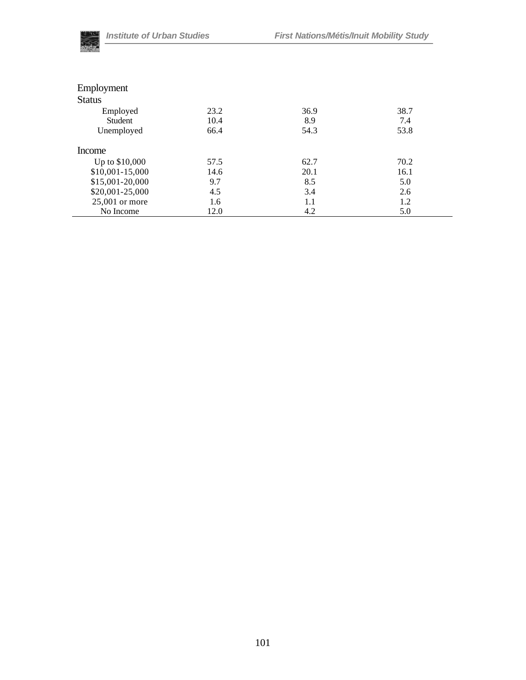| Employment       |      |      |      |
|------------------|------|------|------|
| <b>Status</b>    |      |      |      |
| Employed         | 23.2 | 36.9 | 38.7 |
| <b>Student</b>   | 10.4 | 8.9  | 7.4  |
| Unemployed       | 66.4 | 54.3 | 53.8 |
| Income           |      |      |      |
| Up to \$10,000   | 57.5 | 62.7 | 70.2 |
| \$10,001-15,000  | 14.6 | 20.1 | 16.1 |
| \$15,001-20,000  | 9.7  | 8.5  | 5.0  |
| \$20,001-25,000  | 4.5  | 3.4  | 2.6  |
| $25,001$ or more | 1.6  | 1.1  | 1.2  |
| No Income        | 12.0 | 4.2  | 5.0  |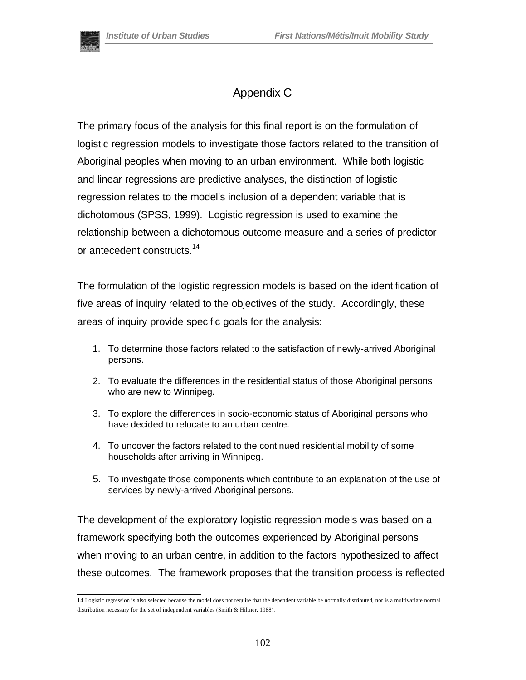

The primary focus of the analysis for this final report is on the formulation of logistic regression models to investigate those factors related to the transition of Aboriginal peoples when moving to an urban environment. While both logistic and linear regressions are predictive analyses, the distinction of logistic regression relates to the model's inclusion of a dependent variable that is dichotomous (SPSS, 1999). Logistic regression is used to examine the relationship between a dichotomous outcome measure and a series of predictor or antecedent constructs.14

The formulation of the logistic regression models is based on the identification of five areas of inquiry related to the objectives of the study. Accordingly, these areas of inquiry provide specific goals for the analysis:

- 1. To determine those factors related to the satisfaction of newly-arrived Aboriginal persons.
- 2. To evaluate the differences in the residential status of those Aboriginal persons who are new to Winnipeg.
- 3. To explore the differences in socio-economic status of Aboriginal persons who have decided to relocate to an urban centre.
- 4. To uncover the factors related to the continued residential mobility of some households after arriving in Winnipeg.
- 5. To investigate those components which contribute to an explanation of the use of services by newly-arrived Aboriginal persons.

The development of the exploratory logistic regression models was based on a framework specifying both the outcomes experienced by Aboriginal persons when moving to an urban centre, in addition to the factors hypothesized to affect these outcomes. The framework proposes that the transition process is reflected

 14 Logistic regression is also selected because the model does not require that the dependent variable be normally distributed, nor is a multivariate normal distribution necessary for the set of independent variables (Smith & Hiltner, 1988).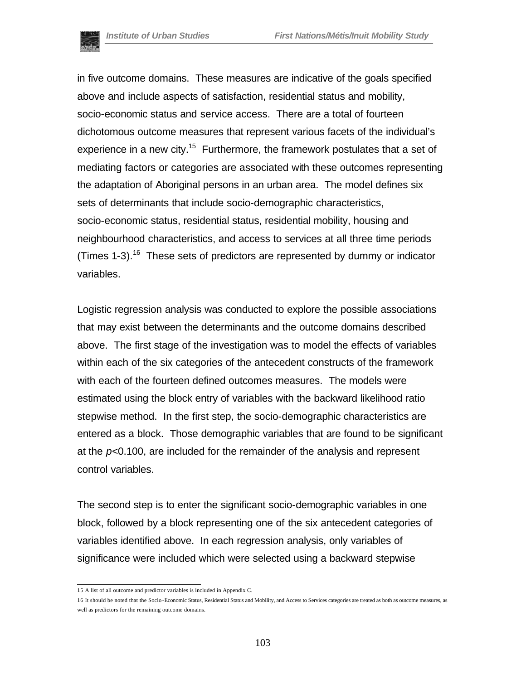

in five outcome domains. These measures are indicative of the goals specified above and include aspects of satisfaction, residential status and mobility, socio-economic status and service access. There are a total of fourteen dichotomous outcome measures that represent various facets of the individual's experience in a new city.<sup>15</sup> Furthermore, the framework postulates that a set of mediating factors or categories are associated with these outcomes representing the adaptation of Aboriginal persons in an urban area. The model defines six sets of determinants that include socio-demographic characteristics, socio-economic status, residential status, residential mobility, housing and neighbourhood characteristics, and access to services at all three time periods (Times 1-3).16 These sets of predictors are represented by dummy or indicator variables.

Logistic regression analysis was conducted to explore the possible associations that may exist between the determinants and the outcome domains described above. The first stage of the investigation was to model the effects of variables within each of the six categories of the antecedent constructs of the framework with each of the fourteen defined outcomes measures. The models were estimated using the block entry of variables with the backward likelihood ratio stepwise method. In the first step, the socio-demographic characteristics are entered as a block. Those demographic variables that are found to be significant at the *p<*0.100, are included for the remainder of the analysis and represent control variables.

The second step is to enter the significant socio-demographic variables in one block, followed by a block representing one of the six antecedent categories of variables identified above. In each regression analysis, only variables of significance were included which were selected using a backward stepwise

 15 A list of all outcome and predictor variables is included in Appendix C.

<sup>16</sup> It should be noted that the Socio-Economic Status, Residential Status and Mobility, and Access to Services categories are treated as both as outcome measures, as well as predictors for the remaining outcome domains.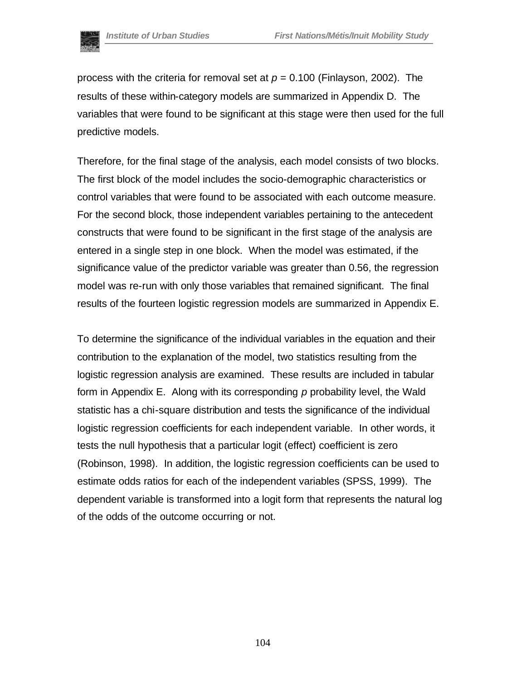

process with the criteria for removal set at  $p = 0.100$  (Finlayson, 2002). The results of these within-category models are summarized in Appendix D. The variables that were found to be significant at this stage were then used for the full predictive models.

Therefore, for the final stage of the analysis, each model consists of two blocks. The first block of the model includes the socio-demographic characteristics or control variables that were found to be associated with each outcome measure. For the second block, those independent variables pertaining to the antecedent constructs that were found to be significant in the first stage of the analysis are entered in a single step in one block. When the model was estimated, if the significance value of the predictor variable was greater than 0.56, the regression model was re-run with only those variables that remained significant. The final results of the fourteen logistic regression models are summarized in Appendix E.

To determine the significance of the individual variables in the equation and their contribution to the explanation of the model, two statistics resulting from the logistic regression analysis are examined. These results are included in tabular form in Appendix E. Along with its corresponding *p* probability level, the Wald statistic has a chi-square distribution and tests the significance of the individual logistic regression coefficients for each independent variable. In other words, it tests the null hypothesis that a particular logit (effect) coefficient is zero (Robinson, 1998). In addition, the logistic regression coefficients can be used to estimate odds ratios for each of the independent variables (SPSS, 1999). The dependent variable is transformed into a logit form that represents the natural log of the odds of the outcome occurring or not.

104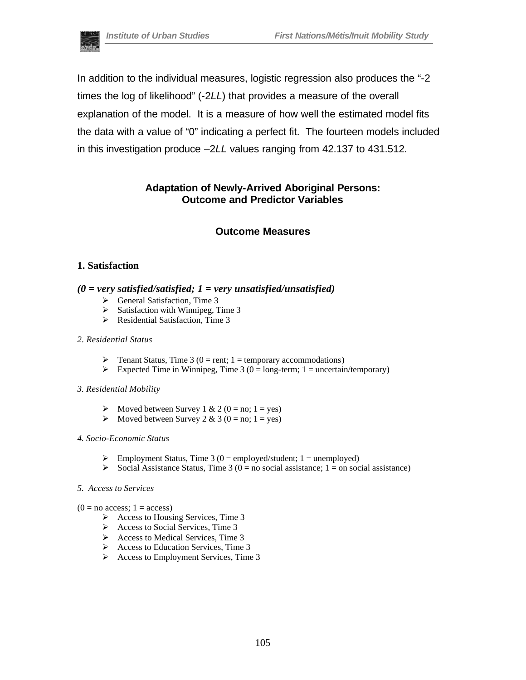

In addition to the individual measures, logistic regression also produces the "-2 times the log of likelihood" (-2*LL*) that provides a measure of the overall explanation of the model. It is a measure of how well the estimated model fits the data with a value of "0" indicating a perfect fit. The fourteen models included in this investigation produce –2*LL* values ranging from 42.137 to 431.512*.*

### **Adaptation of Newly-Arrived Aboriginal Persons: Outcome and Predictor Variables**

#### **Outcome Measures**

#### **1. Satisfaction**

#### *(0 = very satisfied/satisfied; 1 = very unsatisfied/unsatisfied)*

- $\triangleright$  General Satisfaction, Time 3
- $\triangleright$  Satisfaction with Winnipeg, Time 3
- $\triangleright$  Residential Satisfaction, Time 3

#### *2. Residential Status*

- $\triangleright$  Tenant Status, Time 3 (0 = rent; 1 = temporary accommodations)
- Expected Time in Winnipeg, Time 3 (0 = long-term; 1 = uncertain/temporary)

#### *3. Residential Mobility*

- $\triangleright$  Moved between Survey 1 & 2 (0 = no; 1 = yes)
- $\triangleright$  Moved between Survey 2 & 3 (0 = no; 1 = yes)

#### *4. Socio-Economic Status*

- $\triangleright$  Employment Status, Time 3 (0 = employed/student; 1 = unemployed)
- $\triangleright$  Social Assistance Status, Time 3 (0 = no social assistance; 1 = on social assistance)

#### *5. Access to Services*

#### $(0 = no \; access; 1 = access)$

- $\triangleright$  Access to Housing Services, Time 3
- $\triangleright$  Access to Social Services, Time 3
- $\triangleright$  Access to Medical Services, Time 3
- $\triangleright$  Access to Education Services, Time 3
- $\triangleright$  Access to Employment Services, Time 3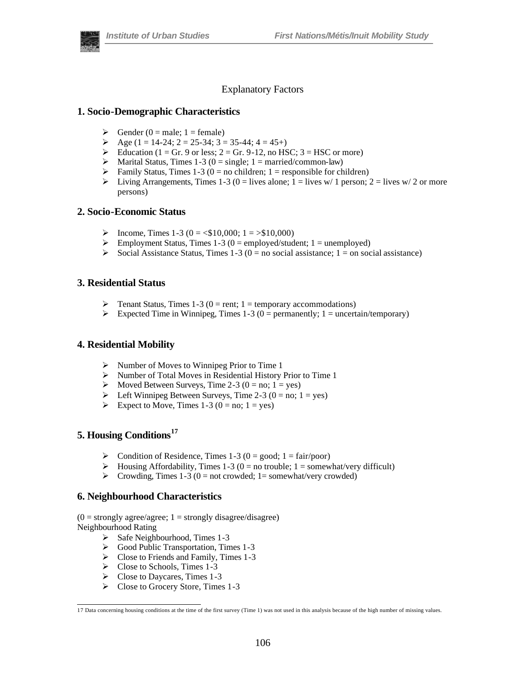

#### Explanatory Factors

#### **1. Socio-Demographic Characteristics**

- $\triangleright$  Gender (0 = male; 1 = female)
- $\blacktriangleright$  Age (1 = 14-24; 2 = 25-34; 3 = 35-44; 4 = 45+)
- Education (1 = Gr. 9 or less; 2 = Gr. 9-12, no HSC; 3 = HSC or more)
- $\triangleright$  Marital Status, Times 1-3 (0 = single; 1 = married/common-law)
- $\triangleright$  Family Status, Times 1-3 (0 = no children; 1 = responsible for children)
- Eiving Arrangements, Times 1-3 (0 = lives alone; 1 = lives w/ 1 person; 2 = lives w/ 2 or more persons)

#### **2. Socio-Economic Status**

- $\triangleright$  Income, Times 1-3 (0 = <\$10,000; 1 = >\$10,000)
- $\triangleright$  Employment Status, Times 1-3 (0 = employed/student; 1 = unemployed)
- $\triangleright$  Social Assistance Status, Times 1-3 (0 = no social assistance; 1 = on social assistance)

#### **3. Residential Status**

- $\triangleright$  Tenant Status, Times 1-3 (0 = rent; 1 = temporary accommodations)
- Expected Time in Winnipeg, Times  $1-3$  (0 = permanently; 1 = uncertain/temporary)

#### **4. Residential Mobility**

- $\triangleright$  Number of Moves to Winnipeg Prior to Time 1
- ! Number of Total Moves in Residential History Prior to Time 1
- $\triangleright$  Moved Between Surveys, Time 2-3 (0 = no; 1 = yes)
- $\triangleright$  Left Winnipeg Between Surveys, Time 2-3 (0 = no; 1 = yes)
- Expect to Move, Times  $1-3$  ( $0 = no$ ;  $1 = yes$ )

#### **5. Housing Conditions<sup>17</sup>**

- $\triangleright$  Condition of Residence, Times 1-3 (0 = good; 1 = fair/poor)
- E Housing Affordability, Times 1-3 (0 = no trouble; 1 = somewhat/very difficult)<br>
Exponential Times 1-3 (0 = not crowded: 1 = somewhat/very crowded)
- Crowding, Times  $1-3$  ( $0 = not$  crowded;  $1 =$  somewhat/very crowded)

#### **6. Neighbourhood Characteristics**

 $(0 =$  strongly agree/agree; 1 = strongly disagree/disagree) Neighbourhood Rating

- $\triangleright$  Safe Neighbourhood, Times 1-3
- $\triangleright$  Good Public Transportation, Times 1-3
- $\triangleright$  Close to Friends and Family, Times 1-3
- $\triangleright$  Close to Schools, Times 1-3
- $\triangleright$  Close to Daycares, Times 1-3
- $\triangleright$  Close to Grocery Store, Times 1-3

<sup>17</sup> Data concerning housing conditions at the time of the first survey (Time 1) was not used in this analysis because of the high number of missing values.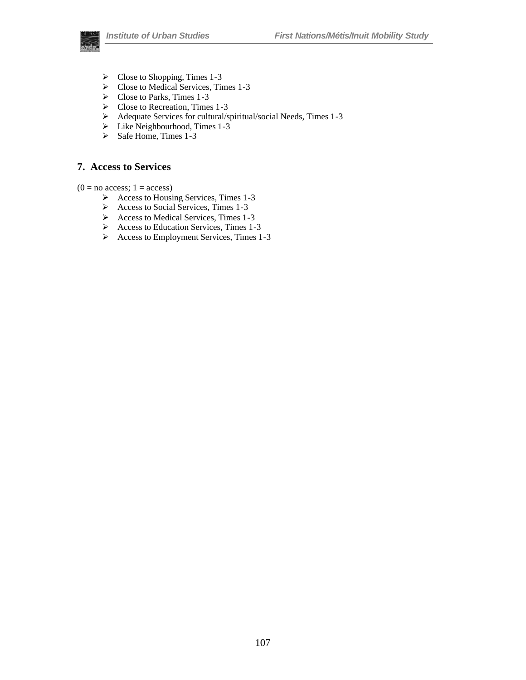- $\triangleright$  Close to Shopping, Times 1-3
- $\triangleright$  Close to Medical Services, Times 1-3
- $\triangleright$  Close to Parks, Times 1-3
- $\triangleright$  Close to Recreation, Times 1-3
- ! Adequate Services for cultural/spiritual/social Needs, Times 1-3
- $\triangleright$  Like Neighbourhood, Times 1-3
- $\triangleright$  Safe Home, Times 1-3

#### **7. Access to Services**

- $(0 = no \; access; 1 = access)$ 
	- $\triangleright$  Access to Housing Services, Times 1-3
	- > Access to Social Services, Times 1-3
	- ! Access to Medical Services, Times 1-3
	- $\triangleright$  Access to Education Services, Times 1-3
	- $\triangleright$  Access to Employment Services, Times 1-3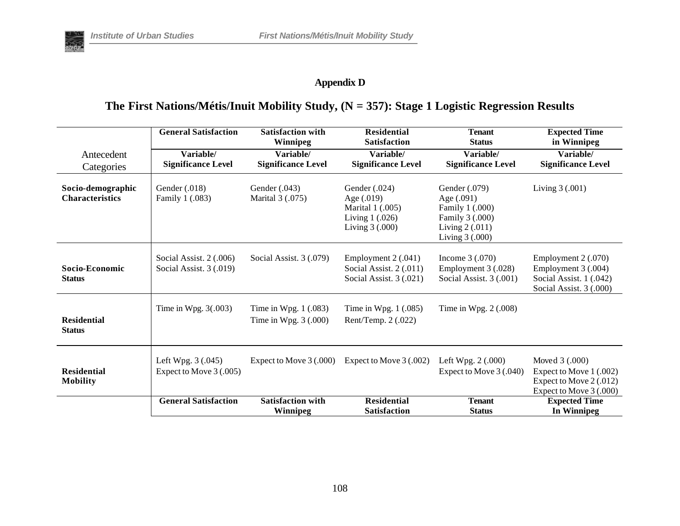

# **Appendix D**

# **The First Nations/Métis/Inuit Mobility Study, (N = 357): Stage 1 Logistic Regression Results**

|                                             | <b>General Satisfaction</b>                        | <b>Satisfaction with</b><br>Winnipeg             | <b>Residential</b><br><b>Satisfaction</b>                                                | <b>Tenant</b><br><b>Status</b>                                                                             | <b>Expected Time</b><br>in Winnipeg                                                              |
|---------------------------------------------|----------------------------------------------------|--------------------------------------------------|------------------------------------------------------------------------------------------|------------------------------------------------------------------------------------------------------------|--------------------------------------------------------------------------------------------------|
| Antecedent<br>Categories                    | Variable/<br><b>Significance Level</b>             | Variable/<br><b>Significance Level</b>           | Variable/<br><b>Significance Level</b>                                                   | Variable/<br><b>Significance Level</b>                                                                     | Variable/<br><b>Significance Level</b>                                                           |
| Socio-demographic<br><b>Characteristics</b> | Gender (.018)<br>Family 1 (.083)                   | Gender (.043)<br>Marital 3 (.075)                | Gender $(.024)$<br>Age (.019)<br>Marital 1 (.005)<br>Living 1 (.026)<br>Living $3(.000)$ | Gender (.079)<br>Age $(.091)$<br>Family 1 (.000)<br>Family 3 (.000)<br>Living $2(.011)$<br>Living 3 (.000) | Living $3(.001)$                                                                                 |
| <b>Socio-Economic</b><br><b>Status</b>      | Social Assist. 2 (.006)<br>Social Assist. 3 (.019) | Social Assist. 3 (.079)                          | Employment 2 (.041)<br>Social Assist. 2 (.011)<br>Social Assist. 3 (.021)                | Income $3(.070)$<br>Employment 3 (.028)<br>Social Assist. 3 (.001)                                         | Employment 2 (.070)<br>Employment 3 (.004)<br>Social Assist. 1 (.042)<br>Social Assist. 3 (.000) |
| <b>Residential</b><br><b>Status</b>         | Time in Wpg. $3(.003)$                             | Time in Wpg. $1(.083)$<br>Time in Wpg. $3(.000)$ | Time in Wpg. $1(.085)$<br>Rent/Temp. 2 (.022)                                            | Time in Wpg. 2 (.008)                                                                                      |                                                                                                  |
| <b>Residential</b><br><b>Mobility</b>       | Left Wpg. 3 (.045)<br>Expect to Move 3 (.005)      | Expect to Move $3(.000)$                         | Expect to Move 3 (.002)                                                                  | Left Wpg. 2 (.000)<br>Expect to Move 3 (.040)                                                              | Moved 3 (.000)<br>Expect to Move 1 (.002)<br>Expect to Move 2 (.012)<br>Expect to Move 3 (.000)  |
|                                             | <b>General Satisfaction</b>                        | <b>Satisfaction with</b><br><b>Winnipeg</b>      | <b>Residential</b><br><b>Satisfaction</b>                                                | <b>Tenant</b><br><b>Status</b>                                                                             | <b>Expected Time</b><br>In Winnipeg                                                              |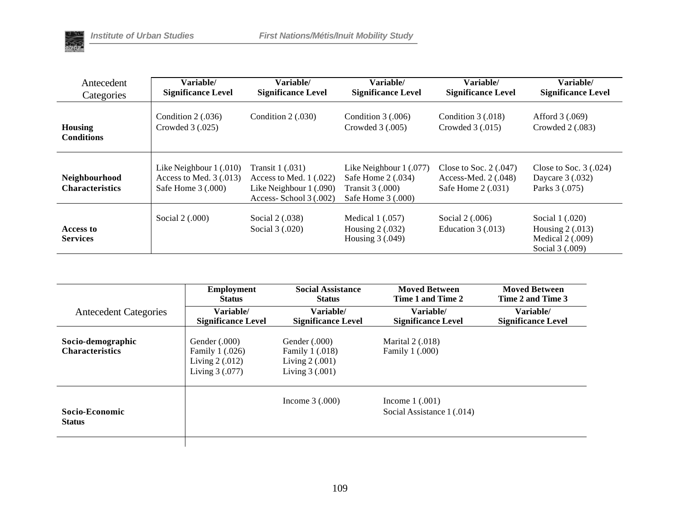

| Antecedent                              | Variable/                                                                 | Variable/                                                                                         | Variable/                                                                                | Variable/                                                              | Variable/                                                                   |
|-----------------------------------------|---------------------------------------------------------------------------|---------------------------------------------------------------------------------------------------|------------------------------------------------------------------------------------------|------------------------------------------------------------------------|-----------------------------------------------------------------------------|
| Categories                              | <b>Significance Level</b>                                                 | <b>Significance Level</b>                                                                         | <b>Significance Level</b>                                                                | <b>Significance Level</b>                                              | <b>Significance Level</b>                                                   |
| Housing                                 | Condition $2(.036)$                                                       | Condition $2(.030)$                                                                               | Condition $3(.006)$                                                                      | Condition $3(.018)$                                                    | Afford 3 (.069)                                                             |
| <b>Conditions</b>                       | Crowded $3(.025)$                                                         |                                                                                                   | Crowded $3(.005)$                                                                        | Crowded $3(.015)$                                                      | Crowded 2 (.083)                                                            |
| Neighbourhood<br><b>Characteristics</b> | Like Neighbour 1 (.010)<br>Access to Med. $3(.013)$<br>Safe Home 3 (.000) | Transit 1 (.031)<br>Access to Med. $1(.022)$<br>Like Neighbour 1 (.090)<br>Access-School 3 (.002) | Like Neighbour 1 (.077)<br>Safe Home 2 (.034)<br>Transit $3(.000)$<br>Safe Home 3 (.000) | Close to Soc. $2(.047)$<br>Access-Med. $2(.048)$<br>Safe Home 2 (.031) | Close to Soc. $3(.024)$<br>Daycare 3 (.032)<br>Parks 3 (.075)               |
| Access to<br><b>Services</b>            | Social 2 (.000)                                                           | Social 2 (.038)<br>Social 3 (.020)                                                                | Medical 1 (.057)<br>Housing $2(.032)$<br>Housing $3(.049)$                               | Social 2 (.006)<br>Education $3(.013)$                                 | Social 1 (.020)<br>Housing $2(.013)$<br>Medical 2 (.009)<br>Social 3 (.009) |

|                                             | <b>Employment</b><br><b>Status</b>                                      | <b>Social Assistance</b><br><b>Status</b>                                  | <b>Moved Between</b><br>Time 1 and Time 2      | <b>Moved Between</b><br>Time 2 and Time 3 |
|---------------------------------------------|-------------------------------------------------------------------------|----------------------------------------------------------------------------|------------------------------------------------|-------------------------------------------|
| <b>Antecedent Categories</b>                | Variable/<br><b>Significance Level</b>                                  | Variable/<br><b>Significance Level</b>                                     | Variable/<br><b>Significance Level</b>         | Variable/<br><b>Significance Level</b>    |
| Socio-demographic<br><b>Characteristics</b> | Gender (.000)<br>Family 1 (.026)<br>Living $2(.012)$<br>Living 3 (.077) | Gender $(.000)$<br>Family 1 (.018)<br>Living $2(.001)$<br>Living $3(.001)$ | Marital 2 (.018)<br>Family 1 (.000)            |                                           |
| <b>Socio-Economic</b><br><b>Status</b>      |                                                                         | Income $3(.000)$                                                           | Income $1(.001)$<br>Social Assistance 1 (.014) |                                           |
|                                             |                                                                         |                                                                            |                                                |                                           |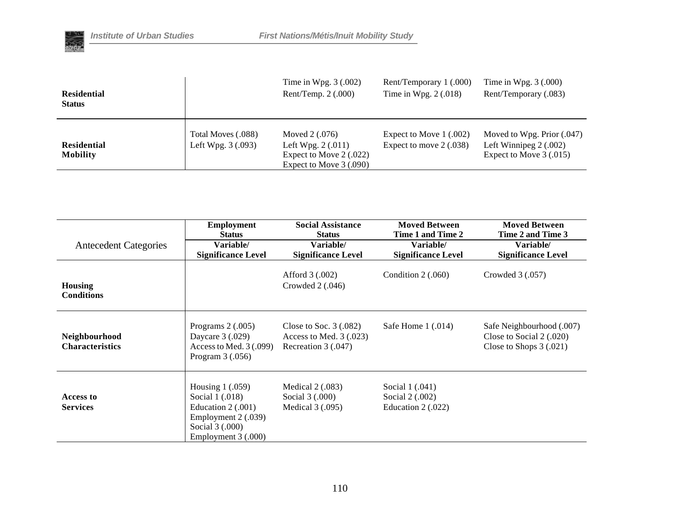

| <b>Residential</b>                    |                                           | Time in Wpg. $3(.002)$                                                                       | Rent/Temporary 1 (.000)                            | Time in Wpg. $3(.000)$                                                            |
|---------------------------------------|-------------------------------------------|----------------------------------------------------------------------------------------------|----------------------------------------------------|-----------------------------------------------------------------------------------|
| <b>Status</b>                         |                                           | Rent/Temp. $2(.000)$                                                                         | Time in Wpg. $2(.018)$                             | Rent/Temporary (.083)                                                             |
| <b>Residential</b><br><b>Mobility</b> | Total Moves (.088)<br>Left Wpg. $3(.093)$ | Moved 2 (.076)<br>Left Wpg. $2(.011)$<br>Expect to Move $2(.022)$<br>Expect to Move 3 (.090) | Expect to Move 1 (.002)<br>Expect to move 2 (.038) | Moved to Wpg. Prior (.047)<br>Left Winnipeg $2(.002)$<br>Expect to Move $3(.015)$ |

|                                         | <b>Employment</b><br><b>Status</b>                                                                                          | <b>Social Assistance</b><br><b>Status</b>                                 | <b>Moved Between</b><br>Time 1 and Time 2                | <b>Moved Between</b><br>Time 2 and Time 3                                         |
|-----------------------------------------|-----------------------------------------------------------------------------------------------------------------------------|---------------------------------------------------------------------------|----------------------------------------------------------|-----------------------------------------------------------------------------------|
| <b>Antecedent Categories</b>            | Variable/<br><b>Significance Level</b>                                                                                      | <b>Variable/</b><br><b>Significance Level</b>                             | Variable/<br><b>Significance Level</b>                   | Variable/<br><b>Significance Level</b>                                            |
| <b>Housing</b><br><b>Conditions</b>     |                                                                                                                             | Afford 3 (.002)<br>Crowded $2(.046)$                                      | Condition $2(.060)$                                      | Crowded 3 (.057)                                                                  |
| Neighbourhood<br><b>Characteristics</b> | Programs $2(.005)$<br>Daycare 3 (.029)<br>Access to Med. $3(.099)$<br>Program $3(.056)$                                     | Close to Soc. $3(.082)$<br>Access to Med. 3 (.023)<br>Recreation 3 (.047) | Safe Home 1 (.014)                                       | Safe Neighbourhood (.007)<br>Close to Social 2 (.020)<br>Close to Shops $3(.021)$ |
| Access to<br><b>Services</b>            | Housing $1(.059)$<br>Social 1 (.018)<br>Education 2 (.001)<br>Employment 2 (.039)<br>Social 3 (.000)<br>Employment 3 (.000) | Medical $2(.083)$<br>Social 3 (.000)<br>Medical 3 (.095)                  | Social 1 (.041)<br>Social 2 (.002)<br>Education 2 (.022) |                                                                                   |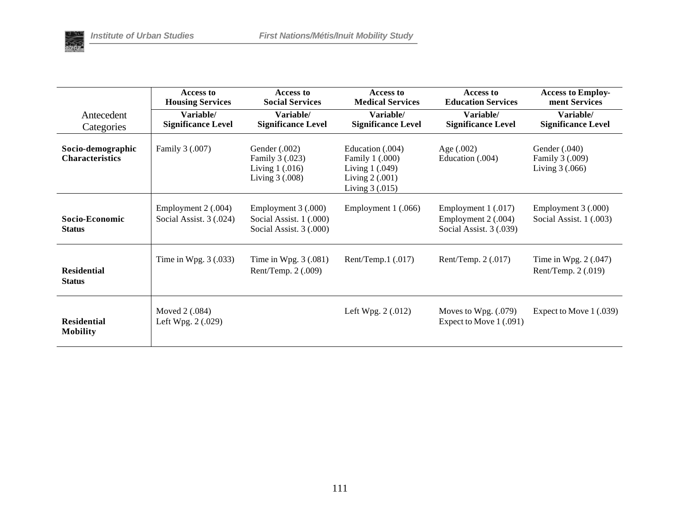

|                                             | Access to<br><b>Housing Services</b>           | <b>Access to</b><br><b>Social Services</b>                                | Access to<br><b>Medical Services</b>                                                           | <b>Access to</b><br><b>Education Services</b>                         | <b>Access to Employ-</b><br>ment Services            |
|---------------------------------------------|------------------------------------------------|---------------------------------------------------------------------------|------------------------------------------------------------------------------------------------|-----------------------------------------------------------------------|------------------------------------------------------|
| Antecedent<br>Categories                    | Variable/<br><b>Significance Level</b>         | Variable/<br><b>Significance Level</b>                                    | Variable/<br><b>Significance Level</b>                                                         | Variable/<br><b>Significance Level</b>                                | Variable/<br><b>Significance Level</b>               |
| Socio-demographic<br><b>Characteristics</b> | Family 3 (.007)                                | Gender (.002)<br>Family 3 (.023)<br>Living $1(.016)$<br>Living $3(.008)$  | Education (.004)<br>Family 1 (.000)<br>Living 1 (.049)<br>Living $2(.001)$<br>Living $3(.015)$ | Age $(.002)$<br>Education (.004)                                      | Gender (.040)<br>Family 3 (.009)<br>Living $3(.066)$ |
| Socio-Economic<br><b>Status</b>             | Employment 2 (.004)<br>Social Assist. 3 (.024) | Employment 3 (.000)<br>Social Assist. 1 (.000)<br>Social Assist. 3 (.000) | Employment 1 (.066)                                                                            | Employment 1 (.017)<br>Employment 2 (.004)<br>Social Assist. 3 (.039) | Employment 3 (.000)<br>Social Assist. 1 (.003)       |
| <b>Residential</b><br><b>Status</b>         | Time in Wpg. $3(.033)$                         | Time in Wpg. $3(.081)$<br>Rent/Temp. 2 (.009)                             | Rent/Temp.1 $(.017)$                                                                           | Rent/Temp. 2 (.017)                                                   | Time in Wpg. $2(.047)$<br>Rent/Temp. 2 (.019)        |
| <b>Residential</b><br><b>Mobility</b>       | Moved 2 (.084)<br>Left Wpg. 2 (.029)           |                                                                           | Left Wpg. $2(.012)$                                                                            | Moves to Wpg. $(.079)$<br>Expect to Move 1 (.091)                     | Expect to Move $1(.039)$                             |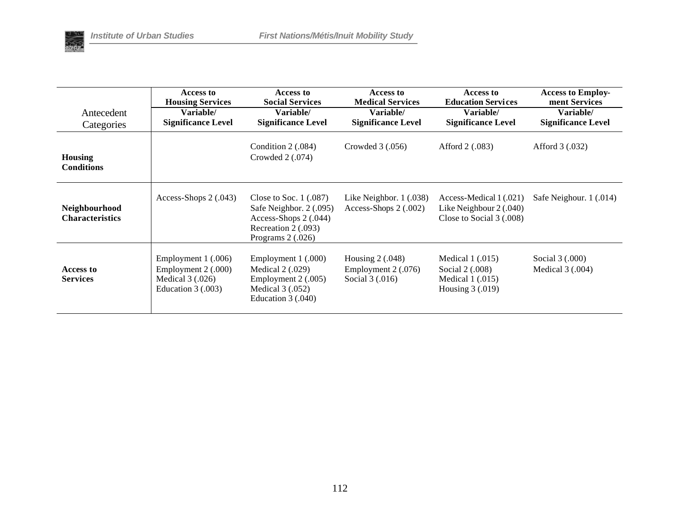

|                                         | <b>Access to</b><br><b>Housing Services</b>                                            | <b>Access to</b><br><b>Social Services</b>                                                                               | <b>Access to</b><br><b>Medical Services</b>                 | <b>Access to</b><br><b>Education Services</b>                                  | <b>Access to Employ-</b><br>ment Services |
|-----------------------------------------|----------------------------------------------------------------------------------------|--------------------------------------------------------------------------------------------------------------------------|-------------------------------------------------------------|--------------------------------------------------------------------------------|-------------------------------------------|
| Antecedent                              | Variable/                                                                              | Variable/                                                                                                                | Variable/                                                   | Variable/                                                                      | Variable/                                 |
| Categories                              | <b>Significance Level</b>                                                              | <b>Significance Level</b>                                                                                                | <b>Significance Level</b>                                   | <b>Significance Level</b>                                                      | <b>Significance Level</b>                 |
| <b>Housing</b><br><b>Conditions</b>     |                                                                                        | Condition $2(.084)$<br>Crowded $2(.074)$                                                                                 | Crowded $3(.056)$                                           | Afford 2 (.083)                                                                | Afford 3 (.032)                           |
| Neighbourhood<br><b>Characteristics</b> | Access-Shops 2 (.043)                                                                  | Close to Soc. $1(.087)$<br>Safe Neighbor. 2 (.095)<br>Access-Shops 2 (.044)<br>Recreation 2 (.093)<br>Programs $2(.026)$ | Like Neighbor. 1 (.038)<br>Access-Shops 2 (.002)            | Access-Medical 1 (.021)<br>Like Neighbour 2 (.040)<br>Close to Social 3 (.008) | Safe Neighour. 1 (.014)                   |
| Access to<br><b>Services</b>            | Employment 1 (.006)<br>Employment 2 (.000)<br>Medical $3(.026)$<br>Education $3(.003)$ | Employment 1 (.000)<br>Medical $2(.029)$<br>Employment 2 (.005)<br>Medical $3(.052)$<br>Education $3(.040)$              | Housing $2(.048)$<br>Employment 2 (.076)<br>Social 3 (.016) | Medical $1(.015)$<br>Social 2 (.008)<br>Medical $1(.015)$<br>Housing $3(.019)$ | Social 3 (.000)<br>Medical $3(.004)$      |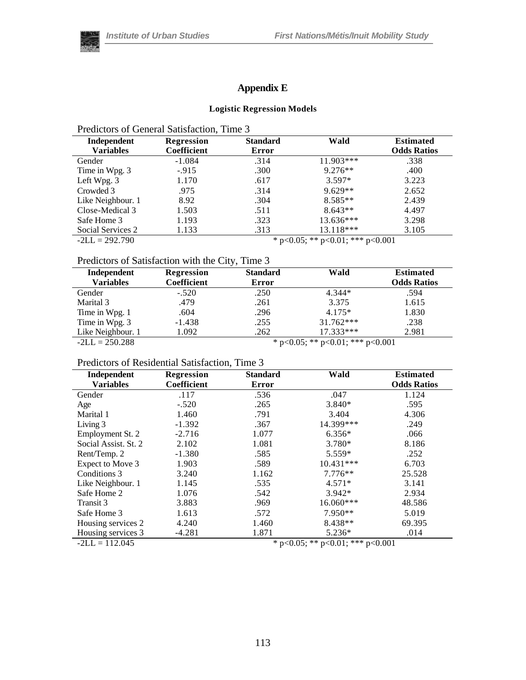# **Appendix E**

#### **Logistic Regression Models**

Predictors of General Satisfaction, Time 3

| Independent       | <b>Regression</b>                | <b>Standard</b> | Wald        | <b>Estimated</b>   |  |
|-------------------|----------------------------------|-----------------|-------------|--------------------|--|
| <b>Variables</b>  | Coefficient                      | Error           |             | <b>Odds Ratios</b> |  |
| Gender            | $-1.084$                         | .314            | $11.903***$ | .338               |  |
| Time in Wpg. 3    | $-915$                           | .300            | $9.276**$   | .400               |  |
| Left Wpg. 3       | 1.170                            | .617            | $3.597*$    | 3.223              |  |
| Crowded 3         | .975                             | .314            | $9.629**$   | 2.652              |  |
| Like Neighbour. 1 | 8.92                             | .304            | $8.585**$   | 2.439              |  |
| Close-Medical 3   | 1.503                            | .511            | $8.643**$   | 4.497              |  |
| Safe Home 3       | 1.193                            | .323            | $13.636***$ | 3.298              |  |
| Social Services 2 | 1.133                            | .313            | 13.118***   | 3.105              |  |
| $-2LL = 292.790$  | * p<0.05; ** p<0.01; *** p<0.001 |                 |             |                    |  |

#### Predictors of Satisfaction with the City, Time 3

| Independent<br><b>Variables</b> | Regression<br>Coefficient                | <u>.</u><br><b>Standard</b><br>Error | Wald        | <b>Estimated</b><br><b>Odds Ratios</b> |
|---------------------------------|------------------------------------------|--------------------------------------|-------------|----------------------------------------|
| Gender                          | $-.520$                                  | .250                                 | $4.344*$    | .594                                   |
| Marital 3                       | .479                                     | .261                                 | 3.375       | 1.615                                  |
| Time in Wpg. 1                  | .604                                     | .296                                 | $4.175*$    | 1.830                                  |
| Time in Wpg. 3                  | $-1.438$                                 | .255                                 | $31.762***$ | .238                                   |
| Like Neighbour. 1               | 1.092                                    | .262                                 | $17.333***$ | 2.981                                  |
| $-2LL = 250.288$                | * $p<0.05$ ; ** $p<0.01$ ; *** $p<0.001$ |                                      |             |                                        |

#### Predictors of Residential Satisfaction, Time 3

| Independent          | <b>Regression</b> | <b>Standard</b> | Wald                                     | <b>Estimated</b>   |
|----------------------|-------------------|-----------------|------------------------------------------|--------------------|
| <b>Variables</b>     | Coefficient       | <b>Error</b>    |                                          | <b>Odds Ratios</b> |
| Gender               | .117              | .536            | .047                                     | 1.124              |
| Age                  | $-.520$           | .265            | $3.840*$                                 | .595               |
| Marital 1            | 1.460             | .791            | 3.404                                    | 4.306              |
| Living 3             | $-1.392$          | .367            | 14.399***                                | .249               |
| Employment St. 2     | $-2.716$          | 1.077           | $6.356*$                                 | .066               |
| Social Assist. St. 2 | 2.102             | 1.081           | 3.780*                                   | 8.186              |
| Rent/Temp. 2         | $-1.380$          | .585            | 5.559*                                   | .252               |
| Expect to Move 3     | 1.903             | .589            | $10.431***$                              | 6.703              |
| Conditions 3         | 3.240             | 1.162           | $7.776**$                                | 25.528             |
| Like Neighbour. 1    | 1.145             | .535            | $4.571*$                                 | 3.141              |
| Safe Home 2          | 1.076             | .542            | $3.942*$                                 | 2.934              |
| Transit 3            | 3.883             | .969            | $16.060***$                              | 48.586             |
| Safe Home 3          | 1.613             | .572            | 7.950**                                  | 5.019              |
| Housing services 2   | 4.240             | 1.460           | 8.438**                                  | 69.395             |
| Housing services 3   | $-4.281$          | 1.871           | $5.236*$                                 | .014               |
| $-2LL = 112.045$     |                   |                 | * $p<0.05$ ; ** $p<0.01$ ; *** $p<0.001$ |                    |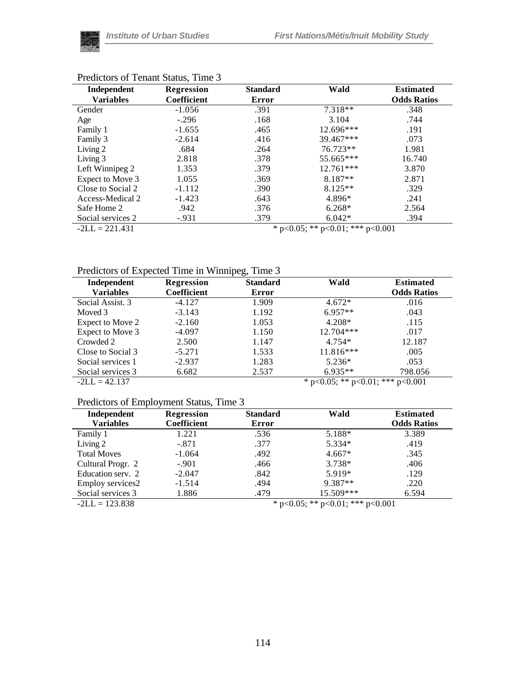| Independent       | <b>Regression</b>                        | <b>Standard</b> | Wald        | <b>Estimated</b>   |
|-------------------|------------------------------------------|-----------------|-------------|--------------------|
| <b>Variables</b>  | Coefficient                              | Error           |             | <b>Odds Ratios</b> |
| Gender            | $-1.056$                                 | .391            | 7.318**     | .348               |
| Age               | $-.296$                                  | .168            | 3.104       | .744               |
| Family 1          | $-1.655$                                 | .465            | 12.696***   | .191               |
| Family 3          | $-2.614$                                 | .416            | 39.467***   | .073               |
| Living 2          | .684                                     | .264            | $76.723**$  | 1.981              |
| Living 3          | 2.818                                    | .378            | 55.665***   | 16.740             |
| Left Winnipeg 2   | 1.353                                    | .379            | $12.761***$ | 3.870              |
| Expect to Move 3  | 1.055                                    | .369            | $8.187**$   | 2.871              |
| Close to Social 2 | $-1.112$                                 | .390            | $8.125**$   | .329               |
| Access-Medical 2  | $-1.423$                                 | .643            | 4.896*      | .241               |
| Safe Home 2       | .942                                     | .376            | $6.268*$    | 2.564              |
| Social services 2 | $-.931$                                  | .379            | $6.042*$    | .394               |
| $-2LL = 221.431$  | * $p<0.05$ ; ** $p<0.01$ ; *** $p<0.001$ |                 |             |                    |

#### Predictors of Tenant Status, Time 3

## Predictors of Expected Time in Winnipeg, Time 3

| Independent       | <b>Regression</b> | <b>Standard</b>                          | Wald        | <b>Estimated</b>   |
|-------------------|-------------------|------------------------------------------|-------------|--------------------|
| <b>Variables</b>  | Coefficient       | Error                                    |             | <b>Odds Ratios</b> |
| Social Assist. 3  | $-4.127$          | 1.909                                    | $4.672*$    | .016               |
| Moved 3           | $-3.143$          | 1.192                                    | $6.957**$   | .043               |
| Expect to Move 2  | $-2.160$          | 1.053                                    | $4.208*$    | .115               |
| Expect to Move 3  | $-4.097$          | 1.150                                    | $12.704***$ | .017               |
| Crowded 2         | 2.500             | 1.147                                    | $4.754*$    | 12.187             |
| Close to Social 3 | $-5.271$          | 1.533                                    | $11.816***$ | .005               |
| Social services 1 | $-2.937$          | 1.283                                    | $5.236*$    | .053               |
| Social services 3 | 6.682             | 2.537                                    | $6.935**$   | 798.056            |
| $-2LL = 42.137$   |                   | * $p<0.05$ ; ** $p<0.01$ ; *** $p<0.001$ |             |                    |

### Predictors of Employment Status, Time 3

| Independent             | <b>Regression</b>                | <b>Standard</b> | Wald        | <b>Estimated</b>   |
|-------------------------|----------------------------------|-----------------|-------------|--------------------|
| <b>Variables</b>        | Coefficient                      | Error           |             | <b>Odds Ratios</b> |
| Family 1                | 1.221                            | .536            | 5.188*      | 3.389              |
| Living 2                | $-.871$                          | .377            | 5.334*      | .419               |
| <b>Total Moves</b>      | $-1.064$                         | .492            | $4.667*$    | .345               |
| Cultural Progr. 2       | $-.901$                          | .466            | $3.738*$    | .406               |
| Education serv. 2       | $-2.047$                         | .842            | 5.919*      | .129               |
| <b>Employ services2</b> | $-1.514$                         | .494            | $9.387**$   | .220               |
| Social services 3       | 1.886                            | .479            | $15.509***$ | 6.594              |
| $-2LL = 123.838$        | * p<0.05; ** p<0.01; *** p<0.001 |                 |             |                    |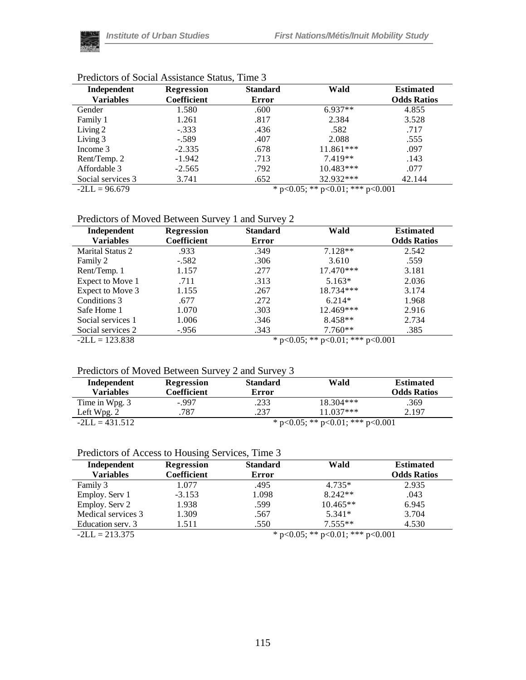| Independent       | <b>Regression</b>                        | <b>Standard</b> | Wald        | <b>Estimated</b>   |
|-------------------|------------------------------------------|-----------------|-------------|--------------------|
| <b>Variables</b>  | Coefficient                              | Error           |             | <b>Odds Ratios</b> |
| Gender            | 1.580                                    | .600            | $6.937**$   | 4.855              |
| Family 1          | 1.261                                    | .817            | 2.384       | 3.528              |
| Living 2          | $-.333$                                  | .436            | .582        | .717               |
| Living 3          | $-.589$                                  | .407            | 2.088       | .555               |
| Income 3          | $-2.335$                                 | .678            | 11.861***   | .097               |
| Rent/Temp. 2      | $-1.942$                                 | .713            | $7.419**$   | .143               |
| Affordable 3      | $-2.565$                                 | .792            | $10.483***$ | .077               |
| Social services 3 | 3.741                                    | .652            | 32.932***   | 42.144             |
| $-2LL = 96.679$   | * $p<0.05$ ; ** $p<0.01$ ; *** $p<0.001$ |                 |             |                    |

#### Predictors of Social Assistance Status, Time 3

## Predictors of Moved Between Survey 1 and Survey 2

| Independent             | <b>Regression</b> | <b>Standard</b>                          | Wald        | <b>Estimated</b>   |  |
|-------------------------|-------------------|------------------------------------------|-------------|--------------------|--|
| <b>Variables</b>        | Coefficient       | Error                                    |             | <b>Odds Ratios</b> |  |
| <b>Marital Status 2</b> | .933              | .349                                     | $7.128**$   | 2.542              |  |
| Family 2                | $-.582$           | .306                                     | 3.610       | .559               |  |
| Rent/Temp. 1            | 1.157             | .277                                     | $17.470***$ | 3.181              |  |
| Expect to Move 1        | .711              | .313                                     | $5.163*$    | 2.036              |  |
| Expect to Move 3        | 1.155             | .267                                     | $18.734***$ | 3.174              |  |
| Conditions 3            | .677              | .272                                     | $6.214*$    | 1.968              |  |
| Safe Home 1             | 1.070             | .303                                     | $12.469***$ | 2.916              |  |
| Social services 1       | 1.006             | .346                                     | $8.458**$   | 2.734              |  |
| Social services 2       | $-.956$           | .343                                     | $7.760**$   | .385               |  |
| $-2LL = 123.838$        |                   | * $p<0.05$ ; ** $p<0.01$ ; *** $p<0.001$ |             |                    |  |

#### Predictors of Moved Between Survey 2 and Survey 3

| Independent<br><b>Variables</b> | <b>Regression</b><br>Coefficient | <b>Standard</b><br>Error | Wald                             | <b>Estimated</b><br><b>Odds Ratios</b> |
|---------------------------------|----------------------------------|--------------------------|----------------------------------|----------------------------------------|
| Time in Wpg. 3                  | $-.997$                          | .233                     | $18.304***$                      | .369                                   |
| Left Wpg. $2$                   | .787                             | .237                     | $11.037***$                      | 2.197                                  |
| $-2LL = 431.512$                |                                  |                          | * p<0.05; ** p<0.01; *** p<0.001 |                                        |

#### Predictors of Access to Housing Services, Time 3

| Independent<br><b>Variables</b> | <b>Regression</b><br><b>Coefficient</b> | <b>Standard</b><br>Error | Wald                          | <b>Estimated</b><br><b>Odds Ratios</b> |
|---------------------------------|-----------------------------------------|--------------------------|-------------------------------|----------------------------------------|
| Family 3                        | 1.077                                   | .495                     | $4.735*$                      | 2.935                                  |
| Employ. Serv 1                  | $-3.153$                                | 1.098                    | $8.242**$                     | .043                                   |
| Employ. Serv 2                  | 1.938                                   | .599                     | $10.465**$                    | 6.945                                  |
| Medical services 3              | 1.309                                   | .567                     | 5.341*                        | 3.704                                  |
| Education serv. 3               | 1.511                                   | .550                     | $7.555**$                     | 4.530                                  |
| 212.27<br>$\mathbf{A}$          |                                         |                          | $4.007 + 0.01 + 0.01$ $0.001$ |                                        |

-2LL = 213.375 \* p<0.05; \*\* p<0.01; \*\*\* p<0.001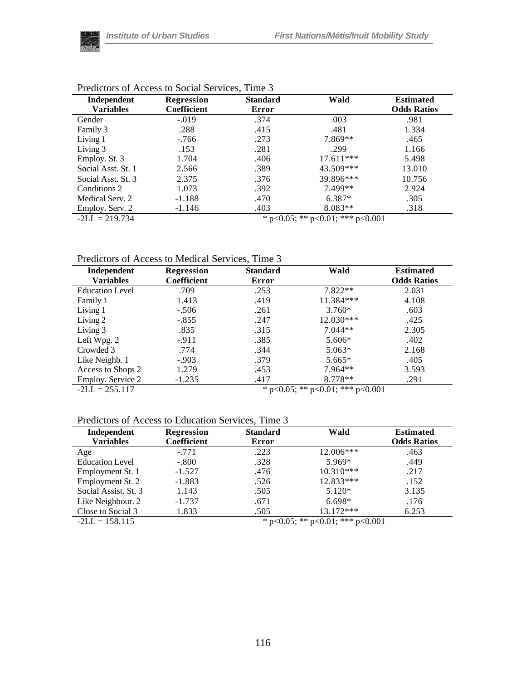| Independent        | <b>Regression</b> | <b>Standard</b>                          | Wald        | <b>Estimated</b>   |  |
|--------------------|-------------------|------------------------------------------|-------------|--------------------|--|
| <b>Variables</b>   | Coefficient       | Error                                    |             | <b>Odds Ratios</b> |  |
| Gender             | $-.019$           | .374                                     | .003        | .981               |  |
| Family 3           | .288              | .415                                     | .481        | 1.334              |  |
| Living 1           | $-.766$           | .273                                     | 7.869**     | .465               |  |
| Living 3           | .153              | .281                                     | .299        | 1.166              |  |
| Employ. St. 3      | 1.704             | .406                                     | $17.611***$ | 5.498              |  |
| Social Asst. St. 1 | 2.566             | .389                                     | $43.509***$ | 13.010             |  |
| Social Asst. St. 3 | 2.375             | .376                                     | 39.896***   | 10.756             |  |
| Conditions 2       | 1.073             | .392                                     | 7.499**     | 2.924              |  |
| Medical Serv. 2    | $-1.188$          | .470                                     | $6.387*$    | .305               |  |
| Employ. Serv. 2    | $-1.146$          | .403                                     | $8.083**$   | .318               |  |
| $-2LL = 219.734$   |                   | * $p<0.05$ ; ** $p<0.01$ ; *** $p<0.001$ |             |                    |  |

# Predictors of Access to Social Services, Time 3

Predictors of Access to Medical Services, Time 3

| Independent<br><b>Variables</b> | <b>Regression</b><br>Coefficient | <b>Standard</b><br>Error | Wald                                     | <b>Estimated</b><br><b>Odds Ratios</b> |
|---------------------------------|----------------------------------|--------------------------|------------------------------------------|----------------------------------------|
| <b>Education Level</b>          | .709                             | .253                     | $7.822**$                                | 2.031                                  |
| Family 1                        | 1.413                            | .419                     | $11.384***$                              | 4.108                                  |
| Living 1                        | $-.506$                          | .261                     | $3.760*$                                 | .603                                   |
| Living 2                        | $-.855$                          | .247                     | $12.030***$                              | .425                                   |
| Living 3                        | .835                             | .315                     | $7.044**$                                | 2.305                                  |
| Left Wpg. 2                     | $-911$                           | .385                     | $5.606*$                                 | .402                                   |
| Crowded 3                       | .774                             | .344                     | $5.063*$                                 | 2.168                                  |
| Like Neighb. 1                  | $-.903$                          | .379                     | $5.665*$                                 | .405                                   |
| Access to Shops 2               | 1.279                            | .453                     | $7.964**$                                | 3.593                                  |
| Employ. Service 2               | $-1.235$                         | .417                     | 8.778**                                  | .291                                   |
| $-2LL = 255.117$                |                                  |                          | * $p<0.05$ ; ** $p<0.01$ ; *** $p<0.001$ |                                        |

#### Predictors of Access to Education Services, Time 3

| Independent<br><b>Variables</b> | <b>Regression</b><br>Coefficient | <b>Standard</b><br>Error | Wald                             | <b>Estimated</b><br><b>Odds Ratios</b> |
|---------------------------------|----------------------------------|--------------------------|----------------------------------|----------------------------------------|
| Age                             | $-.771$                          | .223                     | $12.006***$                      | .463                                   |
| <b>Education Level</b>          | $-.800$                          | .328                     | $5.969*$                         | .449                                   |
| Employment St. 1                | $-1.527$                         | .476                     | $10.310***$                      | .217                                   |
| Employment St. 2                | $-1.883$                         | .526                     | 12.833***                        | .152                                   |
| Social Assist. St. 3            | 1.143                            | .505                     | $5.120*$                         | 3.135                                  |
| Like Neighbour. 2               | $-1.737$                         | .671                     | $6.698*$                         | .176                                   |
| Close to Social 3               | 1.833                            | .505                     | $13.172***$                      | 6.253                                  |
| $-2LL = 158.115$                |                                  |                          | * p<0.05; ** p<0.01; *** p<0.001 |                                        |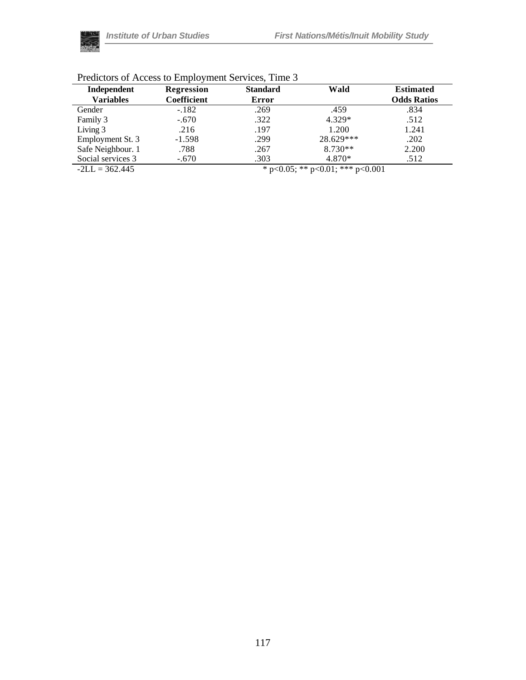| Independent       | <b>Regression</b> | <b>Standard</b>                          | Wald      | <b>Estimated</b>   |
|-------------------|-------------------|------------------------------------------|-----------|--------------------|
| <b>Variables</b>  | Coefficient       | Error                                    |           | <b>Odds Ratios</b> |
| Gender            | $-.182$           | .269                                     | .459      | .834               |
| Family 3          | $-.670$           | .322                                     | 4.329*    | .512               |
| Living 3          | .216              | .197                                     | 1.200     | 1.241              |
| Employment St. 3  | $-1.598$          | .299                                     | 28.629*** | .202               |
| Safe Neighbour. 1 | .788              | .267                                     | $8.730**$ | 2.200              |
| Social services 3 | $-.670$           | .303                                     | 4.870*    | .512               |
| $-2LL = 362.445$  |                   | * $p<0.05$ ; ** $p<0.01$ ; *** $p<0.001$ |           |                    |

## Predictors of Access to Employment Services, Time 3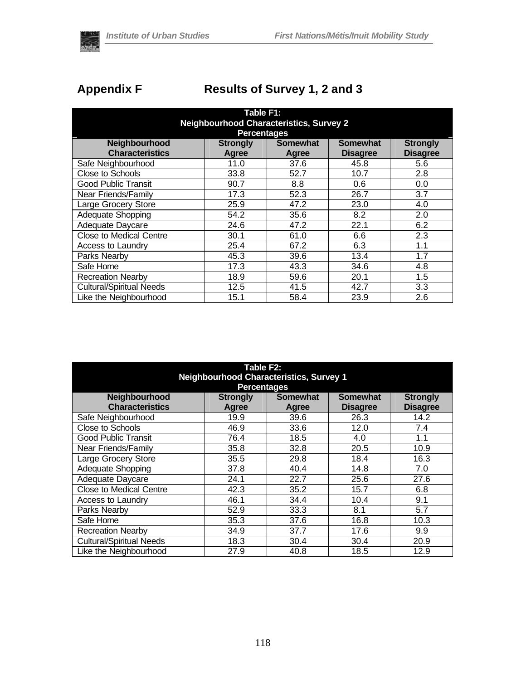

# Appendix F **Results of Survey 1, 2 and 3**

| Table F1:                                                                                 |                    |       |                 |                 |  |  |
|-------------------------------------------------------------------------------------------|--------------------|-------|-----------------|-----------------|--|--|
| <b>Neighbourhood Characteristics, Survey 2</b>                                            |                    |       |                 |                 |  |  |
|                                                                                           | <b>Percentages</b> |       |                 |                 |  |  |
| Neighbourhood<br><b>Somewhat</b><br><b>Strongly</b><br><b>Somewhat</b><br><b>Strongly</b> |                    |       |                 |                 |  |  |
| <b>Characteristics</b>                                                                    | Agree              | Agree | <b>Disagree</b> | <b>Disagree</b> |  |  |
| Safe Neighbourhood                                                                        | 11.0               | 37.6  | 45.8            | 5.6             |  |  |
| Close to Schools                                                                          | 33.8               | 52.7  | 10.7            | 2.8             |  |  |
| <b>Good Public Transit</b>                                                                | 90.7               | 8.8   | 0.6             | 0.0             |  |  |
| Near Friends/Family                                                                       | 17.3               | 52.3  | 26.7            | 3.7             |  |  |
| Large Grocery Store                                                                       | 25.9               | 47.2  | 23.0            | 4.0             |  |  |
| <b>Adequate Shopping</b>                                                                  | 54.2               | 35.6  | 8.2             | 2.0             |  |  |
| Adequate Daycare                                                                          | 24.6               | 47.2  | 22.1            | 6.2             |  |  |
| Close to Medical Centre                                                                   | 30.1               | 61.0  | 6.6             | 2.3             |  |  |
| Access to Laundry                                                                         | 25.4               | 67.2  | 6.3             | 1.1             |  |  |
| Parks Nearby                                                                              | 45.3               | 39.6  | 13.4            | 1.7             |  |  |
| Safe Home                                                                                 | 17.3               | 43.3  | 34.6            | 4.8             |  |  |
| <b>Recreation Nearby</b>                                                                  | 18.9               | 59.6  | 20.1            | 1.5             |  |  |
| <b>Cultural/Spiritual Needs</b>                                                           | 12.5               | 41.5  | 42.7            | 3.3             |  |  |
| Like the Neighbourhood                                                                    | 15.1               | 58.4  | 23.9            | 2.6             |  |  |

| Table F2:                                                                                 |       |              |                 |                 |  |  |
|-------------------------------------------------------------------------------------------|-------|--------------|-----------------|-----------------|--|--|
| <b>Neighbourhood Characteristics, Survey 1</b>                                            |       |              |                 |                 |  |  |
| <b>Percentages</b>                                                                        |       |              |                 |                 |  |  |
| <b>Strongly</b><br>Neighbourhood<br><b>Somewhat</b><br><b>Somewhat</b><br><b>Strongly</b> |       |              |                 |                 |  |  |
| <b>Characteristics</b>                                                                    | Agree | <b>Agree</b> | <b>Disagree</b> | <b>Disagree</b> |  |  |
| Safe Neighbourhood                                                                        | 19.9  | 39.6         | 26.3            | 14.2            |  |  |
| Close to Schools                                                                          | 46.9  | 33.6         | 12.0            | 7.4             |  |  |
| <b>Good Public Transit</b>                                                                | 76.4  | 18.5         | 4.0             | 1.1             |  |  |
| Near Friends/Family                                                                       | 35.8  | 32.8         | 20.5            | 10.9            |  |  |
| Large Grocery Store                                                                       | 35.5  | 29.8         | 18.4            | 16.3            |  |  |
| Adequate Shopping                                                                         | 37.8  | 40.4         | 14.8            | 7.0             |  |  |
| Adequate Daycare                                                                          | 24.1  | 22.7         | 25.6            | 27.6            |  |  |
| <b>Close to Medical Centre</b>                                                            | 42.3  | 35.2         | 15.7            | 6.8             |  |  |
| Access to Laundry                                                                         | 46.1  | 34.4         | 10.4            | 9.1             |  |  |
| Parks Nearby                                                                              | 52.9  | 33.3         | 8.1             | 5.7             |  |  |
| Safe Home                                                                                 | 35.3  | 37.6         | 16.8            | 10.3            |  |  |
| <b>Recreation Nearby</b>                                                                  | 34.9  | 37.7         | 17.6            | 9.9             |  |  |
| <b>Cultural/Spiritual Needs</b>                                                           | 18.3  | 30.4         | 30.4            | 20.9            |  |  |
| Like the Neighbourhood                                                                    | 27.9  | 40.8         | 18.5            | 12.9            |  |  |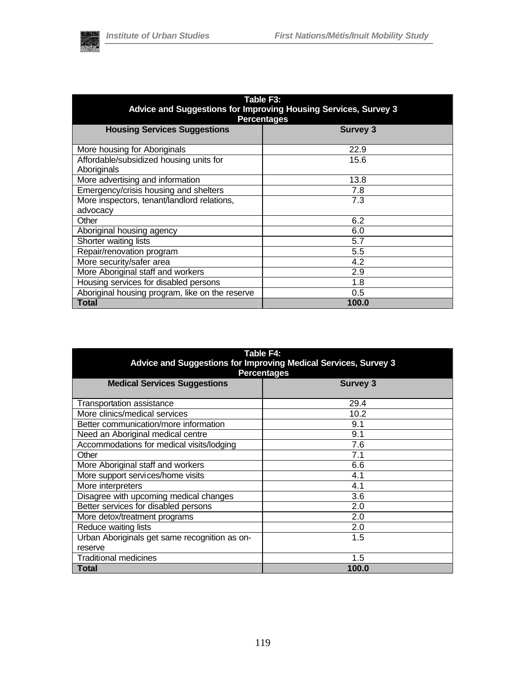| <u>Ta</u> ble F3:<br>Advice and Suggestions for Improving Housing Services, Survey 3<br><b>Percentages</b> |                 |  |  |
|------------------------------------------------------------------------------------------------------------|-----------------|--|--|
| <b>Housing Services Suggestions</b>                                                                        | <b>Survey 3</b> |  |  |
| More housing for Aboriginals                                                                               | 22.9            |  |  |
| Affordable/subsidized housing units for<br>Aboriginals                                                     | 15.6            |  |  |
| More advertising and information                                                                           | 13.8            |  |  |
| Emergency/crisis housing and shelters                                                                      | 7.8             |  |  |
| More inspectors, tenant/landlord relations,<br>advocacy                                                    | 7.3             |  |  |
| Other                                                                                                      | 6.2             |  |  |
| Aboriginal housing agency                                                                                  | 6.0             |  |  |
| Shorter waiting lists                                                                                      | 5.7             |  |  |
| Repair/renovation program                                                                                  | 5.5             |  |  |
| More security/safer area                                                                                   | 4.2             |  |  |
| More Aboriginal staff and workers                                                                          | 2.9             |  |  |
| Housing services for disabled persons                                                                      | 1.8             |  |  |
| Aboriginal housing program, like on the reserve                                                            | 0.5             |  |  |
| <b>Total</b>                                                                                               | 100.0           |  |  |

| Table F4:                                                       |                 |  |  |  |
|-----------------------------------------------------------------|-----------------|--|--|--|
| Advice and Suggestions for Improving Medical Services, Survey 3 |                 |  |  |  |
| <b>Percentages</b>                                              |                 |  |  |  |
| <b>Medical Services Suggestions</b>                             | <b>Survey 3</b> |  |  |  |
|                                                                 |                 |  |  |  |
| <b>Transportation assistance</b>                                | 29.4            |  |  |  |
| More clinics/medical services                                   | 10.2            |  |  |  |
| Better communication/more information                           | 9.1             |  |  |  |
| Need an Aboriginal medical centre                               | 9.1             |  |  |  |
| Accommodations for medical visits/lodging                       | 7.6             |  |  |  |
| Other                                                           | 7.1             |  |  |  |
| More Aboriginal staff and workers                               | 6.6             |  |  |  |
| More support services/home visits                               | 4.1             |  |  |  |
| More interpreters                                               | 4.1             |  |  |  |
| Disagree with upcoming medical changes                          | 3.6             |  |  |  |
| Better services for disabled persons                            | 2.0             |  |  |  |
| More detox/treatment programs                                   | 2.0             |  |  |  |
| Reduce waiting lists                                            | 2.0             |  |  |  |
| Urban Aboriginals get same recognition as on-                   | 1.5             |  |  |  |
| reserve                                                         |                 |  |  |  |
| <b>Traditional medicines</b>                                    | 1.5             |  |  |  |
| <b>Total</b>                                                    | 100.0           |  |  |  |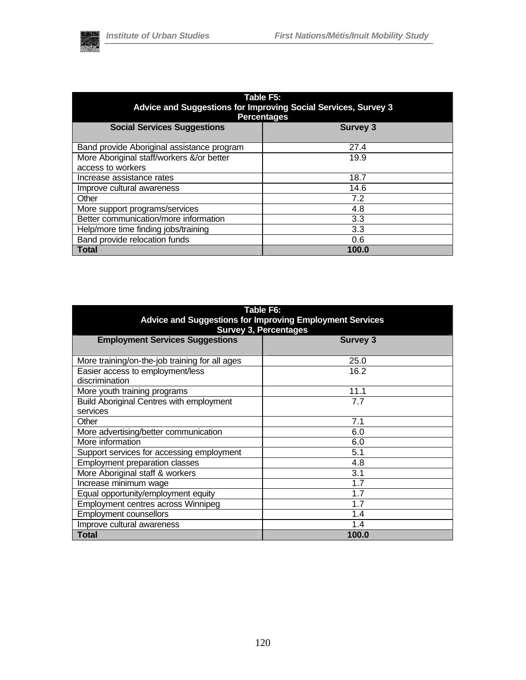| Table F5:<br>Advice and Suggestions for Improving Social Services, Survey 3<br><b>Percentages</b> |                 |  |  |  |
|---------------------------------------------------------------------------------------------------|-----------------|--|--|--|
| <b>Social Services Suggestions</b>                                                                | <b>Survey 3</b> |  |  |  |
| Band provide Aboriginal assistance program                                                        | 27.4            |  |  |  |
| More Aboriginal staff/workers &/or better                                                         | 19.9            |  |  |  |
| access to workers                                                                                 |                 |  |  |  |
| Increase assistance rates                                                                         | 18.7            |  |  |  |
| Improve cultural awareness                                                                        | 14.6            |  |  |  |
| Other                                                                                             | 7.2             |  |  |  |
| More support programs/services                                                                    | 4.8             |  |  |  |
| Better communication/more information                                                             | 3.3             |  |  |  |
| Help/more time finding jobs/training                                                              | 3.3             |  |  |  |
| Band provide relocation funds<br>0.6                                                              |                 |  |  |  |
| <b>Total</b><br>100.0                                                                             |                 |  |  |  |

| Table F6:<br><b>Advice and Suggestions for Improving Employment Services</b><br><b>Survey 3, Percentages</b> |                 |  |  |
|--------------------------------------------------------------------------------------------------------------|-----------------|--|--|
| <b>Employment Services Suggestions</b>                                                                       | <b>Survey 3</b> |  |  |
| More training/on-the-job training for all ages                                                               | 25.0            |  |  |
| Easier access to employment/less<br>discrimination                                                           | 16.2            |  |  |
| More youth training programs                                                                                 | 11.1            |  |  |
| Build Aboriginal Centres with employment<br>services                                                         | 7.7             |  |  |
| Other                                                                                                        | 7.1             |  |  |
| More advertising/better communication                                                                        | 6.0             |  |  |
| More information                                                                                             | 6.0             |  |  |
| Support services for accessing employment                                                                    | 5.1             |  |  |
| <b>Employment preparation classes</b>                                                                        | 4.8             |  |  |
| More Aboriginal staff & workers                                                                              | 3.1             |  |  |
| Increase minimum wage                                                                                        | 1.7             |  |  |
| Equal opportunity/employment equity                                                                          | 1.7             |  |  |
| <b>Employment centres across Winnipeg</b>                                                                    | 1.7             |  |  |
| <b>Employment counsellors</b>                                                                                | 1.4             |  |  |
| Improve cultural awareness                                                                                   | 1.4             |  |  |
| <b>Total</b>                                                                                                 | 100.0           |  |  |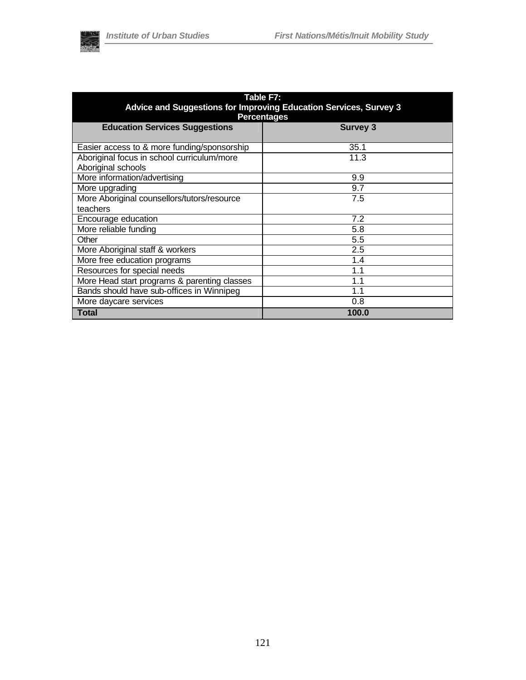| Table F7:<br>Advice and Suggestions for Improving Education Services, Survey 3<br><b>Percentages</b> |                 |  |  |  |
|------------------------------------------------------------------------------------------------------|-----------------|--|--|--|
| <b>Education Services Suggestions</b>                                                                | <b>Survey 3</b> |  |  |  |
| Easier access to & more funding/sponsorship                                                          | 35.1            |  |  |  |
| Aboriginal focus in school curriculum/more<br>Aboriginal schools                                     | 11.3            |  |  |  |
| More information/advertising                                                                         | 9.9             |  |  |  |
| More upgrading                                                                                       | 9.7             |  |  |  |
| More Aboriginal counsellors/tutors/resource                                                          | 7.5             |  |  |  |
| teachers                                                                                             |                 |  |  |  |
| Encourage education                                                                                  | 7.2             |  |  |  |
| More reliable funding                                                                                | 5.8             |  |  |  |
| Other                                                                                                | 5.5             |  |  |  |
| More Aboriginal staff & workers                                                                      | 2.5             |  |  |  |
| More free education programs                                                                         | 1.4             |  |  |  |
| Resources for special needs                                                                          | 1.1             |  |  |  |
| More Head start programs & parenting classes                                                         | 1.1             |  |  |  |
| Bands should have sub-offices in Winnipeg                                                            | 1.1             |  |  |  |
| More daycare services                                                                                | 0.8             |  |  |  |
| <b>Total</b>                                                                                         | 100.0           |  |  |  |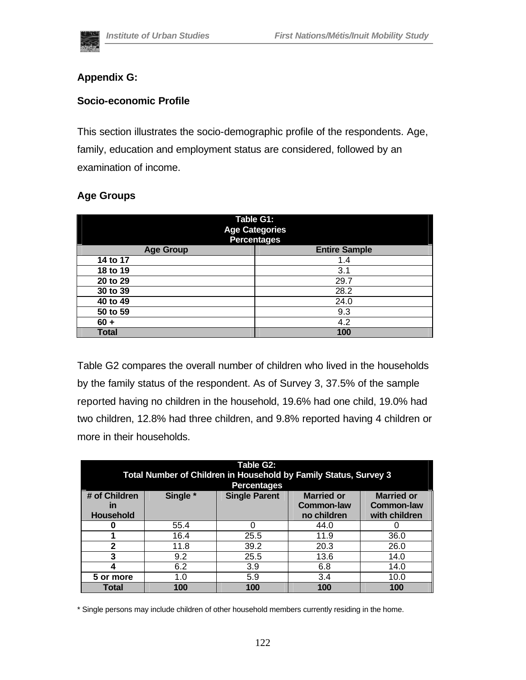

# **Appendix G:**

# **Socio-economic Profile**

This section illustrates the socio-demographic profile of the respondents. Age, family, education and employment status are considered, followed by an examination of income.

| Table G1:<br><b>Age Categories</b><br><b>Percentages</b> |                      |  |  |
|----------------------------------------------------------|----------------------|--|--|
| <b>Age Group</b>                                         | <b>Entire Sample</b> |  |  |
| 14 to 17                                                 | 1.4                  |  |  |
| 18 to 19                                                 | 3.1                  |  |  |
| 20 to 29                                                 | 29.7                 |  |  |
| 30 to 39                                                 | 28.2                 |  |  |
| 40 to 49                                                 | 24.0                 |  |  |
| 50 to 59                                                 | 9.3                  |  |  |
| $60 +$                                                   | 4.2                  |  |  |
| <b>Total</b>                                             | 100                  |  |  |

# **Age Groups**

Table G2 compares the overall number of children who lived in the households by the family status of the respondent. As of Survey 3, 37.5% of the sample reported having no children in the household, 19.6% had one child, 19.0% had two children, 12.8% had three children, and 9.8% reported having 4 children or more in their households.

| Table G2:<br>Total Number of Children in Household by Family Status, Survey 3 |                                                                                                                                                                            |      |      |      |  |
|-------------------------------------------------------------------------------|----------------------------------------------------------------------------------------------------------------------------------------------------------------------------|------|------|------|--|
| # of Children<br>ın<br><b>Household</b>                                       | <b>Percentages</b><br><b>Married or</b><br><b>Single Parent</b><br>Single *<br><b>Married or</b><br><b>Common-law</b><br><b>Common-law</b><br>with children<br>no children |      |      |      |  |
|                                                                               | 55.4                                                                                                                                                                       | ი    | 44.0 |      |  |
|                                                                               | 16.4                                                                                                                                                                       | 25.5 | 11.9 | 36.0 |  |
| 2                                                                             | 11.8                                                                                                                                                                       | 39.2 | 20.3 | 26.0 |  |
| 3                                                                             | 9.2                                                                                                                                                                        | 25.5 | 13.6 | 14.0 |  |
|                                                                               | 6.2                                                                                                                                                                        | 3.9  | 6.8  | 14.0 |  |
| 5 or more                                                                     | 1.0                                                                                                                                                                        | 5.9  | 3.4  | 10.0 |  |
| Total                                                                         | 100                                                                                                                                                                        | 100  | 100  | 100  |  |

\* Single persons may include children of other household members currently residing in the home.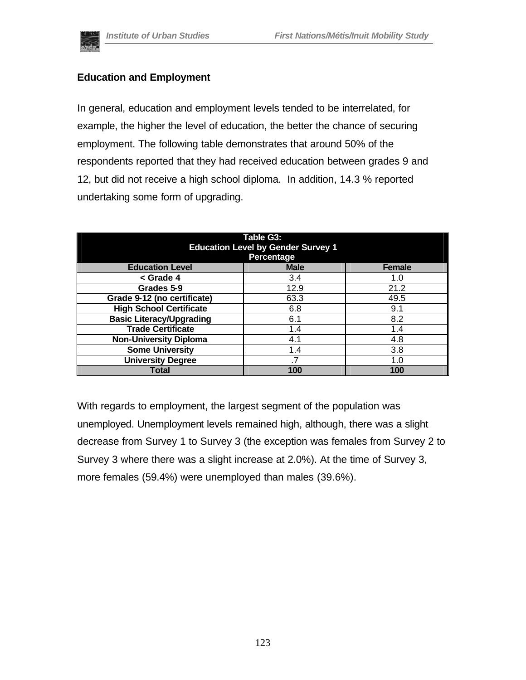# **Education and Employment**

In general, education and employment levels tended to be interrelated, for example, the higher the level of education, the better the chance of securing employment. The following table demonstrates that around 50% of the respondents reported that they had received education between grades 9 and 12, but did not receive a high school diploma. In addition, 14.3 % reported undertaking some form of upgrading.

| Table G3:<br><b>Education Level by Gender Survey 1</b><br>Percentage |             |               |  |  |
|----------------------------------------------------------------------|-------------|---------------|--|--|
| <b>Education Level</b>                                               | <b>Male</b> | <b>Female</b> |  |  |
| < Grade 4                                                            | 3.4         | 1.0           |  |  |
| Grades 5-9                                                           | 12.9        | 21.2          |  |  |
| Grade 9-12 (no certificate)                                          | 63.3        | 49.5          |  |  |
| <b>High School Certificate</b>                                       | 6.8         | 9.1           |  |  |
| <b>Basic Literacy/Upgrading</b>                                      | 6.1         | 8.2           |  |  |
| <b>Trade Certificate</b>                                             | 1.4         | 1.4           |  |  |
| <b>Non-University Diploma</b>                                        | 4.1         | 4.8           |  |  |
| <b>Some University</b>                                               | 1.4         | 3.8           |  |  |
| <b>University Degree</b>                                             | .7          | 1.0           |  |  |
| <b>Total</b>                                                         | 100         | 100           |  |  |

With regards to employment, the largest segment of the population was unemployed. Unemployment levels remained high, although, there was a slight decrease from Survey 1 to Survey 3 (the exception was females from Survey 2 to Survey 3 where there was a slight increase at 2.0%). At the time of Survey 3, more females (59.4%) were unemployed than males (39.6%).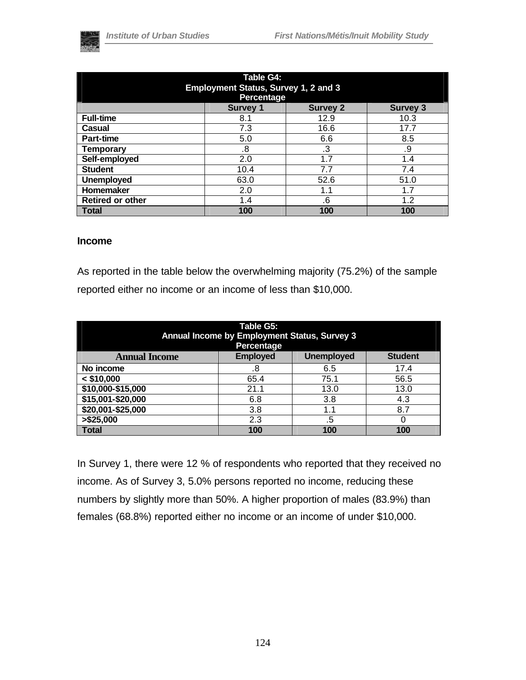| Table G4:<br><b>Employment Status, Survey 1, 2 and 3</b><br>Percentage |      |      |      |  |  |  |
|------------------------------------------------------------------------|------|------|------|--|--|--|
| <b>Survey 2</b><br><b>Survey 3</b><br><b>Survey 1</b>                  |      |      |      |  |  |  |
| <b>Full-time</b>                                                       | 8.1  | 12.9 | 10.3 |  |  |  |
| Casual                                                                 | 7.3  | 16.6 | 17.7 |  |  |  |
| <b>Part-time</b>                                                       | 5.0  | 6.6  | 8.5  |  |  |  |
| Temporary                                                              | .8   | .3   | .9   |  |  |  |
| Self-employed                                                          | 2.0  | 1.7  | 1.4  |  |  |  |
| <b>Student</b>                                                         | 10.4 | 7.7  | 7.4  |  |  |  |
| <b>Unemployed</b>                                                      | 63.0 | 52.6 | 51.0 |  |  |  |
| Homemaker                                                              | 2.0  | 1.1  | 1.7  |  |  |  |
| <b>Retired or other</b>                                                | 1.4  | .6   | 1.2  |  |  |  |
| <b>Total</b>                                                           | 100  | 100  | 100  |  |  |  |

#### **Income**

As reported in the table below the overwhelming majority (75.2%) of the sample reported either no income or an income of less than \$10,000.

| Table G5:<br>Annual Income by Employment Status, Survey 3<br><b>Percentage</b> |                 |                   |                |  |
|--------------------------------------------------------------------------------|-----------------|-------------------|----------------|--|
| <b>Annual Income</b>                                                           | <b>Employed</b> | <b>Unemployed</b> | <b>Student</b> |  |
| No income                                                                      | .8              | 6.5               | 17.4           |  |
| $<$ \$10,000                                                                   | 65.4            | 75.1              | 56.5           |  |
| \$10,000-\$15,000                                                              | 21.1            | 13.0              | 13.0           |  |
| \$15,001-\$20,000                                                              | 6.8             | 3.8               | 4.3            |  |
| \$20,001-\$25,000                                                              | 3.8             | 1.1               | 8.7            |  |
| > \$25,000                                                                     | 2.3             | .5                |                |  |
| Total                                                                          | 100             | 100               | 100            |  |

In Survey 1, there were 12 % of respondents who reported that they received no income. As of Survey 3, 5.0% persons reported no income, reducing these numbers by slightly more than 50%. A higher proportion of males (83.9%) than females (68.8%) reported either no income or an income of under \$10,000.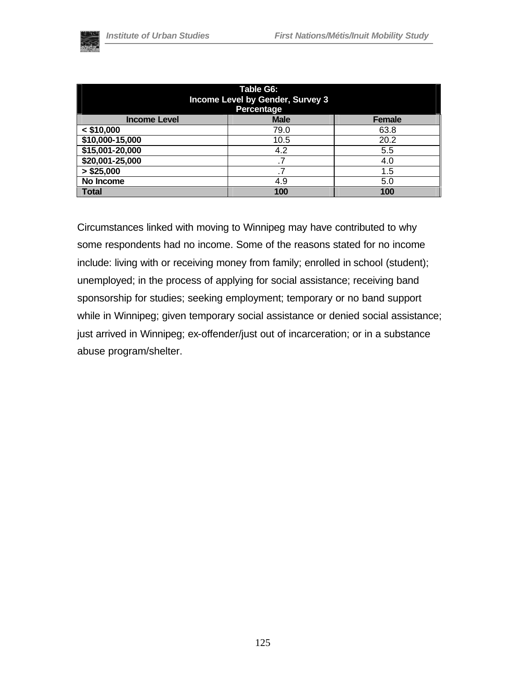| Table G6:<br>Income Level by Gender, Survey 3<br><b>Percentage</b> |             |               |  |  |
|--------------------------------------------------------------------|-------------|---------------|--|--|
| <b>Income Level</b>                                                | <b>Male</b> | <b>Female</b> |  |  |
| $<$ \$10,000                                                       | 79.0        | 63.8          |  |  |
| \$10,000-15,000                                                    | 10.5        | 20.2          |  |  |
| \$15,001-20,000                                                    | 4.2         | 5.5           |  |  |
| \$20,001-25,000                                                    | .7          | 4.0           |  |  |
| > \$25,000                                                         | .7          | 1.5           |  |  |
| No Income                                                          | 4.9         | 5.0           |  |  |
| <b>Total</b>                                                       | 100         | 100           |  |  |

Circumstances linked with moving to Winnipeg may have contributed to why some respondents had no income. Some of the reasons stated for no income include: living with or receiving money from family; enrolled in school (student); unemployed; in the process of applying for social assistance; receiving band sponsorship for studies; seeking employment; temporary or no band support while in Winnipeg; given temporary social assistance or denied social assistance; just arrived in Winnipeg; ex-offender/just out of incarceration; or in a substance abuse program/shelter.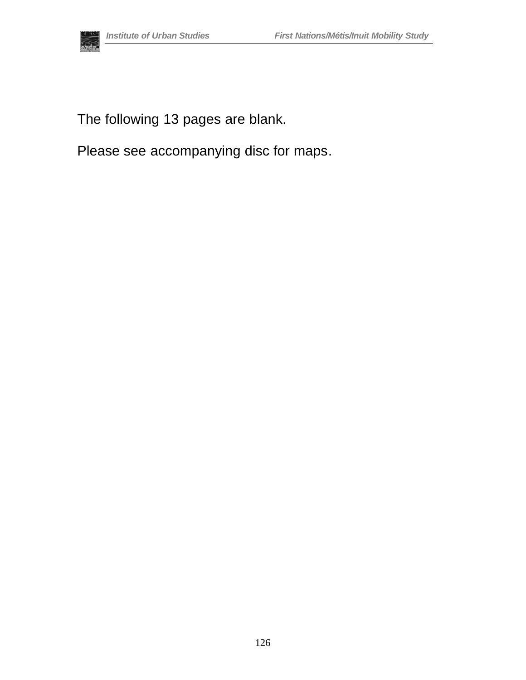The following 13 pages are blank.

Please see accompanying disc for maps.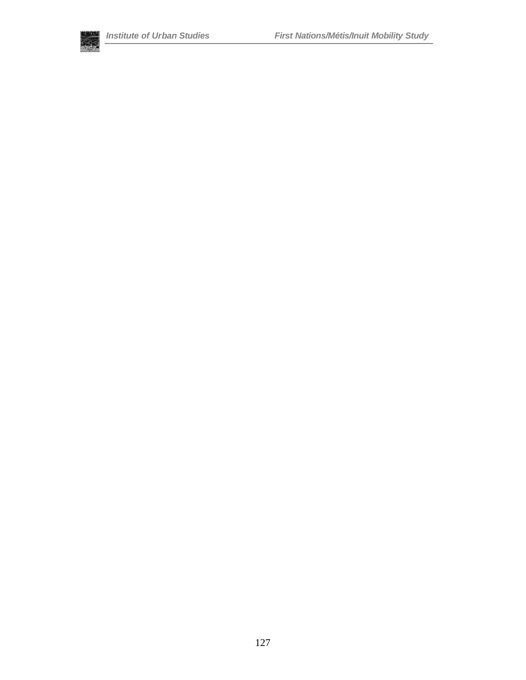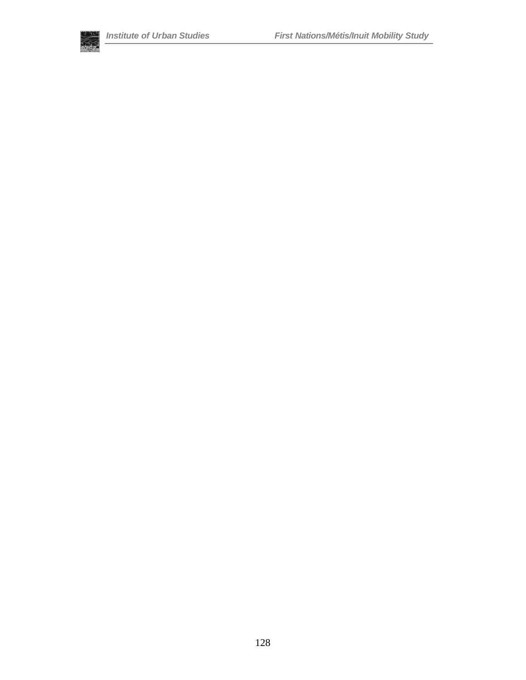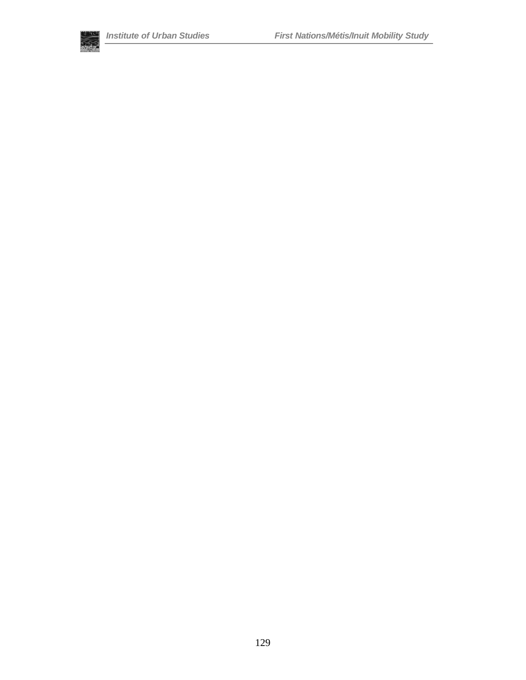

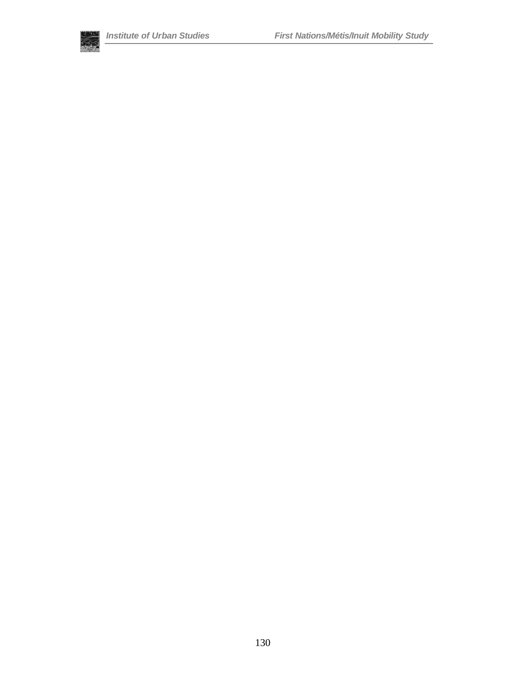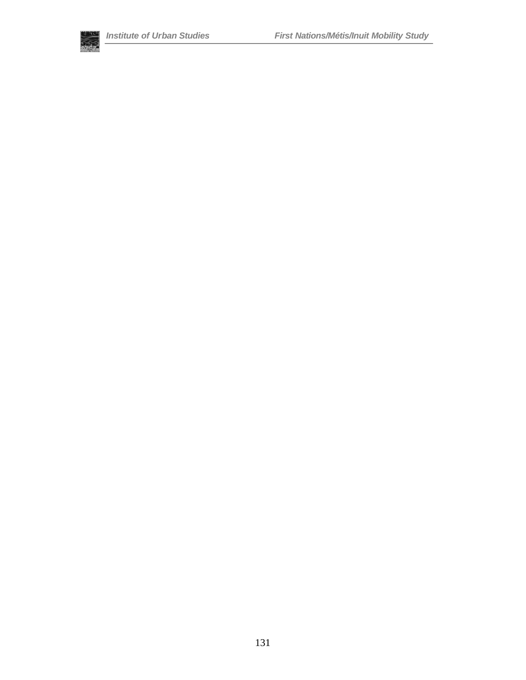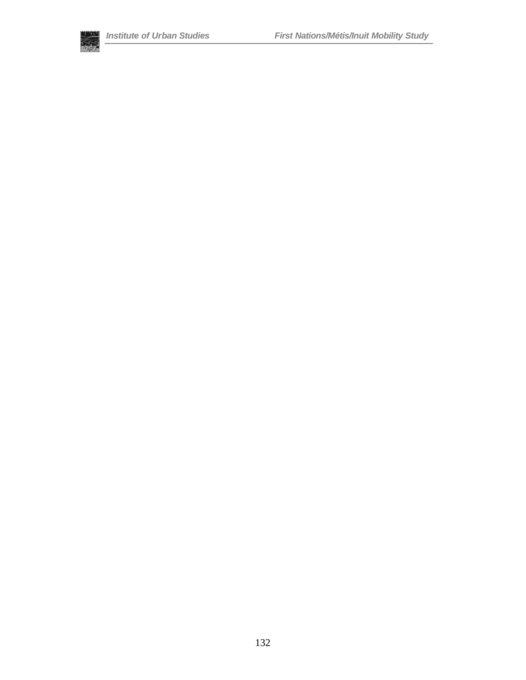

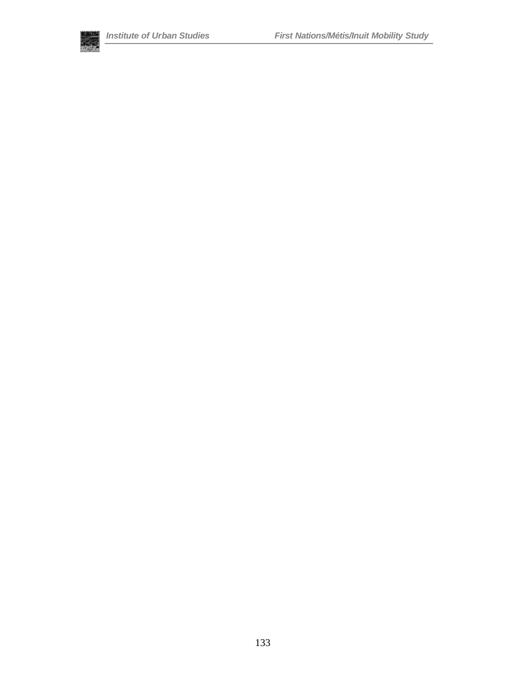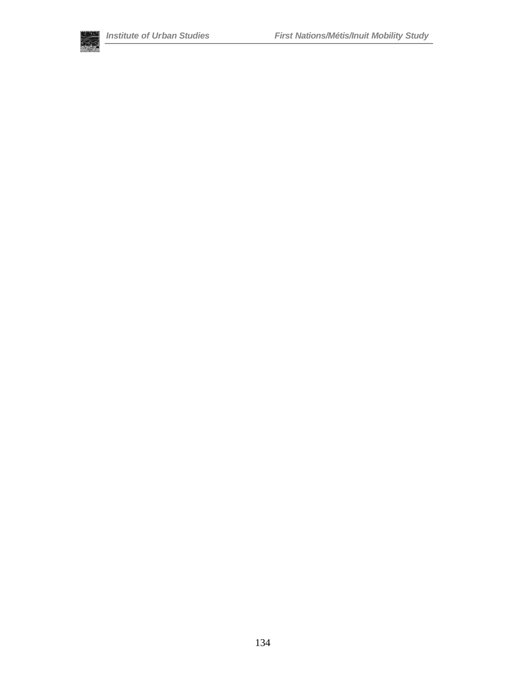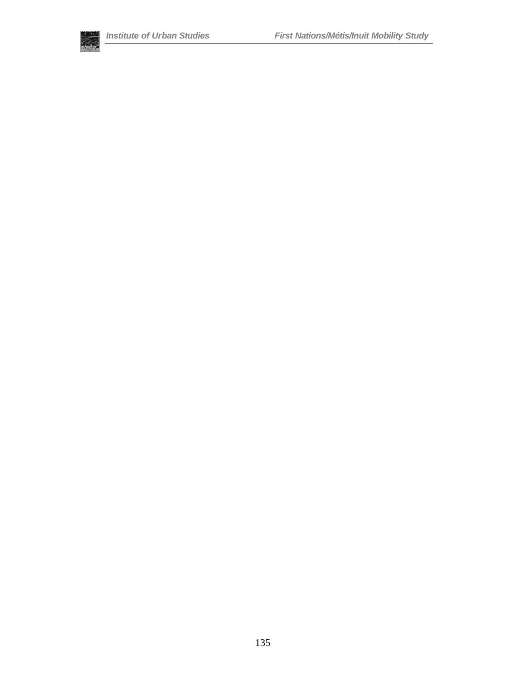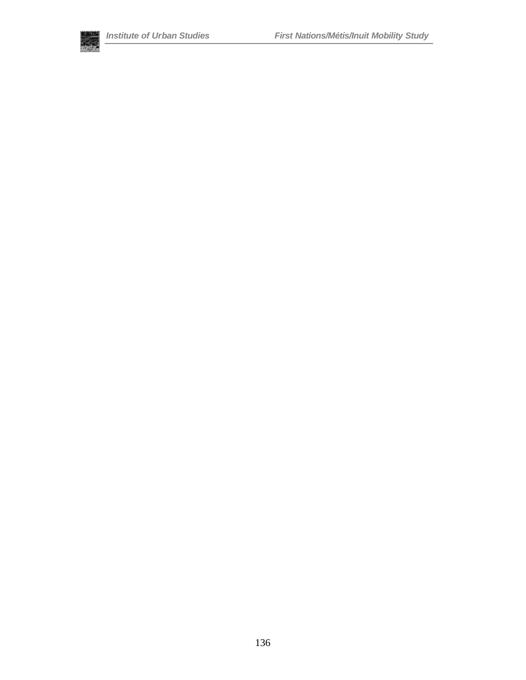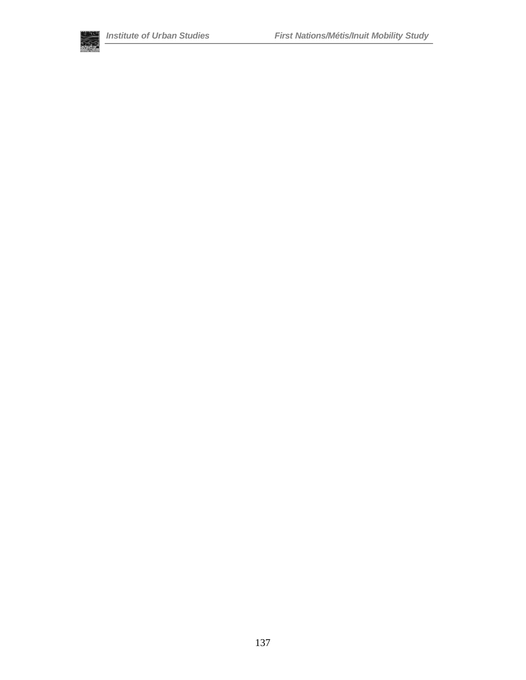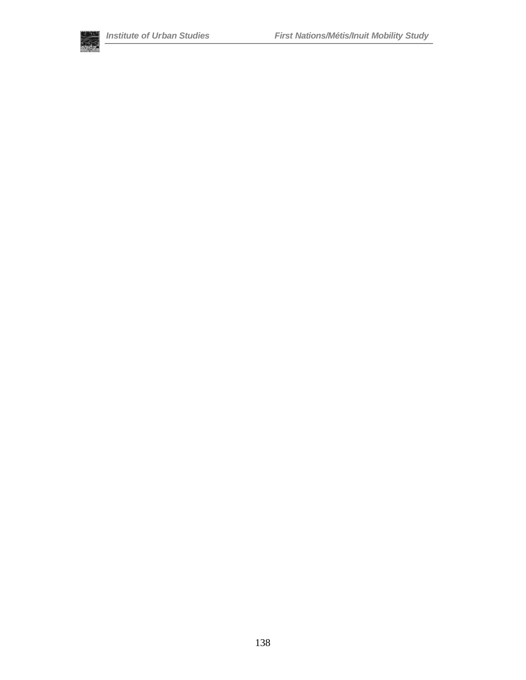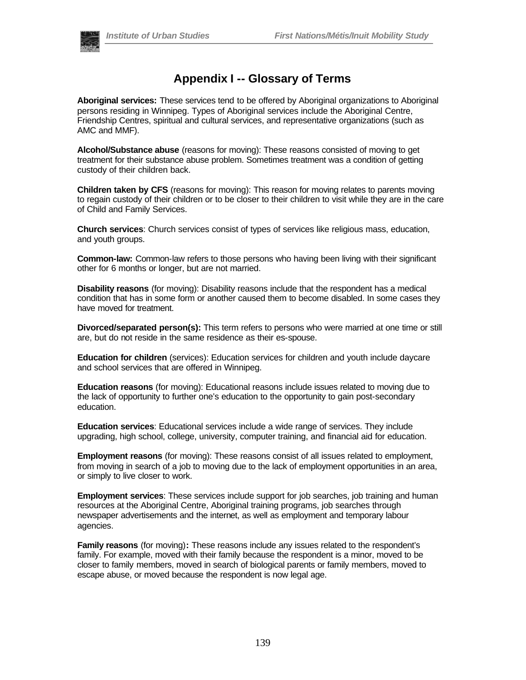

## **Appendix I -- Glossary of Terms**

**Aboriginal services:** These services tend to be offered by Aboriginal organizations to Aboriginal persons residing in Winnipeg. Types of Aboriginal services include the Aboriginal Centre, Friendship Centres, spiritual and cultural services, and representative organizations (such as AMC and MMF).

**Alcohol/Substance abuse** (reasons for moving): These reasons consisted of moving to get treatment for their substance abuse problem. Sometimes treatment was a condition of getting custody of their children back.

**Children taken by CFS** (reasons for moving): This reason for moving relates to parents moving to regain custody of their children or to be closer to their children to visit while they are in the care of Child and Family Services.

**Church services**: Church services consist of types of services like religious mass, education, and youth groups.

**Common-law:** Common-law refers to those persons who having been living with their significant other for 6 months or longer, but are not married.

**Disability reasons** (for moving): Disability reasons include that the respondent has a medical condition that has in some form or another caused them to become disabled. In some cases they have moved for treatment.

**Divorced/separated person(s):** This term refers to persons who were married at one time or still are, but do not reside in the same residence as their es-spouse.

**Education for children** (services): Education services for children and youth include daycare and school services that are offered in Winnipeg.

**Education reasons** (for moving): Educational reasons include issues related to moving due to the lack of opportunity to further one's education to the opportunity to gain post-secondary education.

**Education services**: Educational services include a wide range of services. They include upgrading, high school, college, university, computer training, and financial aid for education.

**Employment reasons** (for moving): These reasons consist of all issues related to employment, from moving in search of a job to moving due to the lack of employment opportunities in an area, or simply to live closer to work.

**Employment services**: These services include support for job searches, job training and human resources at the Aboriginal Centre, Aboriginal training programs, job searches through newspaper advertisements and the internet, as well as employment and temporary labour agencies.

**Family reasons** (for moving)**:** These reasons include any issues related to the respondent's family. For example, moved with their family because the respondent is a minor, moved to be closer to family members, moved in search of biological parents or family members, moved to escape abuse, or moved because the respondent is now legal age.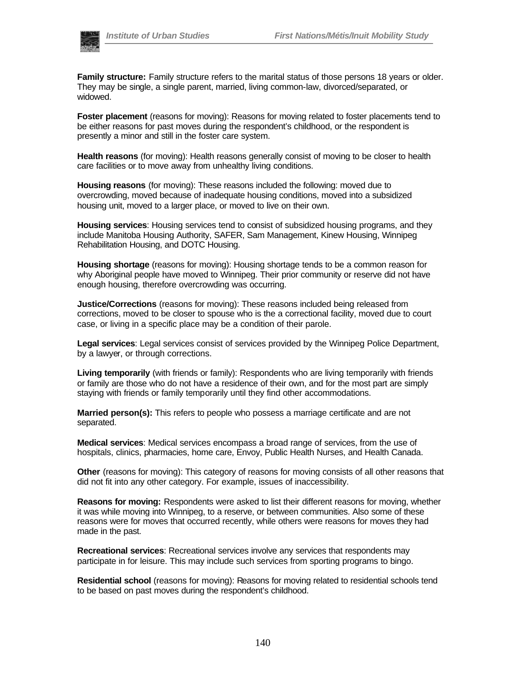

**Family structure:** Family structure refers to the marital status of those persons 18 years or older. They may be single, a single parent, married, living common-law, divorced/separated, or widowed.

**Foster placement** (reasons for moving): Reasons for moving related to foster placements tend to be either reasons for past moves during the respondent's childhood, or the respondent is presently a minor and still in the foster care system.

**Health reasons** (for moving): Health reasons generally consist of moving to be closer to health care facilities or to move away from unhealthy living conditions.

**Housing reasons** (for moving): These reasons included the following: moved due to overcrowding, moved because of inadequate housing conditions, moved into a subsidized housing unit, moved to a larger place, or moved to live on their own.

**Housing services**: Housing services tend to consist of subsidized housing programs, and they include Manitoba Housing Authority, SAFER, Sam Management, Kinew Housing, Winnipeg Rehabilitation Housing, and DOTC Housing.

**Housing shortage** (reasons for moving): Housing shortage tends to be a common reason for why Aboriginal people have moved to Winnipeg. Their prior community or reserve did not have enough housing, therefore overcrowding was occurring.

**Justice/Corrections** (reasons for moving): These reasons included being released from corrections, moved to be closer to spouse who is the a correctional facility, moved due to court case, or living in a specific place may be a condition of their parole.

**Legal services**: Legal services consist of services provided by the Winnipeg Police Department, by a lawyer, or through corrections.

**Living temporarily** (with friends or family): Respondents who are living temporarily with friends or family are those who do not have a residence of their own, and for the most part are simply staying with friends or family temporarily until they find other accommodations.

**Married person(s):** This refers to people who possess a marriage certificate and are not separated.

**Medical services**: Medical services encompass a broad range of services, from the use of hospitals, clinics, pharmacies, home care, Envoy, Public Health Nurses, and Health Canada.

**Other** (reasons for moving): This category of reasons for moving consists of all other reasons that did not fit into any other category. For example, issues of inaccessibility.

**Reasons for moving:** Respondents were asked to list their different reasons for moving, whether it was while moving into Winnipeg, to a reserve, or between communities. Also some of these reasons were for moves that occurred recently, while others were reasons for moves they had made in the past.

**Recreational services**: Recreational services involve any services that respondents may participate in for leisure. This may include such services from sporting programs to bingo.

**Residential school** (reasons for moving): Reasons for moving related to residential schools tend to be based on past moves during the respondent's childhood.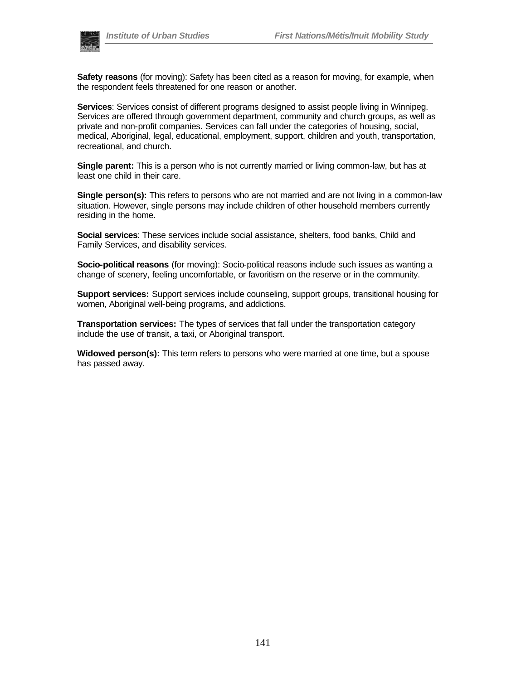**Safety reasons** (for moving): Safety has been cited as a reason for moving, for example, when the respondent feels threatened for one reason or another.

**Services**: Services consist of different programs designed to assist people living in Winnipeg. Services are offered through government department, community and church groups, as well as private and non-profit companies. Services can fall under the categories of housing, social, medical, Aboriginal, legal, educational, employment, support, children and youth, transportation, recreational, and church.

**Single parent:** This is a person who is not currently married or living common-law, but has at least one child in their care.

**Single person(s):** This refers to persons who are not married and are not living in a common-law situation. However, single persons may include children of other household members currently residing in the home.

**Social services**: These services include social assistance, shelters, food banks, Child and Family Services, and disability services.

**Socio-political reasons** (for moving): Socio-political reasons include such issues as wanting a change of scenery, feeling uncomfortable, or favoritism on the reserve or in the community.

**Support services:** Support services include counseling, support groups, transitional housing for women, Aboriginal well-being programs, and addictions.

**Transportation services:** The types of services that fall under the transportation category include the use of transit, a taxi, or Aboriginal transport.

**Widowed person(s):** This term refers to persons who were married at one time, but a spouse has passed away.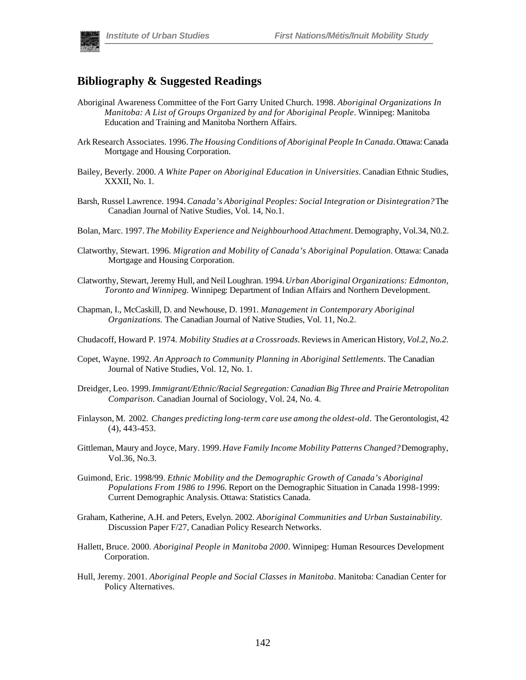

## **Bibliography & Suggested Readings**

- Aboriginal Awareness Committee of the Fort Garry United Church. 1998. *Aboriginal Organizations In Manitoba: A List of Groups Organized by and for Aboriginal People*. Winnipeg: Manitoba Education and Training and Manitoba Northern Affairs.
- Ark Research Associates. 1996. *The Housing Conditions of Aboriginal People In Canada*. Ottawa: Canada Mortgage and Housing Corporation.
- Bailey, Beverly. 2000. *A White Paper on Aboriginal Education in Universities.* Canadian Ethnic Studies, XXXII, No. 1.
- Barsh, Russel Lawrence. 1994. *Canada's Aboriginal Peoples: Social Integration or Disintegration?* The Canadian Journal of Native Studies, Vol. 14, No.1.
- Bolan, Marc. 1997. *The Mobility Experience and Neighbourhood Attachment.* Demography, Vol.34, N0.2.
- Clatworthy, Stewart. 1996. *Migration and Mobility of Canada's Aboriginal Population.* Ottawa: Canada Mortgage and Housing Corporation.
- Clatworthy, Stewart, Jeremy Hull, and Neil Loughran. 1994. *Urban Aboriginal Organizations: Edmonton, Toronto and Winnipeg.* Winnipeg: Department of Indian Affairs and Northern Development.
- Chapman, I., McCaskill, D. and Newhouse, D. 1991. *Management in Contemporary Aboriginal Organizations.* The Canadian Journal of Native Studies, Vol. 11, No.2.

Chudacoff, Howard P. 1974. *Mobility Studies at a Crossroads.* Reviews in American History*, Vol.2, No.2.* 

- Copet, Wayne. 1992. *An Approach to Community Planning in Aboriginal Settlements.* The Canadian Journal of Native Studies, Vol. 12, No. 1.
- Dreidger, Leo. 1999. *Immigrant/Ethnic/Racial Segregation: Canadian Big Three and Prairie Metropolitan Comparison.* Canadian Journal of Sociology, Vol. 24, No. 4.
- Finlayson, M. 2002. *Changes predicting long-term care use among the oldest-old*. The Gerontologist, 42 (4), 443-453.
- Gittleman, Maury and Joyce, Mary. 1999. *Have Family Income Mobility Patterns Changed?* Demography, Vol.36, No.3.
- Guimond, Eric. 1998/99. *Ethnic Mobility and the Demographic Growth of Canada's Aboriginal Populations From 1986 to 1996.* Report on the Demographic Situation in Canada 1998-1999: Current Demographic Analysis. Ottawa: Statistics Canada.
- Graham, Katherine, A.H. and Peters, Evelyn. 2002. *Aboriginal Communities and Urban Sustainability.*  Discussion Paper F/27, Canadian Policy Research Networks.
- Hallett, Bruce. 2000. *Aboriginal People in Manitoba 2000*. Winnipeg: Human Resources Development Corporation.
- Hull, Jeremy. 2001. *Aboriginal People and Social Classes in Manitoba*. Manitoba: Canadian Center for Policy Alternatives.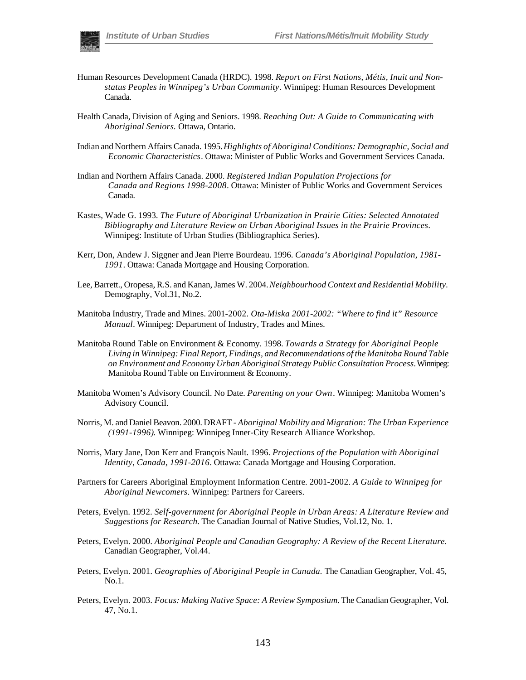- Human Resources Development Canada (HRDC). 1998. *Report on First Nations, Métis, Inuit and Nonstatus Peoples in Winnipeg's Urban Community*. Winnipeg: Human Resources Development Canada.
- Health Canada, Division of Aging and Seniors. 1998. *Reaching Out: A Guide to Communicating with Aboriginal Seniors.* Ottawa, Ontario.
- Indian and Northern Affairs Canada. 1995. *Highlights of Aboriginal Conditions: Demographic, Social and Economic Characteristics*. Ottawa: Minister of Public Works and Government Services Canada.
- Indian and Northern Affairs Canada. 2000. *Registered Indian Population Projections for Canada and Regions 1998-2008*. Ottawa: Minister of Public Works and Government Services Canada.
- Kastes, Wade G. 1993. *The Future of Aboriginal Urbanization in Prairie Cities: Selected Annotated Bibliography and Literature Review on Urban Aboriginal Issues in the Prairie Provinces*. Winnipeg: Institute of Urban Studies (Bibliographica Series).
- Kerr, Don, Andew J. Siggner and Jean Pierre Bourdeau. 1996. *Canada's Aboriginal Population, 1981- 1991*. Ottawa: Canada Mortgage and Housing Corporation.
- Lee, Barrett., Oropesa, R.S. and Kanan, James W. 2004. *Neighbourhood Context and Residential Mobility.*  Demography, Vol.31, No.2.
- Manitoba Industry, Trade and Mines. 2001-2002. *Ota-Miska 2001-2002: "Where to find it" Resource Manual*. Winnipeg: Department of Industry, Trades and Mines.
- Manitoba Round Table on Environment & Economy. 1998. *Towards a Strategy for Aboriginal People Living in Winnipeg: Final Report, Findings, and Recommendations of the Manitoba Round Table on Environment and Economy Urban Aboriginal Strategy Public Consultation Process*. Winnipeg: Manitoba Round Table on Environment & Economy.
- Manitoba Women's Advisory Council. No Date. *Parenting on your Own*. Winnipeg: Manitoba Women's Advisory Council.
- Norris, M. and Daniel Beavon. 2000. DRAFT *Aboriginal Mobility and Migration: The Urban Experience (1991-1996)*. Winnipeg: Winnipeg Inner-City Research Alliance Workshop.
- Norris, Mary Jane, Don Kerr and François Nault. 1996. *Projections of the Population with Aboriginal Identity, Canada, 1991-2016*. Ottawa: Canada Mortgage and Housing Corporation.
- Partners for Careers Aboriginal Employment Information Centre. 2001-2002. *A Guide to Winnipeg for Aboriginal Newcomers*. Winnipeg: Partners for Careers.
- Peters, Evelyn. 1992. *Self-government for Aboriginal People in Urban Areas: A Literature Review and Suggestions for Research.* The Canadian Journal of Native Studies, Vol.12, No. 1.
- Peters, Evelyn. 2000. *Aboriginal People and Canadian Geography: A Review of the Recent Literature.*  Canadian Geographer, Vol.44.
- Peters, Evelyn. 2001. *Geographies of Aboriginal People in Canada.* The Canadian Geographer, Vol. 45, No.1.
- Peters, Evelyn. 2003. *Focus: Making Native Space: A Review Symposium.* The Canadian Geographer, Vol. 47, No.1.